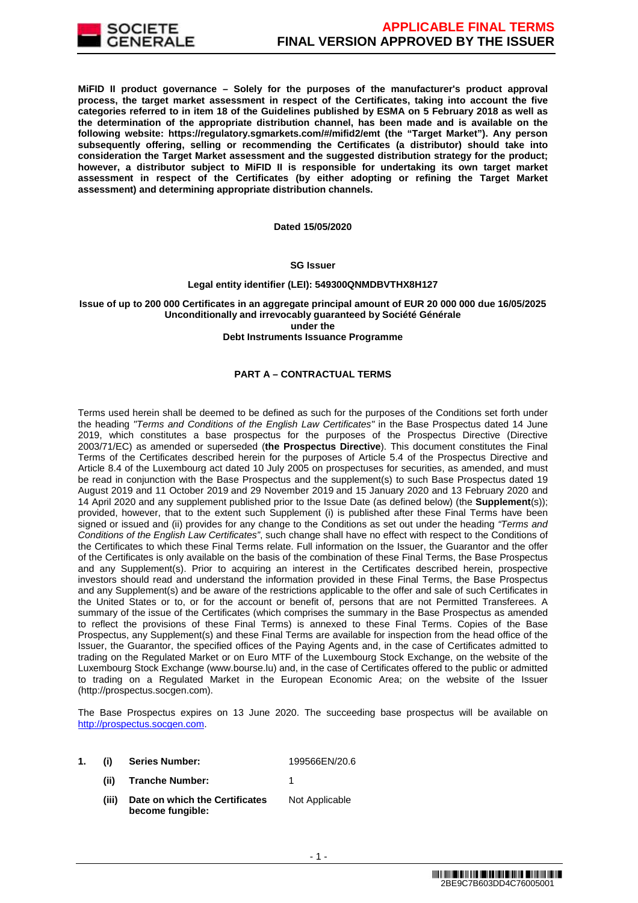

**MiFID II product governance – Solely for the purposes of the manufacturer's product approval process, the target market assessment in respect of the Certificates, taking into account the five categories referred to in item 18 of the Guidelines published by ESMA on 5 February 2018 as well as the determination of the appropriate distribution channel, has been made and is available on the following website: https://regulatory.sgmarkets.com/#/mifid2/emt (the "Target Market"). Any person subsequently offering, selling or recommending the Certificates (a distributor) should take into consideration the Target Market assessment and the suggested distribution strategy for the product; however, a distributor subject to MiFID II is responsible for undertaking its own target market assessment in respect of the Certificates (by either adopting or refining the Target Market assessment) and determining appropriate distribution channels.**

**Dated 15/05/2020**

#### **SG Issuer**

#### **Legal entity identifier (LEI): 549300QNMDBVTHX8H127**

**Issue of up to 200 000 Certificates in an aggregate principal amount of EUR 20 000 000 due 16/05/2025 Unconditionally and irrevocably guaranteed by Société Générale under the** 

**Debt Instruments Issuance Programme**

# **PART A – CONTRACTUAL TERMS**

Terms used herein shall be deemed to be defined as such for the purposes of the Conditions set forth under the heading "Terms and Conditions of the English Law Certificates" in the Base Prospectus dated 14 June 2019, which constitutes a base prospectus for the purposes of the Prospectus Directive (Directive 2003/71/EC) as amended or superseded (**the Prospectus Directive**). This document constitutes the Final Terms of the Certificates described herein for the purposes of Article 5.4 of the Prospectus Directive and Article 8.4 of the Luxembourg act dated 10 July 2005 on prospectuses for securities, as amended, and must be read in conjunction with the Base Prospectus and the supplement(s) to such Base Prospectus dated 19 August 2019 and 11 October 2019 and 29 November 2019 and 15 January 2020 and 13 February 2020 and 14 April 2020 and any supplement published prior to the Issue Date (as defined below) (the **Supplement**(s)); provided, however, that to the extent such Supplement (i) is published after these Final Terms have been signed or issued and (ii) provides for any change to the Conditions as set out under the heading "Terms and Conditions of the English Law Certificates", such change shall have no effect with respect to the Conditions of the Certificates to which these Final Terms relate. Full information on the Issuer, the Guarantor and the offer of the Certificates is only available on the basis of the combination of these Final Terms, the Base Prospectus and any Supplement(s). Prior to acquiring an interest in the Certificates described herein, prospective investors should read and understand the information provided in these Final Terms, the Base Prospectus and any Supplement(s) and be aware of the restrictions applicable to the offer and sale of such Certificates in the United States or to, or for the account or benefit of, persons that are not Permitted Transferees. A summary of the issue of the Certificates (which comprises the summary in the Base Prospectus as amended to reflect the provisions of these Final Terms) is annexed to these Final Terms. Copies of the Base Prospectus, any Supplement(s) and these Final Terms are available for inspection from the head office of the Issuer, the Guarantor, the specified offices of the Paying Agents and, in the case of Certificates admitted to trading on the Regulated Market or on Euro MTF of the Luxembourg Stock Exchange, on the website of the Luxembourg Stock Exchange (www.bourse.lu) and, in the case of Certificates offered to the public or admitted to trading on a Regulated Market in the European Economic Area; on the website of the Issuer (http://prospectus.socgen.com).

The Base Prospectus expires on 13 June 2020. The succeeding base prospectus will be available on http://prospectus.socgen.com.

| 1. (i) | Series Number:                  | 199566EN/20.6  |  |
|--------|---------------------------------|----------------|--|
|        | (ii) Tranche Number:            |                |  |
|        | Data an urbiah tha Cartificates | Not Applicable |  |

**(iii) Date on which the Certificates become fungible:** Not Applicable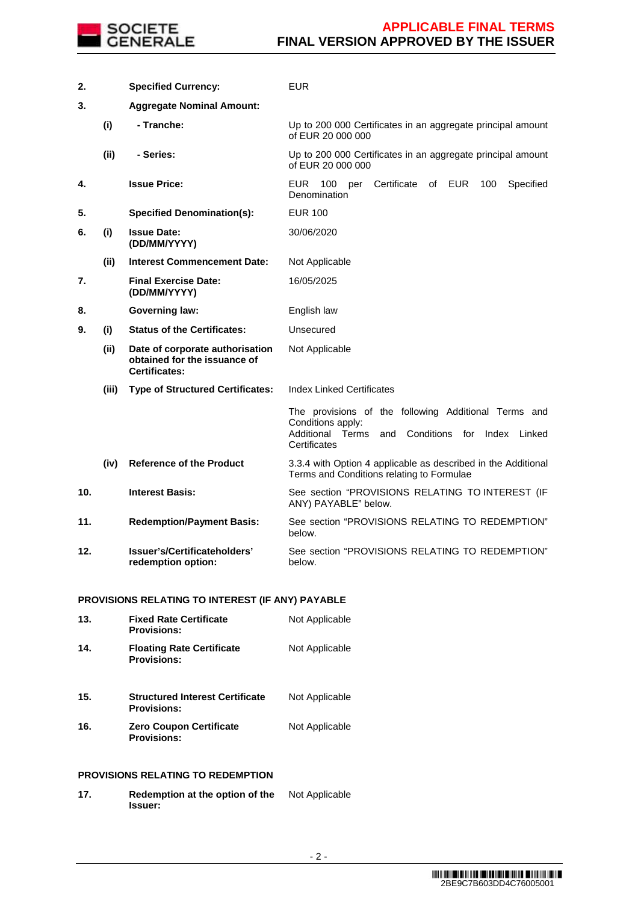

| 2.  |       | <b>Specified Currency:</b>                                                              | <b>EUR</b>                                                                                                                                                |
|-----|-------|-----------------------------------------------------------------------------------------|-----------------------------------------------------------------------------------------------------------------------------------------------------------|
| 3.  |       | <b>Aggregate Nominal Amount:</b>                                                        |                                                                                                                                                           |
|     | (i)   | - Tranche:                                                                              | Up to 200 000 Certificates in an aggregate principal amount<br>of EUR 20 000 000                                                                          |
|     | (ii)  | - Series:                                                                               | Up to 200 000 Certificates in an aggregate principal amount<br>of EUR 20 000 000                                                                          |
| 4.  |       | <b>Issue Price:</b>                                                                     | Certificate<br>EUR<br>of EUR<br>Specified<br>- 100<br>per<br>100<br>Denomination                                                                          |
| 5.  |       | <b>Specified Denomination(s):</b>                                                       | <b>EUR 100</b>                                                                                                                                            |
| 6.  | (i)   | <b>Issue Date:</b><br>(DD/MM/YYYY)                                                      | 30/06/2020                                                                                                                                                |
|     | (ii)  | <b>Interest Commencement Date:</b>                                                      | Not Applicable                                                                                                                                            |
| 7.  |       | <b>Final Exercise Date:</b><br>(DD/MM/YYYY)                                             | 16/05/2025                                                                                                                                                |
| 8.  |       | <b>Governing law:</b>                                                                   | English law                                                                                                                                               |
| 9.  | (i)   | <b>Status of the Certificates:</b>                                                      | Unsecured                                                                                                                                                 |
|     | (ii)  | Date of corporate authorisation<br>obtained for the issuance of<br><b>Certificates:</b> | Not Applicable                                                                                                                                            |
|     | (iii) | <b>Type of Structured Certificates:</b>                                                 | <b>Index Linked Certificates</b>                                                                                                                          |
|     |       |                                                                                         | The provisions of the following Additional Terms and<br>Conditions apply:<br>Additional Terms<br>and<br>Conditions<br>for<br>Index Linked<br>Certificates |
|     | (iv)  | <b>Reference of the Product</b>                                                         | 3.3.4 with Option 4 applicable as described in the Additional<br>Terms and Conditions relating to Formulae                                                |
| 10. |       | <b>Interest Basis:</b>                                                                  | See section "PROVISIONS RELATING TO INTEREST (IF<br>ANY) PAYABLE" below.                                                                                  |
| 11. |       | <b>Redemption/Payment Basis:</b>                                                        | See section "PROVISIONS RELATING TO REDEMPTION"<br>below.                                                                                                 |
| 12. |       | Issuer's/Certificateholders'<br>redemption option:                                      | See section "PROVISIONS RELATING TO REDEMPTION"<br>below.                                                                                                 |

# **PROVISIONS RELATING TO INTEREST (IF ANY) PAYABLE**

| <b>Fixed Rate Certificate</b><br><b>Provisions:</b>          | Not Applicable |
|--------------------------------------------------------------|----------------|
| <b>Floating Rate Certificate</b><br><b>Provisions:</b>       | Not Applicable |
| <b>Structured Interest Certificate</b><br><b>Provisions:</b> | Not Applicable |
| <b>Zero Coupon Certificate</b><br><b>Provisions:</b>         | Not Applicable |
|                                                              |                |

# **PROVISIONS RELATING TO REDEMPTION**

**17. Redemption at the option of the Issuer:** Not Applicable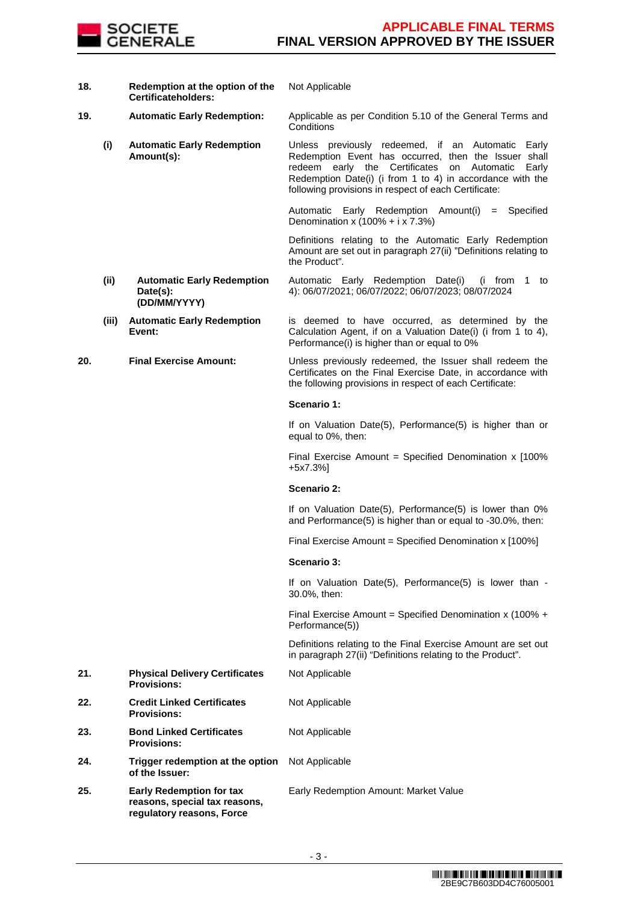

- **18. Redemption at the option of the Certificateholders:**
- - **(i) Automatic Early Redemption Amount(s):**

Not Applicable

**19. Automatic Early Redemption:** Applicable as per Condition 5.10 of the General Terms and **Conditions** 

> Unless previously redeemed, if an Automatic Early Redemption Event has occurred, then the Issuer shall redeem early the Certificates on Automatic Early Redemption Date(i) (i from 1 to 4) in accordance with the following provisions in respect of each Certificate:

Automatic Early Redemption Amount(i) = Specified Denomination x  $(100\% + i \times 7.3\%)$ 

 Definitions relating to the Automatic Early Redemption Amount are set out in paragraph 27(ii) "Definitions relating to the Product".

**(ii) Automatic Early Redemption Date(s): (DD/MM/YYYY)** Automatic Early Redemption Date(i) (i from 1 to 4): 06/07/2021; 06/07/2022; 06/07/2023; 08/07/2024

#### **(iii) Automatic Early Redemption Event:** is deemed to have occurred, as determined by the Calculation Agent, if on a Valuation Date(i) (i from 1 to 4), Performance(i) is higher than or equal to 0%

**20. Final Exercise Amount:** Unless previously redeemed, the Issuer shall redeem the Certificates on the Final Exercise Date, in accordance with the following provisions in respect of each Certificate:

# **Scenario 1:**

If on Valuation Date(5), Performance(5) is higher than or equal to 0%, then:

Final Exercise Amount = Specified Denomination x [100%] +5x7.3%]

#### **Scenario 2:**

If on Valuation Date(5), Performance(5) is lower than 0% and Performance(5) is higher than or equal to -30.0%, then:

Final Exercise Amount = Specified Denomination x [100%]

# **Scenario 3:**

Not Applicable

Not Applicable

Not Applicable

If on Valuation Date(5), Performance(5) is lower than - 30.0%, then:

Final Exercise Amount = Specified Denomination x (100% + Performance(5))

 Definitions relating to the Final Exercise Amount are set out in paragraph 27(ii) "Definitions relating to the Product".

- **21. Physical Delivery Certificates Provisions:**
- **22. Credit Linked Certificates Provisions:**
- **23. Bond Linked Certificates Provisions:**
- **24. Trigger redemption at the option of the Issuer:** Not Applicable
- **25. Early Redemption for tax reasons, special tax reasons, regulatory reasons, Force**

Early Redemption Amount: Market Value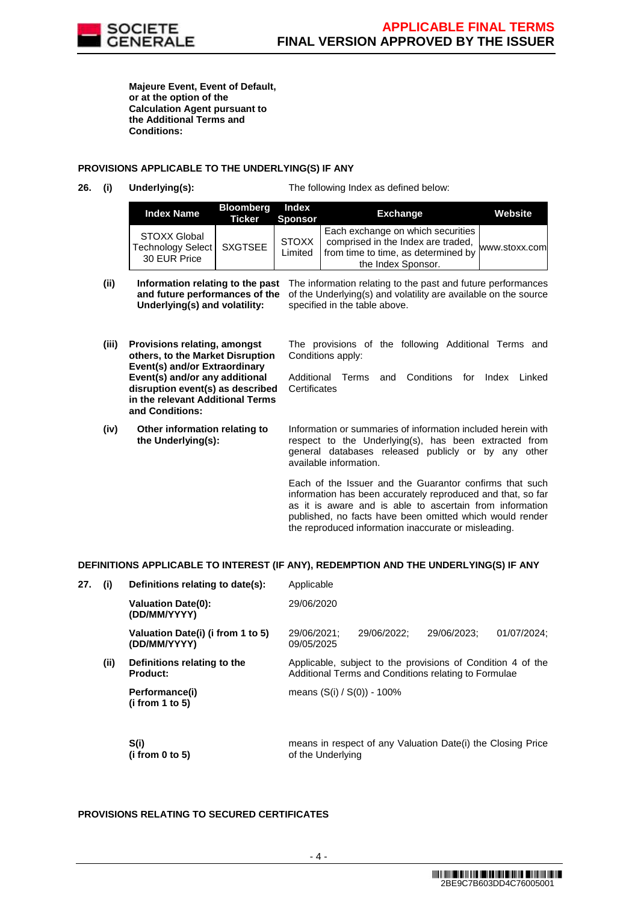

**Majeure Event, Event of Default, or at the option of the Calculation Agent pursuant to the Additional Terms and Conditions:**

### **PROVISIONS APPLICABLE TO THE UNDERLYING(S) IF ANY**

**26. (i) Underlying(s):** The following Index as defined below:

| <b>Index Name</b>                                                  | <b>Bloomberg</b><br><b>Ticker Sponsor</b> | Index                   | <b>Exchange</b>                                                                                                                      | Website       |
|--------------------------------------------------------------------|-------------------------------------------|-------------------------|--------------------------------------------------------------------------------------------------------------------------------------|---------------|
| <b>STOXX Global</b><br>Technology Select   SXGTSEE<br>30 EUR Price |                                           | <b>STOXX</b><br>Limited | Each exchange on which securities<br>comprised in the Index are traded.<br>from time to time, as determined by<br>the Index Sponsor. | www.stoxx.com |

- (ii) **Information relating to the past** The information relating to the past and future performances **and future performances of the Underlying(s) and volatility:** of the Underlying(s) and volatility are available on the source specified in the table above.
- **(iii) Provisions relating, amongst others, to the Market Disruption Event(s) and/or Extraordinary Event(s) and/or any additional disruption event(s) as described in the relevant Additional Terms and Conditions:**
- **(iv) Other information relating to the Underlying(s):**

The provisions of the following Additional Terms and Conditions apply:

Additional Terms and Conditions for Index Linked **Certificates** 

Information or summaries of information included herein with respect to the Underlying(s), has been extracted from general databases released publicly or by any other available information.

Each of the Issuer and the Guarantor confirms that such information has been accurately reproduced and that, so far as it is aware and is able to ascertain from information published, no facts have been omitted which would render the reproduced information inaccurate or misleading.

# **DEFINITIONS APPLICABLE TO INTEREST (IF ANY), REDEMPTION AND THE UNDERLYING(S) IF ANY**

| 27. | (i)  | Definitions relating to date(s):                  | Applicable                                                                                                          |             |                                                             |             |  |
|-----|------|---------------------------------------------------|---------------------------------------------------------------------------------------------------------------------|-------------|-------------------------------------------------------------|-------------|--|
|     |      | <b>Valuation Date(0):</b><br>(DD/MM/YYYY)         | 29/06/2020                                                                                                          |             |                                                             |             |  |
|     |      | Valuation Date(i) (i from 1 to 5)<br>(DD/MM/YYYY) | 29/06/2021;<br>09/05/2025                                                                                           | 29/06/2022: | 29/06/2023:                                                 | 01/07/2024: |  |
|     | (ii) | Definitions relating to the<br><b>Product:</b>    | Applicable, subject to the provisions of Condition 4 of the<br>Additional Terms and Conditions relating to Formulae |             |                                                             |             |  |
|     |      | Performance(i)<br>(i from 1 to 5)                 | means (S(i) / S(0)) - 100%                                                                                          |             |                                                             |             |  |
|     |      | S(i)<br>(i from 0 to 5)                           | of the Underlying                                                                                                   |             | means in respect of any Valuation Date(i) the Closing Price |             |  |

# **PROVISIONS RELATING TO SECURED CERTIFICATES**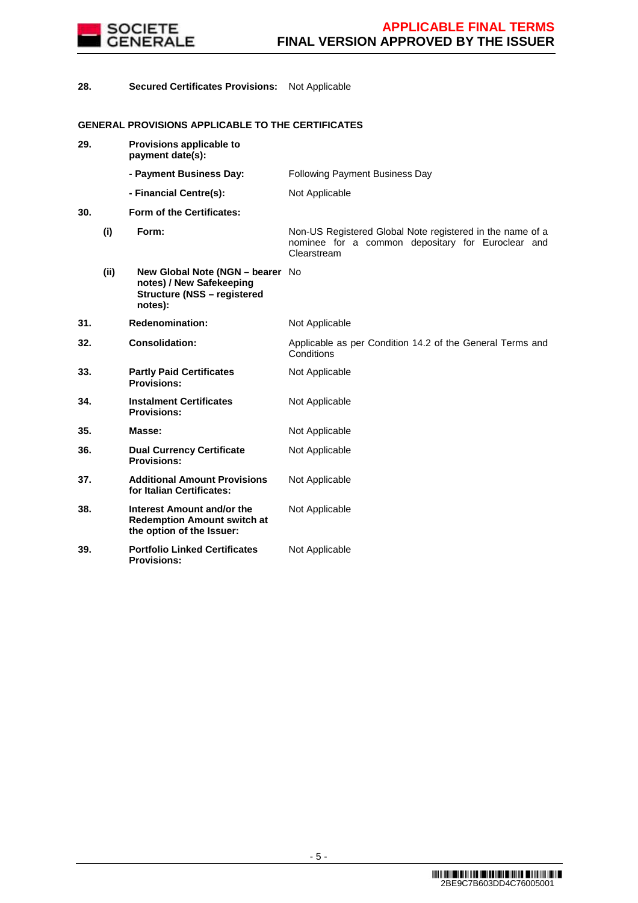

**28. Secured Certificates Provisions:** Not Applicable

# **GENERAL PROVISIONS APPLICABLE TO THE CERTIFICATES**

| 29. |      | Provisions applicable to<br>payment date(s):                                                                  |                                                                                                                               |
|-----|------|---------------------------------------------------------------------------------------------------------------|-------------------------------------------------------------------------------------------------------------------------------|
|     |      | - Payment Business Day:                                                                                       | Following Payment Business Day                                                                                                |
|     |      | - Financial Centre(s):                                                                                        | Not Applicable                                                                                                                |
| 30. |      | Form of the Certificates:                                                                                     |                                                                                                                               |
|     | (i)  | Form:                                                                                                         | Non-US Registered Global Note registered in the name of a<br>nominee for a common depositary for Euroclear and<br>Clearstream |
|     | (ii) | New Global Note (NGN - bearer No<br>notes) / New Safekeeping<br><b>Structure (NSS - registered</b><br>notes): |                                                                                                                               |
| 31. |      | <b>Redenomination:</b>                                                                                        | Not Applicable                                                                                                                |
| 32. |      | <b>Consolidation:</b>                                                                                         | Applicable as per Condition 14.2 of the General Terms and<br>Conditions                                                       |
| 33. |      | <b>Partly Paid Certificates</b><br><b>Provisions:</b>                                                         | Not Applicable                                                                                                                |
| 34. |      | <b>Instalment Certificates</b><br><b>Provisions:</b>                                                          | Not Applicable                                                                                                                |
| 35. |      | Masse:                                                                                                        | Not Applicable                                                                                                                |
| 36. |      | <b>Dual Currency Certificate</b><br><b>Provisions:</b>                                                        | Not Applicable                                                                                                                |
| 37. |      | <b>Additional Amount Provisions</b><br>for Italian Certificates:                                              | Not Applicable                                                                                                                |
| 38. |      | Interest Amount and/or the<br><b>Redemption Amount switch at</b><br>the option of the Issuer:                 | Not Applicable                                                                                                                |
| 39. |      | <b>Portfolio Linked Certificates</b><br><b>Provisions:</b>                                                    | Not Applicable                                                                                                                |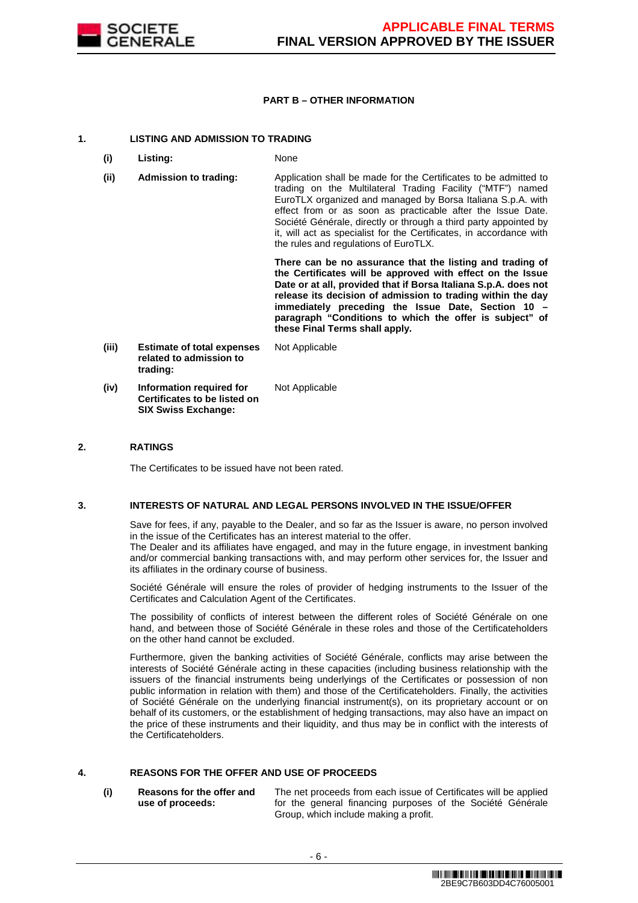

### **PART B – OTHER INFORMATION**

### **1. LISTING AND ADMISSION TO TRADING**

- **(i) Listing:** None
- **(ii) Admission to trading:** Application shall be made for the Certificates to be admitted to trading on the Multilateral Trading Facility ("MTF") named EuroTLX organized and managed by Borsa Italiana S.p.A. with effect from or as soon as practicable after the Issue Date. Société Générale, directly or through a third party appointed by it, will act as specialist for the Certificates, in accordance with the rules and regulations of EuroTLX.

 **There can be no assurance that the listing and trading of the Certificates will be approved with effect on the Issue Date or at all, provided that if Borsa Italiana S.p.A. does not release its decision of admission to trading within the day immediately preceding the Issue Date, Section 10 – paragraph "Conditions to which the offer is subject" of these Final Terms shall apply.**

**(iii) Estimate of total expenses related to admission to trading:** Not Applicable **(iv) Information required for Certificates to be listed on**  Not Applicable

**SIX Swiss Exchange:**

### **2. RATINGS**

The Certificates to be issued have not been rated.

#### **3. INTERESTS OF NATURAL AND LEGAL PERSONS INVOLVED IN THE ISSUE/OFFER**

 Save for fees, if any, payable to the Dealer, and so far as the Issuer is aware, no person involved in the issue of the Certificates has an interest material to the offer.

The Dealer and its affiliates have engaged, and may in the future engage, in investment banking and/or commercial banking transactions with, and may perform other services for, the Issuer and its affiliates in the ordinary course of business.

 Société Générale will ensure the roles of provider of hedging instruments to the Issuer of the Certificates and Calculation Agent of the Certificates.

 The possibility of conflicts of interest between the different roles of Société Générale on one hand, and between those of Société Générale in these roles and those of the Certificateholders on the other hand cannot be excluded.

 Furthermore, given the banking activities of Société Générale, conflicts may arise between the interests of Société Générale acting in these capacities (including business relationship with the issuers of the financial instruments being underlyings of the Certificates or possession of non public information in relation with them) and those of the Certificateholders. Finally, the activities of Société Générale on the underlying financial instrument(s), on its proprietary account or on behalf of its customers, or the establishment of hedging transactions, may also have an impact on the price of these instruments and their liquidity, and thus may be in conflict with the interests of the Certificateholders.

# **4. REASONS FOR THE OFFER AND USE OF PROCEEDS**

**(i) Reasons for the offer and use of proceeds:**

The net proceeds from each issue of Certificates will be applied for the general financing purposes of the Société Générale Group, which include making a profit.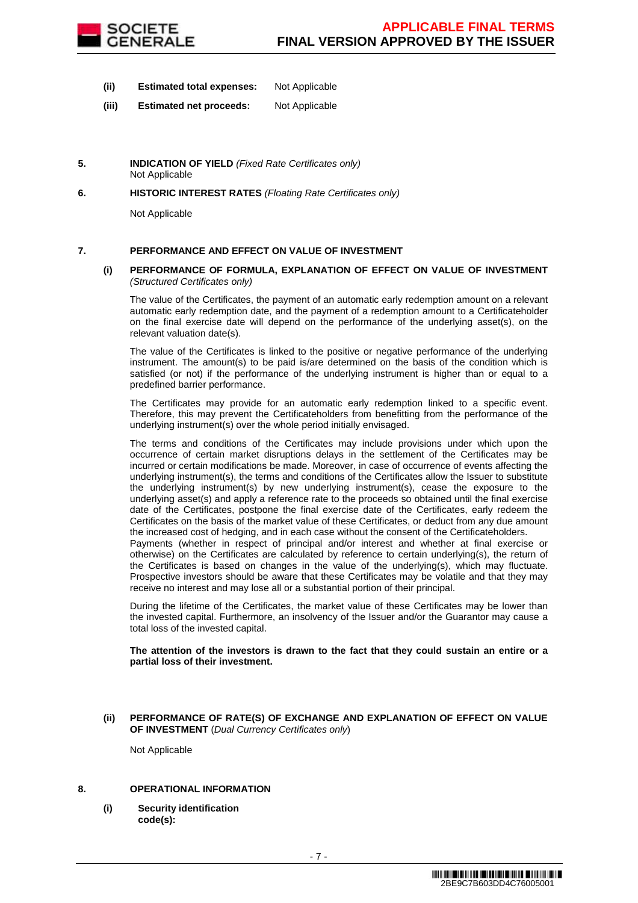

- **(ii) Estimated total expenses:** Not Applicable
- **(iii) Estimated net proceeds:** Not Applicable
- **5. INDICATION OF YIELD** (Fixed Rate Certificates only) Not Applicable
- **6. HISTORIC INTEREST RATES** (Floating Rate Certificates only)

Not Applicable

# **7. PERFORMANCE AND EFFECT ON VALUE OF INVESTMENT**

#### **(i) PERFORMANCE OF FORMULA, EXPLANATION OF EFFECT ON VALUE OF INVESTMENT**  (Structured Certificates only)

 The value of the Certificates, the payment of an automatic early redemption amount on a relevant automatic early redemption date, and the payment of a redemption amount to a Certificateholder on the final exercise date will depend on the performance of the underlying asset(s), on the relevant valuation date(s).

 The value of the Certificates is linked to the positive or negative performance of the underlying instrument. The amount(s) to be paid is/are determined on the basis of the condition which is satisfied (or not) if the performance of the underlying instrument is higher than or equal to a predefined barrier performance.

 The Certificates may provide for an automatic early redemption linked to a specific event. Therefore, this may prevent the Certificateholders from benefitting from the performance of the underlying instrument(s) over the whole period initially envisaged.

 The terms and conditions of the Certificates may include provisions under which upon the occurrence of certain market disruptions delays in the settlement of the Certificates may be incurred or certain modifications be made. Moreover, in case of occurrence of events affecting the underlying instrument(s), the terms and conditions of the Certificates allow the Issuer to substitute the underlying instrument(s) by new underlying instrument(s), cease the exposure to the underlying asset(s) and apply a reference rate to the proceeds so obtained until the final exercise date of the Certificates, postpone the final exercise date of the Certificates, early redeem the Certificates on the basis of the market value of these Certificates, or deduct from any due amount the increased cost of hedging, and in each case without the consent of the Certificateholders.

Payments (whether in respect of principal and/or interest and whether at final exercise or otherwise) on the Certificates are calculated by reference to certain underlying(s), the return of the Certificates is based on changes in the value of the underlying(s), which may fluctuate. Prospective investors should be aware that these Certificates may be volatile and that they may receive no interest and may lose all or a substantial portion of their principal.

 During the lifetime of the Certificates, the market value of these Certificates may be lower than the invested capital. Furthermore, an insolvency of the Issuer and/or the Guarantor may cause a total loss of the invested capital.

**The attention of the investors is drawn to the fact that they could sustain an entire or a partial loss of their investment.**

#### **(ii) PERFORMANCE OF RATE(S) OF EXCHANGE AND EXPLANATION OF EFFECT ON VALUE OF INVESTMENT** (Dual Currency Certificates only)

Not Applicable

#### **8. OPERATIONAL INFORMATION**

**(i) Security identification code(s):**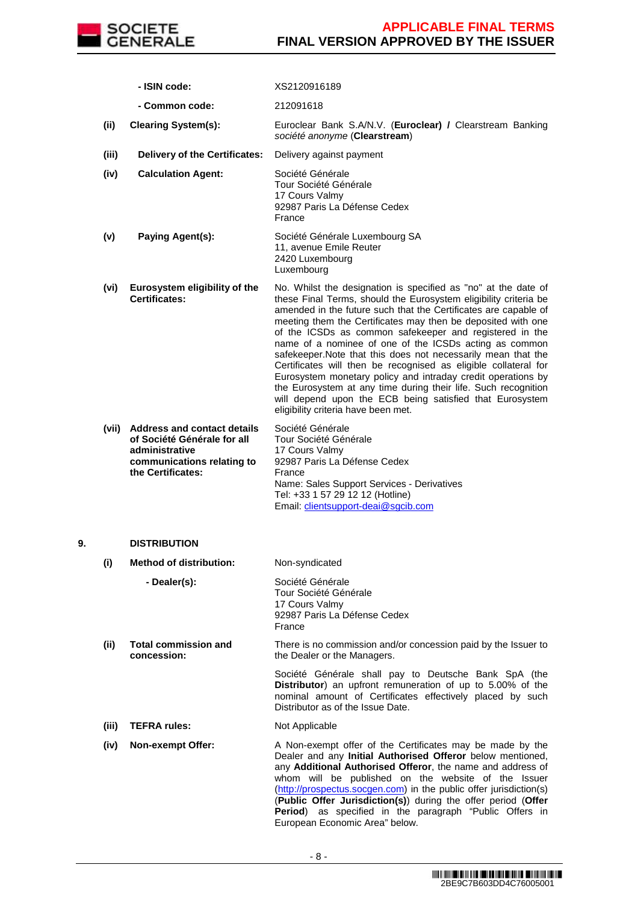

|    |       | - ISIN code:                                                                                                                           | XS2120916189                                                                                                                                                                                                                                                                                                                                                                                                                                                                                                                                                                                                                                                                                                                                                        |
|----|-------|----------------------------------------------------------------------------------------------------------------------------------------|---------------------------------------------------------------------------------------------------------------------------------------------------------------------------------------------------------------------------------------------------------------------------------------------------------------------------------------------------------------------------------------------------------------------------------------------------------------------------------------------------------------------------------------------------------------------------------------------------------------------------------------------------------------------------------------------------------------------------------------------------------------------|
|    |       | - Common code:                                                                                                                         | 212091618                                                                                                                                                                                                                                                                                                                                                                                                                                                                                                                                                                                                                                                                                                                                                           |
|    | (ii)  | <b>Clearing System(s):</b>                                                                                                             | Euroclear Bank S.A/N.V. (Euroclear) / Clearstream Banking<br>société anonyme (Clearstream)                                                                                                                                                                                                                                                                                                                                                                                                                                                                                                                                                                                                                                                                          |
|    | (iii) | <b>Delivery of the Certificates:</b>                                                                                                   | Delivery against payment                                                                                                                                                                                                                                                                                                                                                                                                                                                                                                                                                                                                                                                                                                                                            |
|    | (iv)  | <b>Calculation Agent:</b>                                                                                                              | Société Générale<br>Tour Société Générale<br>17 Cours Valmy<br>92987 Paris La Défense Cedex<br>France                                                                                                                                                                                                                                                                                                                                                                                                                                                                                                                                                                                                                                                               |
|    | (v)   | <b>Paying Agent(s):</b>                                                                                                                | Société Générale Luxembourg SA<br>11, avenue Emile Reuter<br>2420 Luxembourg<br>Luxembourg                                                                                                                                                                                                                                                                                                                                                                                                                                                                                                                                                                                                                                                                          |
|    | (vi)  | Eurosystem eligibility of the<br><b>Certificates:</b>                                                                                  | No. Whilst the designation is specified as "no" at the date of<br>these Final Terms, should the Eurosystem eligibility criteria be<br>amended in the future such that the Certificates are capable of<br>meeting them the Certificates may then be deposited with one<br>of the ICSDs as common safekeeper and registered in the<br>name of a nominee of one of the ICSDs acting as common<br>safekeeper. Note that this does not necessarily mean that the<br>Certificates will then be recognised as eligible collateral for<br>Eurosystem monetary policy and intraday credit operations by<br>the Eurosystem at any time during their life. Such recognition<br>will depend upon the ECB being satisfied that Eurosystem<br>eligibility criteria have been met. |
|    | (vii) | <b>Address and contact details</b><br>of Société Générale for all<br>administrative<br>communications relating to<br>the Certificates: | Société Générale<br>Tour Société Générale<br>17 Cours Valmy<br>92987 Paris La Défense Cedex<br>France<br>Name: Sales Support Services - Derivatives<br>Tel: +33 1 57 29 12 12 (Hotline)<br>Email: clientsupport-deai@sgcib.com                                                                                                                                                                                                                                                                                                                                                                                                                                                                                                                                      |
| 9. |       | <b>DISTRIBUTION</b>                                                                                                                    |                                                                                                                                                                                                                                                                                                                                                                                                                                                                                                                                                                                                                                                                                                                                                                     |
|    | (i)   | <b>Method of distribution:</b>                                                                                                         | Non-syndicated                                                                                                                                                                                                                                                                                                                                                                                                                                                                                                                                                                                                                                                                                                                                                      |
|    |       | - Dealer(s):                                                                                                                           | Société Générale<br>Tour Société Générale<br>17 Cours Valmy<br>92987 Paris La Défense Cedex<br>France                                                                                                                                                                                                                                                                                                                                                                                                                                                                                                                                                                                                                                                               |
|    | (ii)  | <b>Total commission and</b><br>concession:                                                                                             | There is no commission and/or concession paid by the Issuer to<br>the Dealer or the Managers.                                                                                                                                                                                                                                                                                                                                                                                                                                                                                                                                                                                                                                                                       |
|    |       |                                                                                                                                        | Société Générale shall pay to Deutsche Bank SpA (the<br>Distributor) an upfront remuneration of up to 5.00% of the<br>nominal amount of Certificates effectively placed by such<br>Distributor as of the Issue Date.                                                                                                                                                                                                                                                                                                                                                                                                                                                                                                                                                |

- **(iii) TEFRA rules:** Not Applicable
- **(iv) Non-exempt Offer:** A Non-exempt offer of the Certificates may be made by the Dealer and any **Initial Authorised Offeror** below mentioned, any **Additional Authorised Offeror**, the name and address of whom will be published on the website of the Issuer (http://prospectus.socgen.com) in the public offer jurisdiction(s) (**Public Offer Jurisdiction(s)**) during the offer period (**Offer Period**) as specified in the paragraph "Public Offers in European Economic Area" below.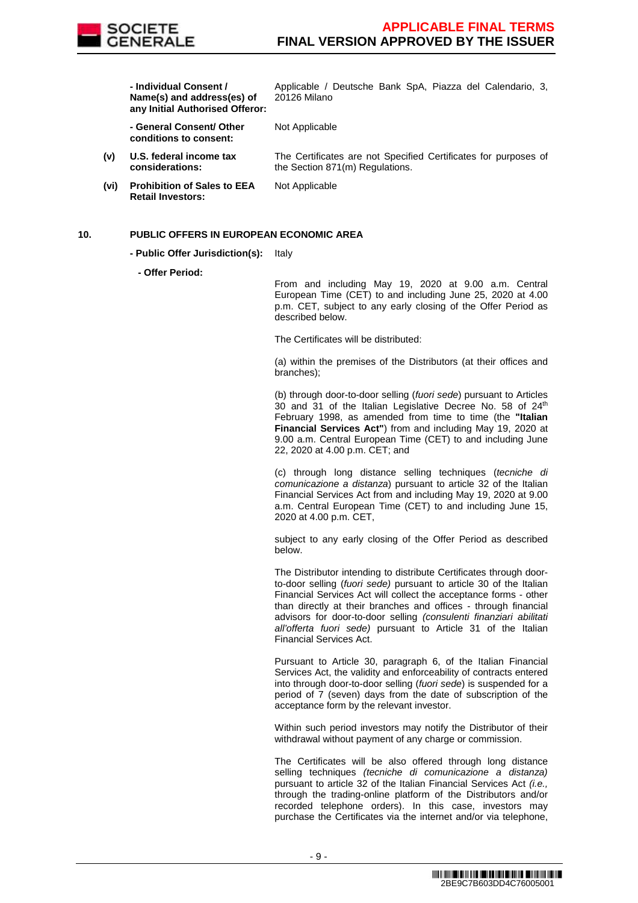

 **- Individual Consent / Name(s) and address(es) of any Initial Authorised Offeror:** Applicable / Deutsche Bank SpA, Piazza del Calendario, 3, 20126 Milano

 **- General Consent/ Other conditions to consent:**

**(v) U.S. federal income tax considerations:**

Not Applicable

The Certificates are not Specified Certificates for purposes of the Section 871(m) Regulations.

**(vi) Prohibition of Sales to EEA Retail Investors:** Not Applicable

### **10. PUBLIC OFFERS IN EUROPEAN ECONOMIC AREA**

- **Public Offer Jurisdiction(s):** Italy
	- **Offer Period:**

From and including May 19, 2020 at 9.00 a.m. Central European Time (CET) to and including June 25, 2020 at 4.00 p.m. CET, subject to any early closing of the Offer Period as described below.

The Certificates will be distributed:

(a) within the premises of the Distributors (at their offices and branches);

(b) through door-to-door selling (fuori sede) pursuant to Articles 30 and 31 of the Italian Legislative Decree No. 58 of 24<sup>th</sup> February 1998, as amended from time to time (the **"Italian Financial Services Act"**) from and including May 19, 2020 at 9.00 a.m. Central European Time (CET) to and including June 22, 2020 at 4.00 p.m. CET; and

(c) through long distance selling techniques (tecniche di comunicazione a distanza) pursuant to article 32 of the Italian Financial Services Act from and including May 19, 2020 at 9.00 a.m. Central European Time (CET) to and including June 15, 2020 at 4.00 p.m. CET,

subject to any early closing of the Offer Period as described below.

The Distributor intending to distribute Certificates through doorto-door selling (fuori sede) pursuant to article 30 of the Italian Financial Services Act will collect the acceptance forms - other than directly at their branches and offices - through financial advisors for door-to-door selling (consulenti finanziari abilitati all'offerta fuori sede) pursuant to Article 31 of the Italian Financial Services Act.

Pursuant to Article 30, paragraph 6, of the Italian Financial Services Act, the validity and enforceability of contracts entered into through door-to-door selling (fuori sede) is suspended for a period of 7 (seven) days from the date of subscription of the acceptance form by the relevant investor.

Within such period investors may notify the Distributor of their withdrawal without payment of any charge or commission.

The Certificates will be also offered through long distance selling techniques (tecniche di comunicazione a distanza) pursuant to article 32 of the Italian Financial Services Act (i.e., through the trading-online platform of the Distributors and/or recorded telephone orders). In this case, investors may purchase the Certificates via the internet and/or via telephone,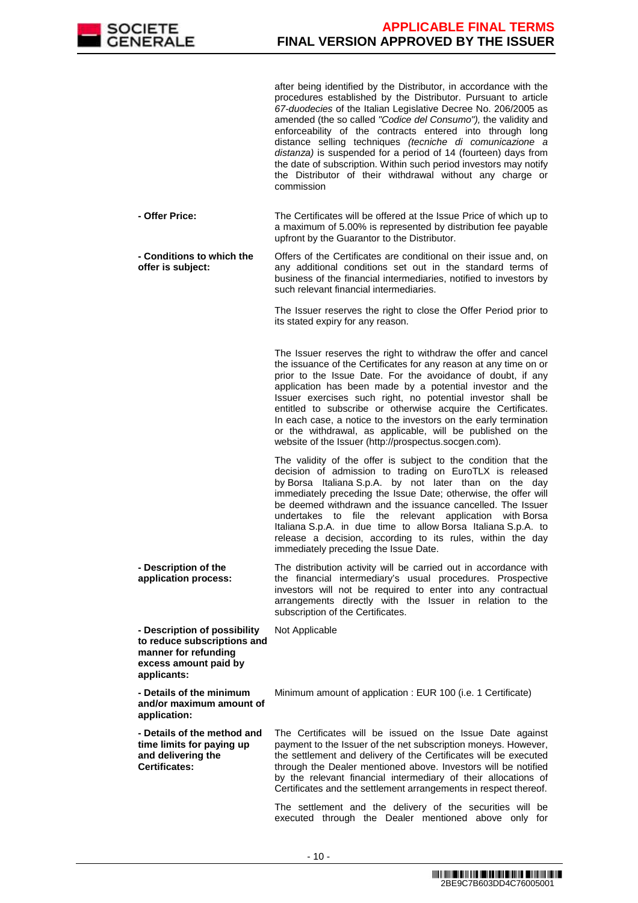

after being identified by the Distributor, in accordance with the procedures established by the Distributor. Pursuant to article 67-duodecies of the Italian Legislative Decree No. 206/2005 as amended (the so called "Codice del Consumo"), the validity and enforceability of the contracts entered into through long distance selling techniques (tecniche di comunicazione a distanza) is suspended for a period of 14 (fourteen) days from the date of subscription. Within such period investors may notify the Distributor of their withdrawal without any charge or commission

 **- Offer Price:** The Certificates will be offered at the Issue Price of which up to a maximum of 5.00% is represented by distribution fee payable upfront by the Guarantor to the Distributor.

 **- Conditions to which the offer is subject:** Offers of the Certificates are conditional on their issue and, on any additional conditions set out in the standard terms of business of the financial intermediaries, notified to investors by such relevant financial intermediaries.

> The Issuer reserves the right to close the Offer Period prior to its stated expiry for any reason.

> The Issuer reserves the right to withdraw the offer and cancel the issuance of the Certificates for any reason at any time on or prior to the Issue Date. For the avoidance of doubt, if any application has been made by a potential investor and the Issuer exercises such right, no potential investor shall be entitled to subscribe or otherwise acquire the Certificates. In each case, a notice to the investors on the early termination or the withdrawal, as applicable, will be published on the website of the Issuer (http://prospectus.socgen.com).

> The validity of the offer is subject to the condition that the decision of admission to trading on EuroTLX is released by Borsa Italiana S.p.A. by not later than on the day immediately preceding the Issue Date; otherwise, the offer will be deemed withdrawn and the issuance cancelled. The Issuer undertakes to file the relevant application with Borsa Italiana S.p.A. in due time to allow Borsa Italiana S.p.A. to release a decision, according to its rules, within the day immediately preceding the Issue Date.

 **- Description of the application process:** The distribution activity will be carried out in accordance with the financial intermediary's usual procedures. Prospective investors will not be required to enter into any contractual arrangements directly with the Issuer in relation to the subscription of the Certificates.

Not Applicable

 **- Description of possibility to reduce subscriptions and manner for refunding excess amount paid by applicants:**

 **- Details of the minimum and/or maximum amount of application:**

Minimum amount of application : EUR 100 (i.e. 1 Certificate)

 **- Details of the method and time limits for paying up and delivering the Certificates:**

The Certificates will be issued on the Issue Date against payment to the Issuer of the net subscription moneys. However, the settlement and delivery of the Certificates will be executed through the Dealer mentioned above. Investors will be notified by the relevant financial intermediary of their allocations of Certificates and the settlement arrangements in respect thereof.

 The settlement and the delivery of the securities will be executed through the Dealer mentioned above only for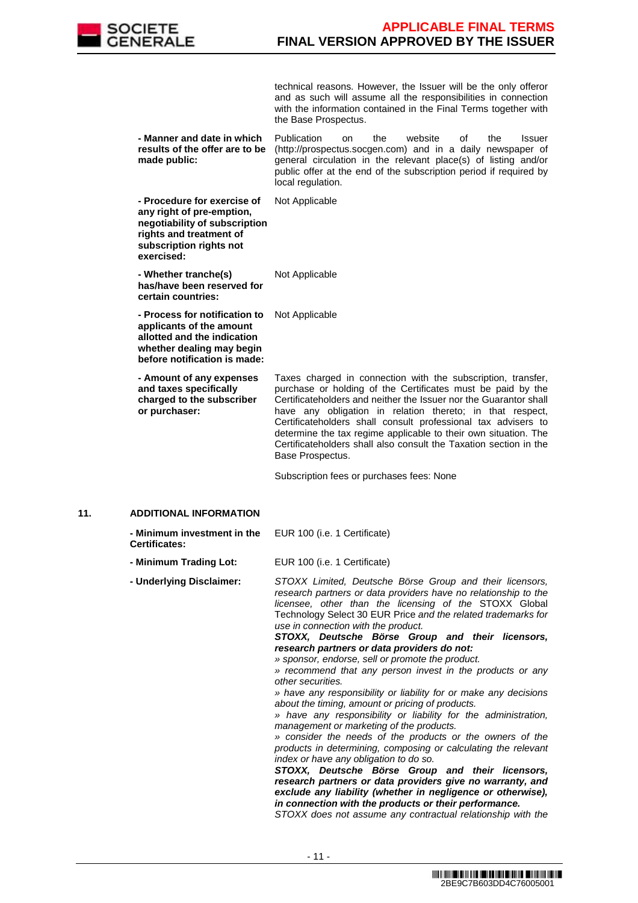

technical reasons. However, the Issuer will be the only offeror and as such will assume all the responsibilities in connection with the information contained in the Final Terms together with the Base Prospectus.

 **- Manner and date in which results of the offer are to be made public:** Publication on the website of the Issuer (http://prospectus.socgen.com) and in a daily newspaper of general circulation in the relevant place(s) of listing and/or public offer at the end of the subscription period if required by local regulation.

Not Applicable

 **- Procedure for exercise of any right of pre-emption, negotiability of subscription rights and treatment of subscription rights not exercised:**

 **- Whether tranche(s) has/have been reserved for certain countries:**

Not Applicable

 **- Process for notification to**  Not Applicable **applicants of the amount** 

**allotted and the indication whether dealing may begin before notification is made:**

 **- Amount of any expenses and taxes specifically charged to the subscriber or purchaser:**

Taxes charged in connection with the subscription, transfer, purchase or holding of the Certificates must be paid by the Certificateholders and neither the Issuer nor the Guarantor shall have any obligation in relation thereto; in that respect, Certificateholders shall consult professional tax advisers to determine the tax regime applicable to their own situation. The Certificateholders shall also consult the Taxation section in the Base Prospectus.

Subscription fees or purchases fees: None

# **11. ADDITIONAL INFORMATION**

| - Minimum investment in the<br><b>Certificates:</b> | EUR 100 (i.e. 1 Certificate)                                                                                                                                                                                                                                                                  |
|-----------------------------------------------------|-----------------------------------------------------------------------------------------------------------------------------------------------------------------------------------------------------------------------------------------------------------------------------------------------|
| - Minimum Trading Lot:                              | EUR 100 (i.e. 1 Certificate)                                                                                                                                                                                                                                                                  |
| - Underlying Disclaimer:                            | STOXX Limited, Deutsche Börse Group and their licensors,<br>research partners or data providers have no relationship to the<br>licensee, other than the licensing of the STOXX Global<br>Technology Select 30 EUR Price and the related trademarks for<br>use in connection with the product. |

**STOXX, Deutsche Börse Group and their licensors, research partners or data providers do not:**

» sponsor, endorse, sell or promote the product.

» recommend that any person invest in the products or any other securities.

» have any responsibility or liability for or make any decisions about the timing, amount or pricing of products.

» have any responsibility or liability for the administration, management or marketing of the products.

» consider the needs of the products or the owners of the products in determining, composing or calculating the relevant index or have any obligation to do so.

**STOXX, Deutsche Börse Group and their licensors, research partners or data providers give no warranty, and exclude any liability (whether in negligence or otherwise), in connection with the products or their performance.**

STOXX does not assume any contractual relationship with the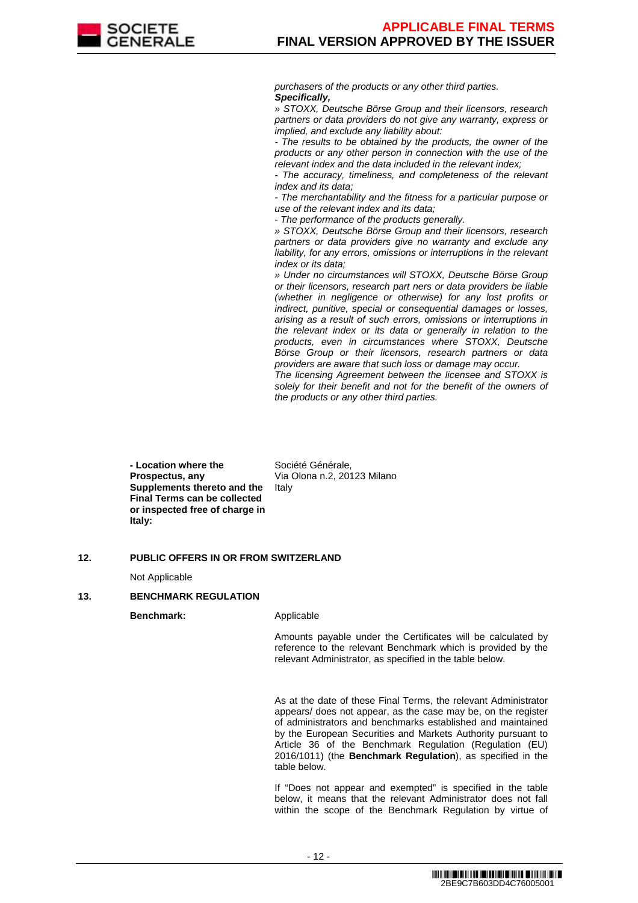

purchasers of the products or any other third parties. **Specifically,**

» STOXX, Deutsche Börse Group and their licensors, research partners or data providers do not give any warranty, express or implied, and exclude any liability about:

- The results to be obtained by the products, the owner of the products or any other person in connection with the use of the relevant index and the data included in the relevant index;

The accuracy, timeliness, and completeness of the relevant index and its data;

- The merchantability and the fitness for a particular purpose or use of the relevant index and its data;

- The performance of the products generally.

» STOXX, Deutsche Börse Group and their licensors, research partners or data providers give no warranty and exclude any liability, for any errors, omissions or interruptions in the relevant index or its data;

» Under no circumstances will STOXX, Deutsche Börse Group or their licensors, research part ners or data providers be liable (whether in negligence or otherwise) for any lost profits or indirect, punitive, special or consequential damages or losses, arising as a result of such errors, omissions or interruptions in the relevant index or its data or generally in relation to the products, even in circumstances where STOXX, Deutsche Börse Group or their licensors, research partners or data providers are aware that such loss or damage may occur.

The licensing Agreement between the licensee and STOXX is solely for their benefit and not for the benefit of the owners of the products or any other third parties.

 **- Location where the Prospectus, any Supplements thereto and the Final Terms can be collected or inspected free of charge in Italy:**

Société Générale, Via Olona n.2, 20123 Milano Italy

# **12. PUBLIC OFFERS IN OR FROM SWITZERLAND**

Not Applicable

#### **13. BENCHMARK REGULATION**

**Benchmark:** Applicable

Amounts payable under the Certificates will be calculated by reference to the relevant Benchmark which is provided by the relevant Administrator, as specified in the table below.

As at the date of these Final Terms, the relevant Administrator appears/ does not appear, as the case may be, on the register of administrators and benchmarks established and maintained by the European Securities and Markets Authority pursuant to Article 36 of the Benchmark Regulation (Regulation (EU) 2016/1011) (the **Benchmark Regulation**), as specified in the table below.

If "Does not appear and exempted" is specified in the table below, it means that the relevant Administrator does not fall within the scope of the Benchmark Regulation by virtue of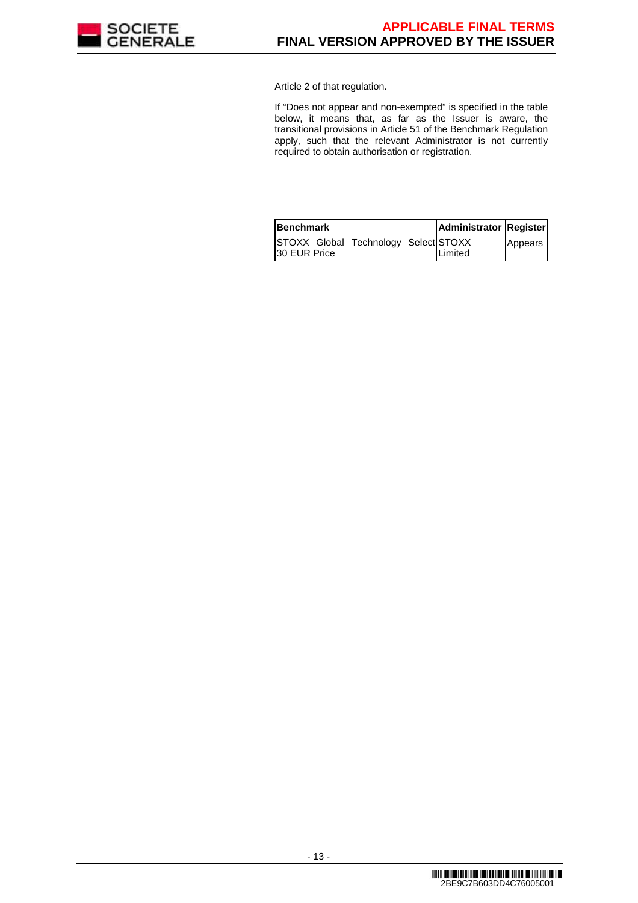

Article 2 of that regulation.

If "Does not appear and non-exempted" is specified in the table below, it means that, as far as the Issuer is aware, the transitional provisions in Article 51 of the Benchmark Regulation apply, such that the relevant Administrator is not currently required to obtain authorisation or registration.

| <b>Benchmark</b>                                            | Administrator Register |         |
|-------------------------------------------------------------|------------------------|---------|
| STOXX Global Technology Select STOXX<br><b>30 EUR Price</b> | Limited                | Appears |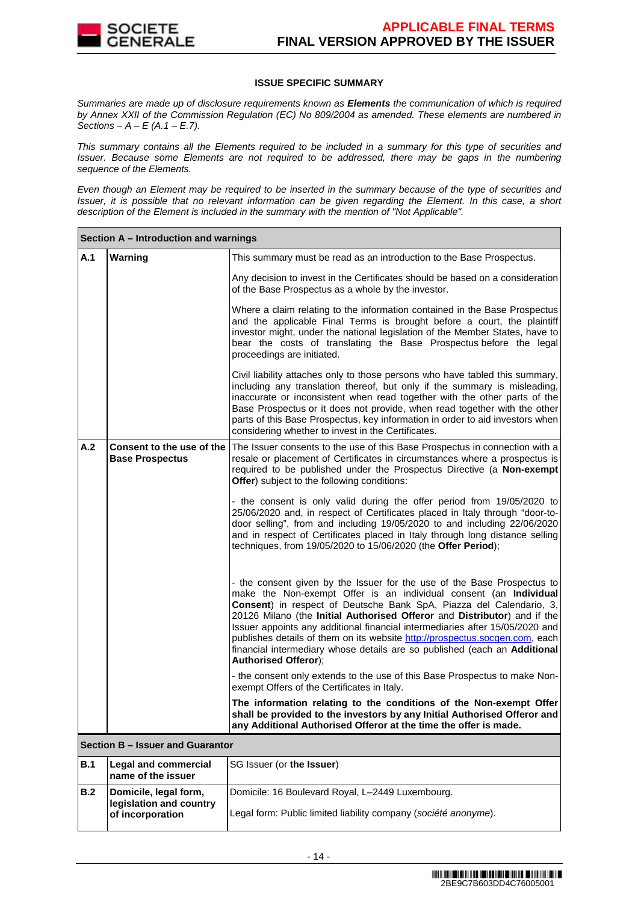

# **ISSUE SPECIFIC SUMMARY**

Summaries are made up of disclosure requirements known as **Elements** the communication of which is required by Annex XXII of the Commission Regulation (EC) No 809/2004 as amended. These elements are numbered in Sections –  $A - E(A.1 - E.7)$ .

This summary contains all the Elements required to be included in a summary for this type of securities and Issuer. Because some Elements are not required to be addressed, there may be gaps in the numbering sequence of the Elements.

Even though an Element may be required to be inserted in the summary because of the type of securities and Issuer, it is possible that no relevant information can be given regarding the Element. In this case, a short description of the Element is included in the summary with the mention of "Not Applicable".

|            | Section A - Introduction and warnings                                |                                                                                                                                                                                                                                                                                                                                                                                                                                                                                                                                                                            |  |  |  |
|------------|----------------------------------------------------------------------|----------------------------------------------------------------------------------------------------------------------------------------------------------------------------------------------------------------------------------------------------------------------------------------------------------------------------------------------------------------------------------------------------------------------------------------------------------------------------------------------------------------------------------------------------------------------------|--|--|--|
| A.1        | Warning                                                              | This summary must be read as an introduction to the Base Prospectus.                                                                                                                                                                                                                                                                                                                                                                                                                                                                                                       |  |  |  |
|            |                                                                      | Any decision to invest in the Certificates should be based on a consideration<br>of the Base Prospectus as a whole by the investor.                                                                                                                                                                                                                                                                                                                                                                                                                                        |  |  |  |
|            |                                                                      | Where a claim relating to the information contained in the Base Prospectus<br>and the applicable Final Terms is brought before a court, the plaintiff<br>investor might, under the national legislation of the Member States, have to<br>bear the costs of translating the Base Prospectus before the legal<br>proceedings are initiated.                                                                                                                                                                                                                                  |  |  |  |
|            |                                                                      | Civil liability attaches only to those persons who have tabled this summary,<br>including any translation thereof, but only if the summary is misleading,<br>inaccurate or inconsistent when read together with the other parts of the<br>Base Prospectus or it does not provide, when read together with the other<br>parts of this Base Prospectus, key information in order to aid investors when<br>considering whether to invest in the Certificates.                                                                                                                 |  |  |  |
| A.2        | Consent to the use of the<br><b>Base Prospectus</b>                  | The Issuer consents to the use of this Base Prospectus in connection with a<br>resale or placement of Certificates in circumstances where a prospectus is<br>required to be published under the Prospectus Directive (a Non-exempt<br>Offer) subject to the following conditions:                                                                                                                                                                                                                                                                                          |  |  |  |
|            |                                                                      | - the consent is only valid during the offer period from 19/05/2020 to<br>25/06/2020 and, in respect of Certificates placed in Italy through "door-to-<br>door selling", from and including 19/05/2020 to and including 22/06/2020<br>and in respect of Certificates placed in Italy through long distance selling<br>techniques, from 19/05/2020 to 15/06/2020 (the Offer Period);                                                                                                                                                                                        |  |  |  |
|            |                                                                      | - the consent given by the Issuer for the use of the Base Prospectus to<br>make the Non-exempt Offer is an individual consent (an Individual<br>Consent) in respect of Deutsche Bank SpA, Piazza del Calendario, 3,<br>20126 Milano (the Initial Authorised Offeror and Distributor) and if the<br>Issuer appoints any additional financial intermediaries after 15/05/2020 and<br>publishes details of them on its website http://prospectus.socgen.com, each<br>financial intermediary whose details are so published (each an Additional<br><b>Authorised Offeror);</b> |  |  |  |
|            |                                                                      | - the consent only extends to the use of this Base Prospectus to make Non-<br>exempt Offers of the Certificates in Italy.                                                                                                                                                                                                                                                                                                                                                                                                                                                  |  |  |  |
|            |                                                                      | The information relating to the conditions of the Non-exempt Offer<br>shall be provided to the investors by any Initial Authorised Offeror and<br>any Additional Authorised Offeror at the time the offer is made.                                                                                                                                                                                                                                                                                                                                                         |  |  |  |
|            | Section B - Issuer and Guarantor                                     |                                                                                                                                                                                                                                                                                                                                                                                                                                                                                                                                                                            |  |  |  |
| <b>B.1</b> | <b>Legal and commercial</b><br>name of the issuer                    | SG Issuer (or the Issuer)                                                                                                                                                                                                                                                                                                                                                                                                                                                                                                                                                  |  |  |  |
| B.2        | Domicile, legal form,<br>legislation and country<br>of incorporation | Domicile: 16 Boulevard Royal, L-2449 Luxembourg.<br>Legal form: Public limited liability company (société anonyme).                                                                                                                                                                                                                                                                                                                                                                                                                                                        |  |  |  |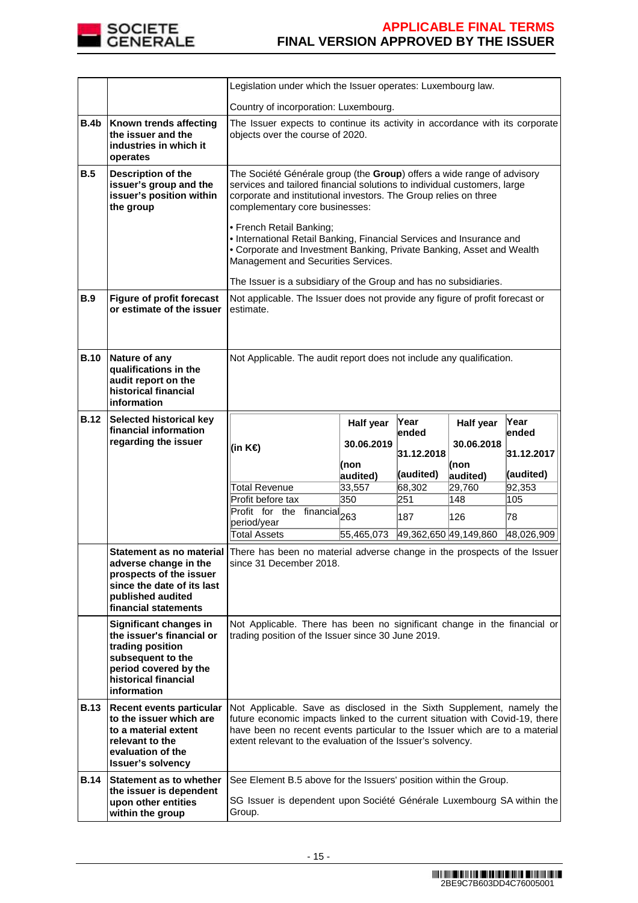

|             |                                                                                                                                                                     | Legislation under which the Issuer operates: Luxembourg law.                                                                                                                                                                                                                                                                                                                                                                                                                                                                                     |                                                                                                                  |               |                  |               |
|-------------|---------------------------------------------------------------------------------------------------------------------------------------------------------------------|--------------------------------------------------------------------------------------------------------------------------------------------------------------------------------------------------------------------------------------------------------------------------------------------------------------------------------------------------------------------------------------------------------------------------------------------------------------------------------------------------------------------------------------------------|------------------------------------------------------------------------------------------------------------------|---------------|------------------|---------------|
|             |                                                                                                                                                                     | Country of incorporation: Luxembourg.                                                                                                                                                                                                                                                                                                                                                                                                                                                                                                            |                                                                                                                  |               |                  |               |
| <b>B.4b</b> | Known trends affecting<br>the issuer and the<br>industries in which it<br>operates                                                                                  |                                                                                                                                                                                                                                                                                                                                                                                                                                                                                                                                                  | The Issuer expects to continue its activity in accordance with its corporate<br>objects over the course of 2020. |               |                  |               |
| B.5         | Description of the<br>issuer's group and the<br>issuer's position within<br>the group                                                                               | The Société Générale group (the Group) offers a wide range of advisory<br>services and tailored financial solutions to individual customers, large<br>corporate and institutional investors. The Group relies on three<br>complementary core businesses:<br>• French Retail Banking;<br>• International Retail Banking, Financial Services and Insurance and<br>• Corporate and Investment Banking, Private Banking, Asset and Wealth<br>Management and Securities Services.<br>The Issuer is a subsidiary of the Group and has no subsidiaries. |                                                                                                                  |               |                  |               |
| <b>B.9</b>  | <b>Figure of profit forecast</b><br>or estimate of the issuer                                                                                                       | estimate.                                                                                                                                                                                                                                                                                                                                                                                                                                                                                                                                        | Not applicable. The Issuer does not provide any figure of profit forecast or                                     |               |                  |               |
| <b>B.10</b> | Nature of any<br>qualifications in the<br>audit report on the<br>historical financial<br>information                                                                | Not Applicable. The audit report does not include any qualification.                                                                                                                                                                                                                                                                                                                                                                                                                                                                             |                                                                                                                  |               |                  |               |
| <b>B.12</b> | Selected historical key<br>financial information                                                                                                                    |                                                                                                                                                                                                                                                                                                                                                                                                                                                                                                                                                  | Half year                                                                                                        | Year<br>ended | Half year        | Year<br>ended |
|             | regarding the issuer                                                                                                                                                | (in K€)                                                                                                                                                                                                                                                                                                                                                                                                                                                                                                                                          | 30.06.2019                                                                                                       | 31.12.2018    | 30.06.2018       | 31.12.2017    |
|             |                                                                                                                                                                     |                                                                                                                                                                                                                                                                                                                                                                                                                                                                                                                                                  | (non<br>audited)                                                                                                 | (audited)     | (non<br>audited) | (audited)     |
|             |                                                                                                                                                                     | Total Revenue                                                                                                                                                                                                                                                                                                                                                                                                                                                                                                                                    | 33,557                                                                                                           | 68,302        | 29,760           | 92,353        |
|             |                                                                                                                                                                     | Profit before tax                                                                                                                                                                                                                                                                                                                                                                                                                                                                                                                                | 350                                                                                                              | 251           | 148              | 105           |
|             |                                                                                                                                                                     | Profit for the financial <sub>263</sub>                                                                                                                                                                                                                                                                                                                                                                                                                                                                                                          |                                                                                                                  | 187           | 126              | 78            |
|             |                                                                                                                                                                     | period/year<br><b>Total Assets</b>                                                                                                                                                                                                                                                                                                                                                                                                                                                                                                               | 55,465,073                                                                                                       |               |                  | 48,026,909    |
|             | adverse change in the<br>prospects of the issuer<br>since the date of its last<br>published audited<br>financial statements                                         | 49,362,650 49,149,860<br>Statement as no material There has been no material adverse change in the prospects of the Issuer<br>since 31 December 2018.                                                                                                                                                                                                                                                                                                                                                                                            |                                                                                                                  |               |                  |               |
|             | <b>Significant changes in</b><br>the issuer's financial or<br>trading position<br>subsequent to the<br>period covered by the<br>historical financial<br>information | Not Applicable. There has been no significant change in the financial or<br>trading position of the Issuer since 30 June 2019.                                                                                                                                                                                                                                                                                                                                                                                                                   |                                                                                                                  |               |                  |               |
| <b>B.13</b> | Recent events particular<br>to the issuer which are<br>to a material extent<br>relevant to the<br>evaluation of the<br><b>Issuer's solvency</b>                     | Not Applicable. Save as disclosed in the Sixth Supplement, namely the<br>future economic impacts linked to the current situation with Covid-19, there<br>have been no recent events particular to the Issuer which are to a material<br>extent relevant to the evaluation of the Issuer's solvency.                                                                                                                                                                                                                                              |                                                                                                                  |               |                  |               |
| <b>B.14</b> | Statement as to whether<br>the issuer is dependent                                                                                                                  | See Element B.5 above for the Issuers' position within the Group.                                                                                                                                                                                                                                                                                                                                                                                                                                                                                |                                                                                                                  |               |                  |               |
|             | upon other entities<br>within the group                                                                                                                             | SG Issuer is dependent upon Société Générale Luxembourg SA within the<br>Group.                                                                                                                                                                                                                                                                                                                                                                                                                                                                  |                                                                                                                  |               |                  |               |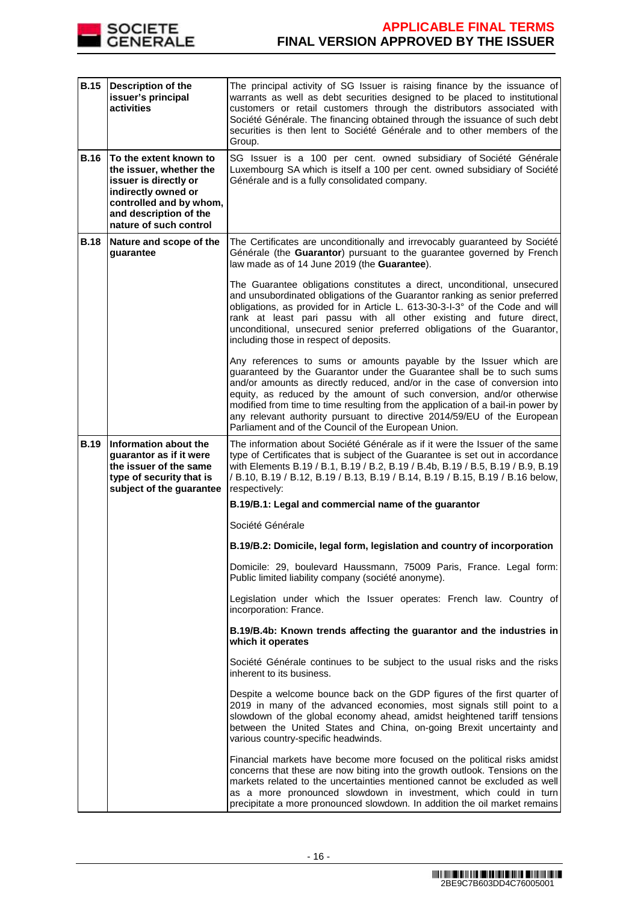

| <b>B.15</b> | Description of the<br>issuer's principal<br>activities                                                                                                                           | The principal activity of SG Issuer is raising finance by the issuance of<br>warrants as well as debt securities designed to be placed to institutional<br>customers or retail customers through the distributors associated with<br>Société Générale. The financing obtained through the issuance of such debt<br>securities is then lent to Société Générale and to other members of the<br>Group.                                                                                                                   |
|-------------|----------------------------------------------------------------------------------------------------------------------------------------------------------------------------------|------------------------------------------------------------------------------------------------------------------------------------------------------------------------------------------------------------------------------------------------------------------------------------------------------------------------------------------------------------------------------------------------------------------------------------------------------------------------------------------------------------------------|
| <b>B.16</b> | To the extent known to<br>the issuer, whether the<br>issuer is directly or<br>indirectly owned or<br>controlled and by whom,<br>and description of the<br>nature of such control | SG Issuer is a 100 per cent. owned subsidiary of Société Générale<br>Luxembourg SA which is itself a 100 per cent. owned subsidiary of Société<br>Générale and is a fully consolidated company.                                                                                                                                                                                                                                                                                                                        |
| <b>B.18</b> | Nature and scope of the<br>guarantee                                                                                                                                             | The Certificates are unconditionally and irrevocably guaranteed by Société<br>Générale (the Guarantor) pursuant to the guarantee governed by French<br>law made as of 14 June 2019 (the Guarantee).                                                                                                                                                                                                                                                                                                                    |
|             |                                                                                                                                                                                  | The Guarantee obligations constitutes a direct, unconditional, unsecured<br>and unsubordinated obligations of the Guarantor ranking as senior preferred<br>obligations, as provided for in Article L. 613-30-3-I-3° of the Code and will<br>rank at least pari passu with all other existing and future direct,<br>unconditional, unsecured senior preferred obligations of the Guarantor,<br>including those in respect of deposits.                                                                                  |
|             |                                                                                                                                                                                  | Any references to sums or amounts payable by the Issuer which are<br>guaranteed by the Guarantor under the Guarantee shall be to such sums<br>and/or amounts as directly reduced, and/or in the case of conversion into<br>equity, as reduced by the amount of such conversion, and/or otherwise<br>modified from time to time resulting from the application of a bail-in power by<br>any relevant authority pursuant to directive 2014/59/EU of the European<br>Parliament and of the Council of the European Union. |
| <b>B.19</b> | Information about the<br>guarantor as if it were<br>the issuer of the same<br>type of security that is<br>subject of the guarantee                                               | The information about Société Générale as if it were the Issuer of the same<br>type of Certificates that is subject of the Guarantee is set out in accordance<br>with Elements B.19 / B.1, B.19 / B.2, B.19 / B.4b, B.19 / B.5, B.19 / B.9, B.19<br>/ B.10, B.19 / B.12, B.19 / B.13, B.19 / B.14, B.19 / B.15, B.19 / B.16 below,<br>respectively:                                                                                                                                                                    |
|             |                                                                                                                                                                                  | B.19/B.1: Legal and commercial name of the guarantor                                                                                                                                                                                                                                                                                                                                                                                                                                                                   |
|             |                                                                                                                                                                                  | Société Générale                                                                                                                                                                                                                                                                                                                                                                                                                                                                                                       |
|             |                                                                                                                                                                                  | B.19/B.2: Domicile, legal form, legislation and country of incorporation                                                                                                                                                                                                                                                                                                                                                                                                                                               |
|             |                                                                                                                                                                                  | Domicile: 29, boulevard Haussmann, 75009 Paris, France. Legal form:<br>Public limited liability company (société anonyme).                                                                                                                                                                                                                                                                                                                                                                                             |
|             |                                                                                                                                                                                  | Legislation under which the Issuer operates: French law. Country of<br>incorporation: France.                                                                                                                                                                                                                                                                                                                                                                                                                          |
|             |                                                                                                                                                                                  | B.19/B.4b: Known trends affecting the guarantor and the industries in<br>which it operates                                                                                                                                                                                                                                                                                                                                                                                                                             |
|             |                                                                                                                                                                                  | Société Générale continues to be subject to the usual risks and the risks<br>inherent to its business.                                                                                                                                                                                                                                                                                                                                                                                                                 |
|             |                                                                                                                                                                                  | Despite a welcome bounce back on the GDP figures of the first quarter of<br>2019 in many of the advanced economies, most signals still point to a<br>slowdown of the global economy ahead, amidst heightened tariff tensions<br>between the United States and China, on-going Brexit uncertainty and<br>various country-specific headwinds.                                                                                                                                                                            |
|             |                                                                                                                                                                                  | Financial markets have become more focused on the political risks amidst<br>concerns that these are now biting into the growth outlook. Tensions on the<br>markets related to the uncertainties mentioned cannot be excluded as well<br>as a more pronounced slowdown in investment, which could in turn<br>precipitate a more pronounced slowdown. In addition the oil market remains                                                                                                                                 |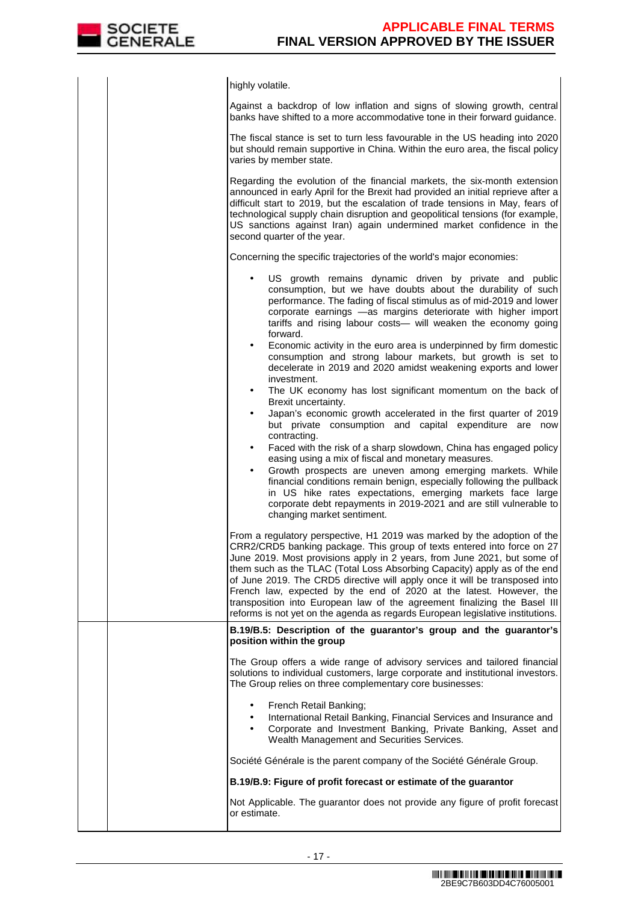

| highly volatile.                                                                                                                                                                                                                                                                                                                                                                                                                                                                                                                                                                                                                  |
|-----------------------------------------------------------------------------------------------------------------------------------------------------------------------------------------------------------------------------------------------------------------------------------------------------------------------------------------------------------------------------------------------------------------------------------------------------------------------------------------------------------------------------------------------------------------------------------------------------------------------------------|
| Against a backdrop of low inflation and signs of slowing growth, central<br>banks have shifted to a more accommodative tone in their forward guidance.                                                                                                                                                                                                                                                                                                                                                                                                                                                                            |
| The fiscal stance is set to turn less favourable in the US heading into 2020<br>but should remain supportive in China. Within the euro area, the fiscal policy<br>varies by member state.                                                                                                                                                                                                                                                                                                                                                                                                                                         |
| Regarding the evolution of the financial markets, the six-month extension<br>announced in early April for the Brexit had provided an initial reprieve after a<br>difficult start to 2019, but the escalation of trade tensions in May, fears of<br>technological supply chain disruption and geopolitical tensions (for example,<br>US sanctions against Iran) again undermined market confidence in the<br>second quarter of the year.                                                                                                                                                                                           |
| Concerning the specific trajectories of the world's major economies:                                                                                                                                                                                                                                                                                                                                                                                                                                                                                                                                                              |
| US growth remains dynamic driven by private and public<br>٠<br>consumption, but we have doubts about the durability of such<br>performance. The fading of fiscal stimulus as of mid-2019 and lower<br>corporate earnings -as margins deteriorate with higher import<br>tariffs and rising labour costs- will weaken the economy going<br>forward.                                                                                                                                                                                                                                                                                 |
| Economic activity in the euro area is underpinned by firm domestic<br>$\bullet$<br>consumption and strong labour markets, but growth is set to<br>decelerate in 2019 and 2020 amidst weakening exports and lower<br>investment.<br>The UK economy has lost significant momentum on the back of<br>$\bullet$                                                                                                                                                                                                                                                                                                                       |
| Brexit uncertainty.<br>Japan's economic growth accelerated in the first quarter of 2019<br>$\bullet$<br>but private consumption and capital expenditure are now<br>contracting.                                                                                                                                                                                                                                                                                                                                                                                                                                                   |
| Faced with the risk of a sharp slowdown, China has engaged policy<br>$\bullet$<br>easing using a mix of fiscal and monetary measures.<br>Growth prospects are uneven among emerging markets. While<br>financial conditions remain benign, especially following the pullback<br>in US hike rates expectations, emerging markets face large<br>corporate debt repayments in 2019-2021 and are still vulnerable to<br>changing market sentiment.                                                                                                                                                                                     |
| From a regulatory perspective, H1 2019 was marked by the adoption of the<br>CRR2/CRD5 banking package. This group of texts entered into force on 27<br>June 2019. Most provisions apply in 2 years, from June 2021, but some of<br>them such as the TLAC (Total Loss Absorbing Capacity) apply as of the end<br>of June 2019. The CRD5 directive will apply once it will be transposed into<br>French law, expected by the end of 2020 at the latest. However, the<br>transposition into European law of the agreement finalizing the Basel III<br>reforms is not yet on the agenda as regards European legislative institutions. |
| B.19/B.5: Description of the guarantor's group and the guarantor's<br>position within the group                                                                                                                                                                                                                                                                                                                                                                                                                                                                                                                                   |
| The Group offers a wide range of advisory services and tailored financial<br>solutions to individual customers, large corporate and institutional investors.<br>The Group relies on three complementary core businesses:                                                                                                                                                                                                                                                                                                                                                                                                          |
| French Retail Banking;<br>International Retail Banking, Financial Services and Insurance and<br>$\bullet$<br>Corporate and Investment Banking, Private Banking, Asset and<br>Wealth Management and Securities Services.                                                                                                                                                                                                                                                                                                                                                                                                           |
| Société Générale is the parent company of the Société Générale Group.                                                                                                                                                                                                                                                                                                                                                                                                                                                                                                                                                             |
| B.19/B.9: Figure of profit forecast or estimate of the guarantor                                                                                                                                                                                                                                                                                                                                                                                                                                                                                                                                                                  |
| Not Applicable. The guarantor does not provide any figure of profit forecast<br>or estimate.                                                                                                                                                                                                                                                                                                                                                                                                                                                                                                                                      |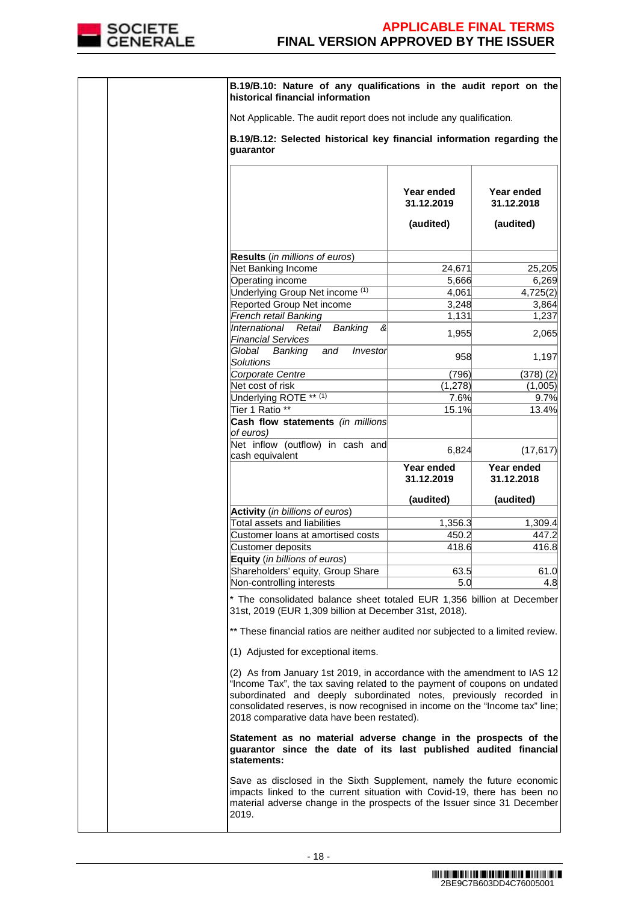

|  | B.19/B.10: Nature of any qualifications in the audit report on the<br>historical financial information                                                                                                                                                                                                                                                    |                          |                          |
|--|-----------------------------------------------------------------------------------------------------------------------------------------------------------------------------------------------------------------------------------------------------------------------------------------------------------------------------------------------------------|--------------------------|--------------------------|
|  | Not Applicable. The audit report does not include any qualification.                                                                                                                                                                                                                                                                                      |                          |                          |
|  | B.19/B.12: Selected historical key financial information regarding the<br>guarantor                                                                                                                                                                                                                                                                       |                          |                          |
|  |                                                                                                                                                                                                                                                                                                                                                           | Year ended<br>31.12.2019 | Year ended<br>31.12.2018 |
|  |                                                                                                                                                                                                                                                                                                                                                           | (audited)                | (audited)                |
|  |                                                                                                                                                                                                                                                                                                                                                           |                          |                          |
|  | <b>Results</b> (in millions of euros)                                                                                                                                                                                                                                                                                                                     |                          |                          |
|  | Net Banking Income                                                                                                                                                                                                                                                                                                                                        | 24,671                   | 25,205                   |
|  | Operating income                                                                                                                                                                                                                                                                                                                                          | 5,666                    | 6,269                    |
|  | Underlying Group Net income (1)                                                                                                                                                                                                                                                                                                                           | 4,061                    | 4,725(2)                 |
|  | Reported Group Net income                                                                                                                                                                                                                                                                                                                                 | 3,248                    | 3,864                    |
|  | French retail Banking                                                                                                                                                                                                                                                                                                                                     | 1,131                    | 1,237                    |
|  | International<br>Retail<br>ଝ                                                                                                                                                                                                                                                                                                                              |                          |                          |
|  | Banking<br><b>Financial Services</b>                                                                                                                                                                                                                                                                                                                      | 1,955                    | 2,065                    |
|  | and<br>Global Banking<br>Investor<br><b>Solutions</b>                                                                                                                                                                                                                                                                                                     | 958                      | 1,197                    |
|  | Corporate Centre                                                                                                                                                                                                                                                                                                                                          | (796)                    | (378)(2)                 |
|  | Net cost of risk                                                                                                                                                                                                                                                                                                                                          | (1, 278)                 | (1,005)                  |
|  |                                                                                                                                                                                                                                                                                                                                                           |                          |                          |
|  | Underlying ROTE ** (1)                                                                                                                                                                                                                                                                                                                                    | 7.6%                     | 9.7%                     |
|  | Tier 1 Ratio <sup>**</sup><br>Cash flow statements (in millions<br>of euros)                                                                                                                                                                                                                                                                              | 15.1%                    | 13.4%                    |
|  | Net inflow (outflow) in cash and<br>cash equivalent                                                                                                                                                                                                                                                                                                       | 6,824                    | (17, 617)                |
|  |                                                                                                                                                                                                                                                                                                                                                           | Year ended<br>31.12.2019 | Year ended<br>31.12.2018 |
|  |                                                                                                                                                                                                                                                                                                                                                           | (audited)                | (audited)                |
|  | Activity (in billions of euros)                                                                                                                                                                                                                                                                                                                           |                          |                          |
|  | Total assets and liabilities                                                                                                                                                                                                                                                                                                                              | 1,356.3                  | 1,309.4                  |
|  | Customer loans at amortised costs                                                                                                                                                                                                                                                                                                                         | 450.2                    | 447.2                    |
|  | Customer deposits                                                                                                                                                                                                                                                                                                                                         | 418.6                    | 416.8                    |
|  |                                                                                                                                                                                                                                                                                                                                                           |                          |                          |
|  | <b>Equity</b> (in billions of euros)                                                                                                                                                                                                                                                                                                                      |                          |                          |
|  | Shareholders' equity, Group Share                                                                                                                                                                                                                                                                                                                         | 63.5                     | 61.0                     |
|  | Non-controlling interests                                                                                                                                                                                                                                                                                                                                 | 5.0                      | 4.8                      |
|  | * The consolidated balance sheet totaled EUR 1,356 billion at December<br>31st, 2019 (EUR 1,309 billion at December 31st, 2018).<br>** These financial ratios are neither audited nor subjected to a limited review.                                                                                                                                      |                          |                          |
|  | (1) Adjusted for exceptional items.                                                                                                                                                                                                                                                                                                                       |                          |                          |
|  | (2) As from January 1st 2019, in accordance with the amendment to IAS 12<br>"Income Tax", the tax saving related to the payment of coupons on undated<br>subordinated and deeply subordinated notes, previously recorded in<br>consolidated reserves, is now recognised in income on the "Income tax" line;<br>2018 comparative data have been restated). |                          |                          |
|  | Statement as no material adverse change in the prospects of the<br>guarantor since the date of its last published audited financial<br>statements:                                                                                                                                                                                                        |                          |                          |
|  | Save as disclosed in the Sixth Supplement, namely the future economic<br>impacts linked to the current situation with Covid-19, there has been no<br>material adverse change in the prospects of the Issuer since 31 December<br>2019.                                                                                                                    |                          |                          |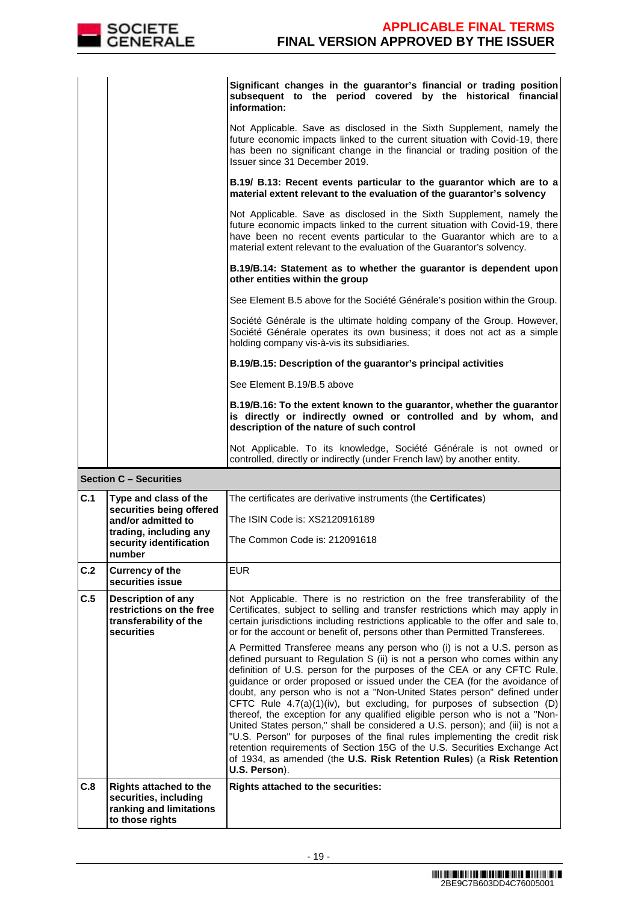|     | <b>SOCIETE</b><br><b>GENERALE</b>                                                                    | <b>APPLICABLE FINAL TERMS</b><br><b>FINAL VERSION APPROVED BY THE ISSUER</b>                                                                                                                                                                                                                                                                                                                                                                                                                                                                                                                                                                                                                                                                                                                                                                                                           |
|-----|------------------------------------------------------------------------------------------------------|----------------------------------------------------------------------------------------------------------------------------------------------------------------------------------------------------------------------------------------------------------------------------------------------------------------------------------------------------------------------------------------------------------------------------------------------------------------------------------------------------------------------------------------------------------------------------------------------------------------------------------------------------------------------------------------------------------------------------------------------------------------------------------------------------------------------------------------------------------------------------------------|
|     |                                                                                                      | Significant changes in the guarantor's financial or trading position<br>subsequent to the period covered by the historical financial<br>information:                                                                                                                                                                                                                                                                                                                                                                                                                                                                                                                                                                                                                                                                                                                                   |
|     |                                                                                                      | Not Applicable. Save as disclosed in the Sixth Supplement, namely the<br>future economic impacts linked to the current situation with Covid-19, there<br>has been no significant change in the financial or trading position of the<br>Issuer since 31 December 2019.                                                                                                                                                                                                                                                                                                                                                                                                                                                                                                                                                                                                                  |
|     |                                                                                                      | B.19/ B.13: Recent events particular to the guarantor which are to a<br>material extent relevant to the evaluation of the guarantor's solvency                                                                                                                                                                                                                                                                                                                                                                                                                                                                                                                                                                                                                                                                                                                                         |
|     |                                                                                                      | Not Applicable. Save as disclosed in the Sixth Supplement, namely the<br>future economic impacts linked to the current situation with Covid-19, there<br>have been no recent events particular to the Guarantor which are to a<br>material extent relevant to the evaluation of the Guarantor's solvency.                                                                                                                                                                                                                                                                                                                                                                                                                                                                                                                                                                              |
|     |                                                                                                      | B.19/B.14: Statement as to whether the guarantor is dependent upon<br>other entities within the group                                                                                                                                                                                                                                                                                                                                                                                                                                                                                                                                                                                                                                                                                                                                                                                  |
|     |                                                                                                      | See Element B.5 above for the Société Générale's position within the Group.                                                                                                                                                                                                                                                                                                                                                                                                                                                                                                                                                                                                                                                                                                                                                                                                            |
|     |                                                                                                      | Société Générale is the ultimate holding company of the Group. However,<br>Société Générale operates its own business; it does not act as a simple<br>holding company vis-à-vis its subsidiaries.                                                                                                                                                                                                                                                                                                                                                                                                                                                                                                                                                                                                                                                                                      |
|     |                                                                                                      | B.19/B.15: Description of the guarantor's principal activities                                                                                                                                                                                                                                                                                                                                                                                                                                                                                                                                                                                                                                                                                                                                                                                                                         |
|     |                                                                                                      | See Element B.19/B.5 above                                                                                                                                                                                                                                                                                                                                                                                                                                                                                                                                                                                                                                                                                                                                                                                                                                                             |
|     |                                                                                                      | B.19/B.16: To the extent known to the guarantor, whether the guarantor<br>is directly or indirectly owned or controlled and by whom, and<br>description of the nature of such control                                                                                                                                                                                                                                                                                                                                                                                                                                                                                                                                                                                                                                                                                                  |
|     |                                                                                                      | Not Applicable. To its knowledge, Société Générale is not owned or<br>controlled, directly or indirectly (under French law) by another entity.                                                                                                                                                                                                                                                                                                                                                                                                                                                                                                                                                                                                                                                                                                                                         |
|     | <b>Section C - Securities</b>                                                                        |                                                                                                                                                                                                                                                                                                                                                                                                                                                                                                                                                                                                                                                                                                                                                                                                                                                                                        |
| C.1 | Type and class of the<br>securities being offered                                                    | The certificates are derivative instruments (the <b>Certificates</b> )                                                                                                                                                                                                                                                                                                                                                                                                                                                                                                                                                                                                                                                                                                                                                                                                                 |
|     | and/or admitted to<br>trading, including any                                                         | The ISIN Code is: XS2120916189                                                                                                                                                                                                                                                                                                                                                                                                                                                                                                                                                                                                                                                                                                                                                                                                                                                         |
|     | security identification<br>number                                                                    | The Common Code is: 212091618                                                                                                                                                                                                                                                                                                                                                                                                                                                                                                                                                                                                                                                                                                                                                                                                                                                          |
| C.2 | <b>Currency of the</b><br>securities issue                                                           | <b>EUR</b>                                                                                                                                                                                                                                                                                                                                                                                                                                                                                                                                                                                                                                                                                                                                                                                                                                                                             |
| C.5 | <b>Description of any</b><br>restrictions on the free<br>transferability of the<br>securities        | Not Applicable. There is no restriction on the free transferability of the<br>Certificates, subject to selling and transfer restrictions which may apply in<br>certain jurisdictions including restrictions applicable to the offer and sale to,<br>or for the account or benefit of, persons other than Permitted Transferees.                                                                                                                                                                                                                                                                                                                                                                                                                                                                                                                                                        |
|     |                                                                                                      | A Permitted Transferee means any person who (i) is not a U.S. person as<br>defined pursuant to Regulation S (ii) is not a person who comes within any<br>definition of U.S. person for the purposes of the CEA or any CFTC Rule,<br>guidance or order proposed or issued under the CEA (for the avoidance of<br>doubt, any person who is not a "Non-United States person" defined under<br>CFTC Rule 4.7(a)(1)(iv), but excluding, for purposes of subsection (D)<br>thereof, the exception for any qualified eligible person who is not a "Non-<br>United States person," shall be considered a U.S. person); and (iii) is not a<br>"U.S. Person" for purposes of the final rules implementing the credit risk<br>retention requirements of Section 15G of the U.S. Securities Exchange Act<br>of 1934, as amended (the U.S. Risk Retention Rules) (a Risk Retention<br>U.S. Person). |
| C.8 | <b>Rights attached to the</b><br>securities, including<br>ranking and limitations<br>to those rights | <b>Rights attached to the securities:</b>                                                                                                                                                                                                                                                                                                                                                                                                                                                                                                                                                                                                                                                                                                                                                                                                                                              |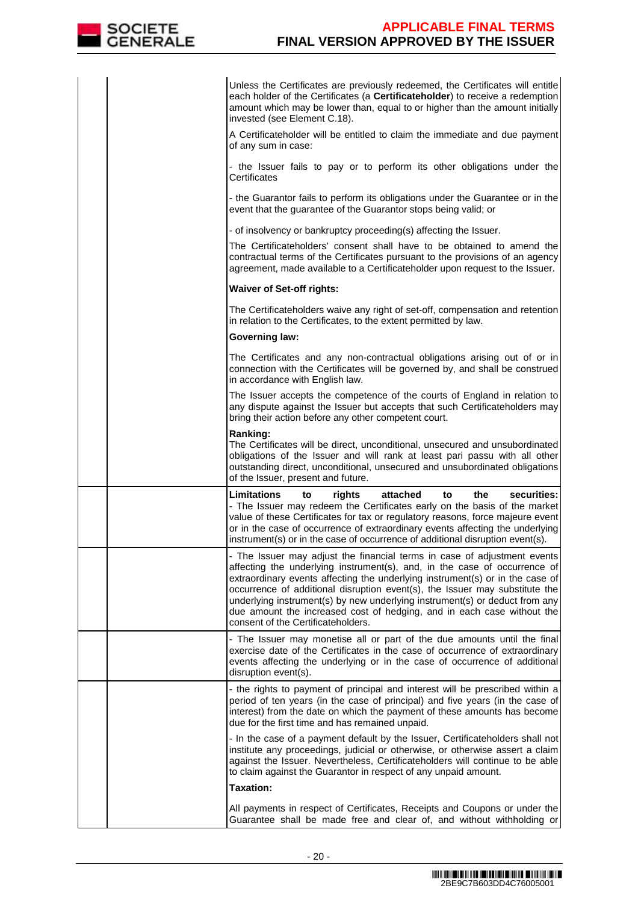

|  | Unless the Certificates are previously redeemed, the Certificates will entitle<br>each holder of the Certificates (a Certificateholder) to receive a redemption<br>amount which may be lower than, equal to or higher than the amount initially<br>invested (see Element C.18).                                                                                                                                                                                                                                      |
|--|----------------------------------------------------------------------------------------------------------------------------------------------------------------------------------------------------------------------------------------------------------------------------------------------------------------------------------------------------------------------------------------------------------------------------------------------------------------------------------------------------------------------|
|  | A Certificateholder will be entitled to claim the immediate and due payment<br>of any sum in case:                                                                                                                                                                                                                                                                                                                                                                                                                   |
|  | - the Issuer fails to pay or to perform its other obligations under the<br>Certificates                                                                                                                                                                                                                                                                                                                                                                                                                              |
|  | - the Guarantor fails to perform its obligations under the Guarantee or in the<br>event that the guarantee of the Guarantor stops being valid; or                                                                                                                                                                                                                                                                                                                                                                    |
|  | - of insolvency or bankruptcy proceeding(s) affecting the Issuer.                                                                                                                                                                                                                                                                                                                                                                                                                                                    |
|  | The Certificateholders' consent shall have to be obtained to amend the<br>contractual terms of the Certificates pursuant to the provisions of an agency<br>agreement, made available to a Certificateholder upon request to the Issuer.                                                                                                                                                                                                                                                                              |
|  | <b>Waiver of Set-off rights:</b>                                                                                                                                                                                                                                                                                                                                                                                                                                                                                     |
|  | The Certificateholders waive any right of set-off, compensation and retention<br>in relation to the Certificates, to the extent permitted by law.                                                                                                                                                                                                                                                                                                                                                                    |
|  | <b>Governing law:</b>                                                                                                                                                                                                                                                                                                                                                                                                                                                                                                |
|  | The Certificates and any non-contractual obligations arising out of or in<br>connection with the Certificates will be governed by, and shall be construed<br>in accordance with English law.                                                                                                                                                                                                                                                                                                                         |
|  | The Issuer accepts the competence of the courts of England in relation to<br>any dispute against the Issuer but accepts that such Certificateholders may<br>bring their action before any other competent court.                                                                                                                                                                                                                                                                                                     |
|  | Ranking:<br>The Certificates will be direct, unconditional, unsecured and unsubordinated<br>obligations of the Issuer and will rank at least pari passu with all other<br>outstanding direct, unconditional, unsecured and unsubordinated obligations<br>of the Issuer, present and future.                                                                                                                                                                                                                          |
|  | <b>Limitations</b><br>attached<br>the<br>securities:<br>to<br>rights<br>to<br>- The Issuer may redeem the Certificates early on the basis of the market<br>value of these Certificates for tax or regulatory reasons, force majeure event<br>or in the case of occurrence of extraordinary events affecting the underlying<br>instrument(s) or in the case of occurrence of additional disruption event(s).                                                                                                          |
|  | - The Issuer may adjust the financial terms in case of adjustment events<br>affecting the underlying instrument(s), and, in the case of occurrence of<br>extraordinary events affecting the underlying instrument(s) or in the case of<br>occurrence of additional disruption event(s), the Issuer may substitute the<br>underlying instrument(s) by new underlying instrument(s) or deduct from any<br>due amount the increased cost of hedging, and in each case without the<br>consent of the Certificateholders. |
|  | - The Issuer may monetise all or part of the due amounts until the final<br>exercise date of the Certificates in the case of occurrence of extraordinary<br>events affecting the underlying or in the case of occurrence of additional<br>disruption event(s).                                                                                                                                                                                                                                                       |
|  | - the rights to payment of principal and interest will be prescribed within a<br>period of ten years (in the case of principal) and five years (in the case of<br>interest) from the date on which the payment of these amounts has become<br>due for the first time and has remained unpaid.                                                                                                                                                                                                                        |
|  | - In the case of a payment default by the Issuer, Certificateholders shall not<br>institute any proceedings, judicial or otherwise, or otherwise assert a claim<br>against the Issuer. Nevertheless, Certificateholders will continue to be able<br>to claim against the Guarantor in respect of any unpaid amount.                                                                                                                                                                                                  |
|  | <b>Taxation:</b>                                                                                                                                                                                                                                                                                                                                                                                                                                                                                                     |
|  | All payments in respect of Certificates, Receipts and Coupons or under the<br>Guarantee shall be made free and clear of, and without withholding or                                                                                                                                                                                                                                                                                                                                                                  |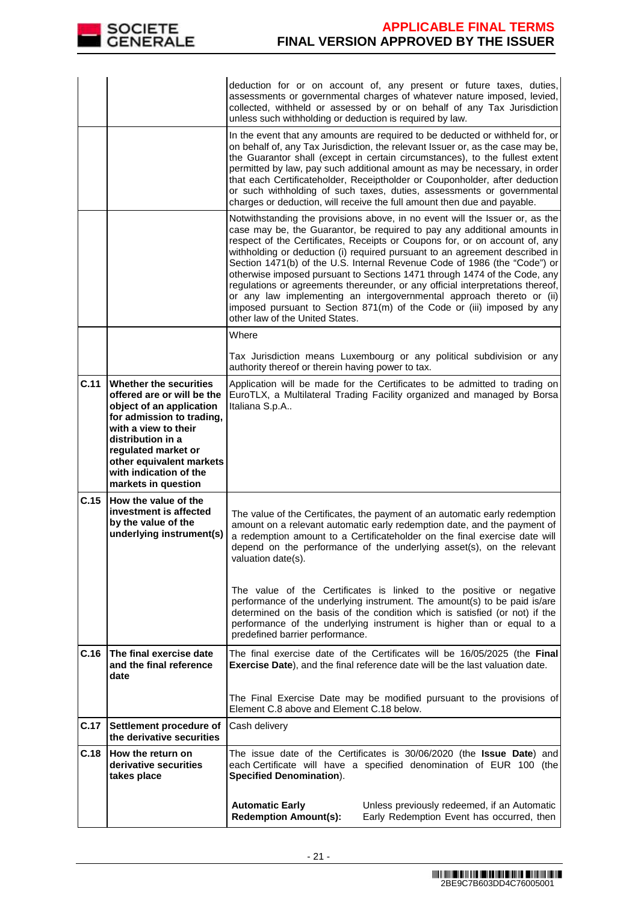

|      |                                                                                                                                                                                                                                                                       | unless such withholding or deduction is required by law.                                                                                                                                                                                                                                                                                    | deduction for or on account of, any present or future taxes, duties,<br>assessments or governmental charges of whatever nature imposed, levied,<br>collected, withheld or assessed by or on behalf of any Tax Jurisdiction                                                                                                                                                                                                                                                                                                                                                                                                                                                                                            |  |  |
|------|-----------------------------------------------------------------------------------------------------------------------------------------------------------------------------------------------------------------------------------------------------------------------|---------------------------------------------------------------------------------------------------------------------------------------------------------------------------------------------------------------------------------------------------------------------------------------------------------------------------------------------|-----------------------------------------------------------------------------------------------------------------------------------------------------------------------------------------------------------------------------------------------------------------------------------------------------------------------------------------------------------------------------------------------------------------------------------------------------------------------------------------------------------------------------------------------------------------------------------------------------------------------------------------------------------------------------------------------------------------------|--|--|
|      |                                                                                                                                                                                                                                                                       |                                                                                                                                                                                                                                                                                                                                             | In the event that any amounts are required to be deducted or withheld for, or<br>on behalf of, any Tax Jurisdiction, the relevant Issuer or, as the case may be,<br>the Guarantor shall (except in certain circumstances), to the fullest extent<br>permitted by law, pay such additional amount as may be necessary, in order<br>that each Certificateholder, Receiptholder or Couponholder, after deduction<br>or such withholding of such taxes, duties, assessments or governmental<br>charges or deduction, will receive the full amount then due and payable.                                                                                                                                                   |  |  |
|      |                                                                                                                                                                                                                                                                       | other law of the United States.                                                                                                                                                                                                                                                                                                             | Notwithstanding the provisions above, in no event will the Issuer or, as the<br>case may be, the Guarantor, be required to pay any additional amounts in<br>respect of the Certificates, Receipts or Coupons for, or on account of, any<br>withholding or deduction (i) required pursuant to an agreement described in<br>Section 1471(b) of the U.S. Internal Revenue Code of 1986 (the "Code") or<br>otherwise imposed pursuant to Sections 1471 through 1474 of the Code, any<br>regulations or agreements thereunder, or any official interpretations thereof,<br>or any law implementing an intergovernmental approach thereto or (ii)<br>imposed pursuant to Section 871(m) of the Code or (iii) imposed by any |  |  |
|      |                                                                                                                                                                                                                                                                       | Where                                                                                                                                                                                                                                                                                                                                       | Tax Jurisdiction means Luxembourg or any political subdivision or any                                                                                                                                                                                                                                                                                                                                                                                                                                                                                                                                                                                                                                                 |  |  |
|      |                                                                                                                                                                                                                                                                       | authority thereof or therein having power to tax.                                                                                                                                                                                                                                                                                           |                                                                                                                                                                                                                                                                                                                                                                                                                                                                                                                                                                                                                                                                                                                       |  |  |
| C.11 | <b>Whether the securities</b><br>offered are or will be the<br>object of an application<br>for admission to trading,<br>with a view to their<br>distribution in a<br>regulated market or<br>other equivalent markets<br>with indication of the<br>markets in question | Italiana S.p.A                                                                                                                                                                                                                                                                                                                              | Application will be made for the Certificates to be admitted to trading on<br>EuroTLX, a Multilateral Trading Facility organized and managed by Borsa                                                                                                                                                                                                                                                                                                                                                                                                                                                                                                                                                                 |  |  |
| C.15 | How the value of the<br>investment is affected<br>by the value of the<br>underlying instrument(s)                                                                                                                                                                     | valuation date(s).                                                                                                                                                                                                                                                                                                                          | The value of the Certificates, the payment of an automatic early redemption<br>amount on a relevant automatic early redemption date, and the payment of<br>a redemption amount to a Certificateholder on the final exercise date will<br>depend on the performance of the underlying asset(s), on the relevant                                                                                                                                                                                                                                                                                                                                                                                                        |  |  |
|      |                                                                                                                                                                                                                                                                       | The value of the Certificates is linked to the positive or negative<br>performance of the underlying instrument. The amount(s) to be paid is/are<br>determined on the basis of the condition which is satisfied (or not) if the<br>performance of the underlying instrument is higher than or equal to a<br>predefined barrier performance. |                                                                                                                                                                                                                                                                                                                                                                                                                                                                                                                                                                                                                                                                                                                       |  |  |
| C.16 | The final exercise date<br>and the final reference<br>date                                                                                                                                                                                                            |                                                                                                                                                                                                                                                                                                                                             | The final exercise date of the Certificates will be 16/05/2025 (the Final<br>Exercise Date), and the final reference date will be the last valuation date.                                                                                                                                                                                                                                                                                                                                                                                                                                                                                                                                                            |  |  |
|      |                                                                                                                                                                                                                                                                       | Element C.8 above and Element C.18 below.                                                                                                                                                                                                                                                                                                   | The Final Exercise Date may be modified pursuant to the provisions of                                                                                                                                                                                                                                                                                                                                                                                                                                                                                                                                                                                                                                                 |  |  |
| C.17 | Settlement procedure of<br>the derivative securities                                                                                                                                                                                                                  | Cash delivery                                                                                                                                                                                                                                                                                                                               |                                                                                                                                                                                                                                                                                                                                                                                                                                                                                                                                                                                                                                                                                                                       |  |  |
| C.18 | How the return on<br>derivative securities<br>takes place                                                                                                                                                                                                             | The issue date of the Certificates is 30/06/2020 (the Issue Date) and<br>each Certificate will have a specified denomination of EUR 100 (the<br><b>Specified Denomination).</b>                                                                                                                                                             |                                                                                                                                                                                                                                                                                                                                                                                                                                                                                                                                                                                                                                                                                                                       |  |  |
|      |                                                                                                                                                                                                                                                                       | <b>Automatic Early</b><br><b>Redemption Amount(s):</b>                                                                                                                                                                                                                                                                                      | Unless previously redeemed, if an Automatic<br>Early Redemption Event has occurred, then                                                                                                                                                                                                                                                                                                                                                                                                                                                                                                                                                                                                                              |  |  |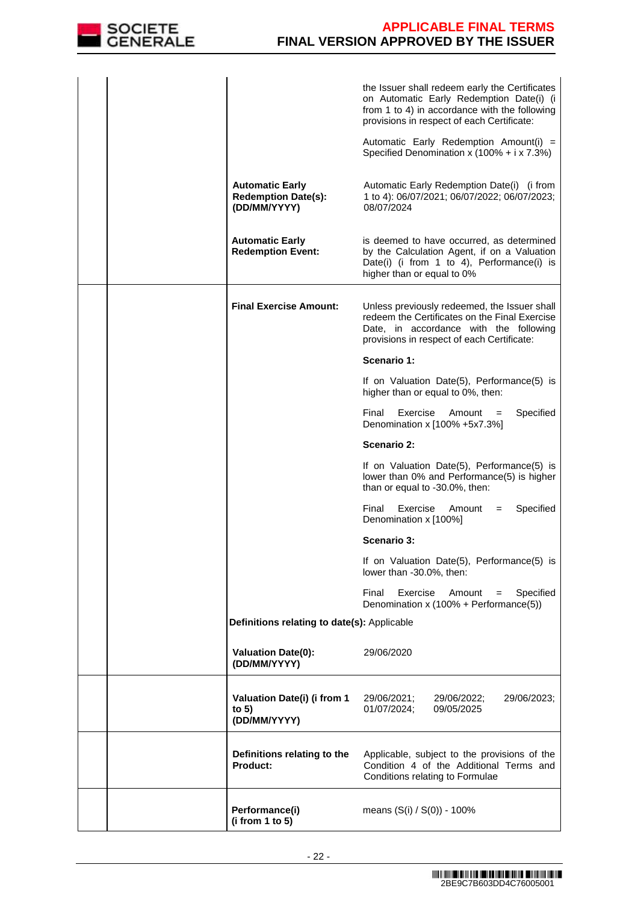

|  |                                                                      | the Issuer shall redeem early the Certificates<br>on Automatic Early Redemption Date(i) (i<br>from 1 to 4) in accordance with the following<br>provisions in respect of each Certificate:<br>Automatic Early Redemption Amount(i) = |
|--|----------------------------------------------------------------------|-------------------------------------------------------------------------------------------------------------------------------------------------------------------------------------------------------------------------------------|
|  |                                                                      | Specified Denomination x $(100\% + i \times 7.3\%)$                                                                                                                                                                                 |
|  | <b>Automatic Early</b><br><b>Redemption Date(s):</b><br>(DD/MM/YYYY) | Automatic Early Redemption Date(i) (i from<br>1 to 4): 06/07/2021; 06/07/2022; 06/07/2023;<br>08/07/2024                                                                                                                            |
|  | <b>Automatic Early</b><br><b>Redemption Event:</b>                   | is deemed to have occurred, as determined<br>by the Calculation Agent, if on a Valuation<br>Date(i) (i from 1 to 4), Performance(i) is<br>higher than or equal to 0%                                                                |
|  | <b>Final Exercise Amount:</b>                                        | Unless previously redeemed, the Issuer shall<br>redeem the Certificates on the Final Exercise<br>Date, in accordance with the following<br>provisions in respect of each Certificate:                                               |
|  |                                                                      | Scenario 1:                                                                                                                                                                                                                         |
|  |                                                                      | If on Valuation Date(5), Performance(5) is<br>higher than or equal to 0%, then:                                                                                                                                                     |
|  |                                                                      | Exercise<br>Specified<br>Final<br>Amount<br>$=$<br>Denomination x [100% +5x7.3%]                                                                                                                                                    |
|  |                                                                      | Scenario 2:                                                                                                                                                                                                                         |
|  |                                                                      | If on Valuation Date(5), Performance(5) is<br>lower than 0% and Performance(5) is higher<br>than or equal to -30.0%, then:                                                                                                          |
|  |                                                                      | Final<br>Exercise<br>Specified<br>Amount<br>$=$<br>Denomination x [100%]                                                                                                                                                            |
|  |                                                                      | Scenario 3:                                                                                                                                                                                                                         |
|  |                                                                      | If on Valuation Date(5), Performance(5) is<br>lower than -30.0%, then:                                                                                                                                                              |
|  |                                                                      | Final<br>Exercise<br>Amount<br>Specified<br>$=$<br>Denomination x (100% + Performance(5))                                                                                                                                           |
|  | Definitions relating to date(s): Applicable                          |                                                                                                                                                                                                                                     |
|  | <b>Valuation Date(0):</b><br>(DD/MM/YYYY)                            | 29/06/2020                                                                                                                                                                                                                          |
|  | Valuation Date(i) (i from 1<br>to $5)$<br>(DD/MM/YYYY)               | 29/06/2023;<br>29/06/2021;<br>29/06/2022;<br>01/07/2024;<br>09/05/2025                                                                                                                                                              |
|  | Definitions relating to the<br>Product:                              | Applicable, subject to the provisions of the<br>Condition 4 of the Additional Terms and<br>Conditions relating to Formulae                                                                                                          |
|  | Performance(i)<br>(i from 1 to 5)                                    | means (S(i) / S(0)) - 100%                                                                                                                                                                                                          |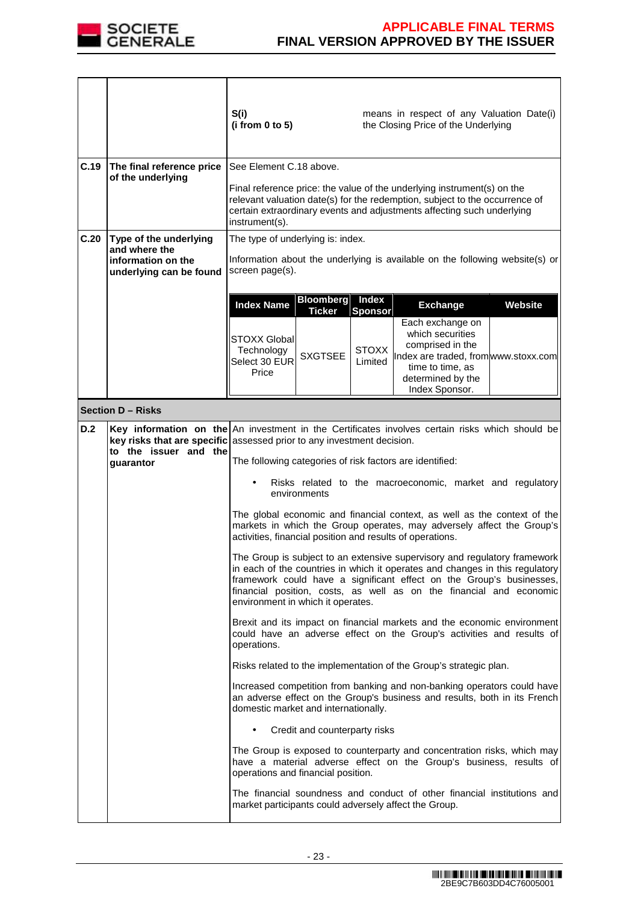

|      |                                                                                          | S(i)<br>means in respect of any Valuation Date(i)<br>(i from 0 to 5)<br>the Closing Price of the Underlying                                                                                                                                                                                                                                                                                                                                                                                                                                                                                                                                                                                                                                                                                                                                                                                                                                                                                                                                                                                                                                                                                                                                                                                                                                                                                                                                                                                                                                                                                                                                                                                             |
|------|------------------------------------------------------------------------------------------|---------------------------------------------------------------------------------------------------------------------------------------------------------------------------------------------------------------------------------------------------------------------------------------------------------------------------------------------------------------------------------------------------------------------------------------------------------------------------------------------------------------------------------------------------------------------------------------------------------------------------------------------------------------------------------------------------------------------------------------------------------------------------------------------------------------------------------------------------------------------------------------------------------------------------------------------------------------------------------------------------------------------------------------------------------------------------------------------------------------------------------------------------------------------------------------------------------------------------------------------------------------------------------------------------------------------------------------------------------------------------------------------------------------------------------------------------------------------------------------------------------------------------------------------------------------------------------------------------------------------------------------------------------------------------------------------------------|
| C.19 | The final reference price<br>of the underlying                                           | See Element C.18 above.<br>Final reference price: the value of the underlying instrument(s) on the<br>relevant valuation date(s) for the redemption, subject to the occurrence of<br>certain extraordinary events and adjustments affecting such underlying<br>instrument(s).                                                                                                                                                                                                                                                                                                                                                                                                                                                                                                                                                                                                                                                                                                                                                                                                                                                                                                                                                                                                                                                                                                                                                                                                                                                                                                                                                                                                                           |
| C.20 | Type of the underlying<br>and where the<br>information on the<br>underlying can be found | The type of underlying is: index.<br>Information about the underlying is available on the following website(s) or<br>screen page(s).                                                                                                                                                                                                                                                                                                                                                                                                                                                                                                                                                                                                                                                                                                                                                                                                                                                                                                                                                                                                                                                                                                                                                                                                                                                                                                                                                                                                                                                                                                                                                                    |
|      |                                                                                          | <b>Bloomberg</b><br><b>Index</b><br><b>Index Name</b><br>Website<br><b>Exchange</b><br><b>Ticker</b><br><b>Sponsor</b><br>Each exchange on<br>which securities<br><b>STOXX Global</b><br>comprised in the<br><b>STOXX</b><br>Technology<br><b>SXGTSEE</b><br>Index are traded, fromwww.stoxx.com<br>Select 30 EUR<br>Limited<br>time to time, as<br>Price<br>determined by the<br>Index Sponsor.                                                                                                                                                                                                                                                                                                                                                                                                                                                                                                                                                                                                                                                                                                                                                                                                                                                                                                                                                                                                                                                                                                                                                                                                                                                                                                        |
|      | <b>Section D - Risks</b>                                                                 |                                                                                                                                                                                                                                                                                                                                                                                                                                                                                                                                                                                                                                                                                                                                                                                                                                                                                                                                                                                                                                                                                                                                                                                                                                                                                                                                                                                                                                                                                                                                                                                                                                                                                                         |
| D.2  | to the issuer and the<br>guarantor                                                       | Key information on the An investment in the Certificates involves certain risks which should be<br>key risks that are specific assessed prior to any investment decision.<br>The following categories of risk factors are identified:<br>Risks related to the macroeconomic, market and regulatory<br>environments<br>The global economic and financial context, as well as the context of the<br>markets in which the Group operates, may adversely affect the Group's<br>activities, financial position and results of operations.<br>The Group is subject to an extensive supervisory and regulatory framework<br>in each of the countries in which it operates and changes in this regulatory<br>framework could have a significant effect on the Group's businesses,<br>financial position, costs, as well as on the financial and economic<br>environment in which it operates.<br>Brexit and its impact on financial markets and the economic environment<br>could have an adverse effect on the Group's activities and results of<br>operations.<br>Risks related to the implementation of the Group's strategic plan.<br>Increased competition from banking and non-banking operators could have<br>an adverse effect on the Group's business and results, both in its French<br>domestic market and internationally.<br>Credit and counterparty risks<br>$\bullet$<br>The Group is exposed to counterparty and concentration risks, which may<br>have a material adverse effect on the Group's business, results of<br>operations and financial position.<br>The financial soundness and conduct of other financial institutions and<br>market participants could adversely affect the Group. |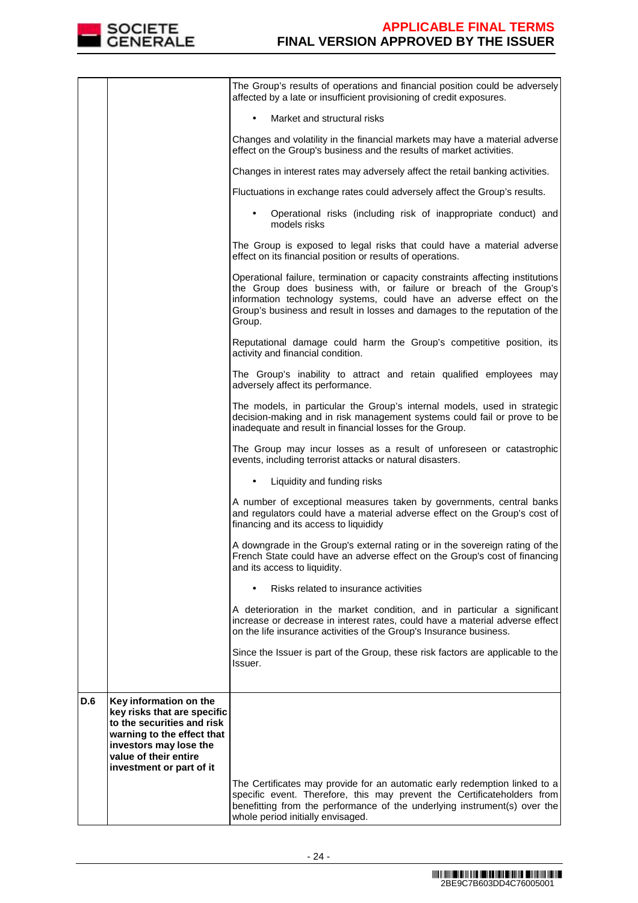

|     |                                                                                                                                                                      | The Group's results of operations and financial position could be adversely<br>affected by a late or insufficient provisioning of credit exposures.                                                                                                                                                                 |
|-----|----------------------------------------------------------------------------------------------------------------------------------------------------------------------|---------------------------------------------------------------------------------------------------------------------------------------------------------------------------------------------------------------------------------------------------------------------------------------------------------------------|
|     |                                                                                                                                                                      | Market and structural risks<br>$\bullet$                                                                                                                                                                                                                                                                            |
|     |                                                                                                                                                                      | Changes and volatility in the financial markets may have a material adverse<br>effect on the Group's business and the results of market activities.                                                                                                                                                                 |
|     |                                                                                                                                                                      | Changes in interest rates may adversely affect the retail banking activities.                                                                                                                                                                                                                                       |
|     |                                                                                                                                                                      | Fluctuations in exchange rates could adversely affect the Group's results.                                                                                                                                                                                                                                          |
|     |                                                                                                                                                                      | Operational risks (including risk of inappropriate conduct) and<br>models risks                                                                                                                                                                                                                                     |
|     |                                                                                                                                                                      | The Group is exposed to legal risks that could have a material adverse<br>effect on its financial position or results of operations.                                                                                                                                                                                |
|     |                                                                                                                                                                      | Operational failure, termination or capacity constraints affecting institutions<br>the Group does business with, or failure or breach of the Group's<br>information technology systems, could have an adverse effect on the<br>Group's business and result in losses and damages to the reputation of the<br>Group. |
|     |                                                                                                                                                                      | Reputational damage could harm the Group's competitive position, its<br>activity and financial condition.                                                                                                                                                                                                           |
|     |                                                                                                                                                                      | The Group's inability to attract and retain qualified employees may<br>adversely affect its performance.                                                                                                                                                                                                            |
|     |                                                                                                                                                                      | The models, in particular the Group's internal models, used in strategic<br>decision-making and in risk management systems could fail or prove to be<br>inadequate and result in financial losses for the Group.                                                                                                    |
|     |                                                                                                                                                                      | The Group may incur losses as a result of unforeseen or catastrophic<br>events, including terrorist attacks or natural disasters.                                                                                                                                                                                   |
|     |                                                                                                                                                                      | Liquidity and funding risks                                                                                                                                                                                                                                                                                         |
|     |                                                                                                                                                                      | A number of exceptional measures taken by governments, central banks<br>and regulators could have a material adverse effect on the Group's cost of<br>financing and its access to liquididy                                                                                                                         |
|     |                                                                                                                                                                      | A downgrade in the Group's external rating or in the sovereign rating of the<br>French State could have an adverse effect on the Group's cost of financing<br>and its access to liquidity.                                                                                                                          |
|     |                                                                                                                                                                      | Risks related to insurance activities                                                                                                                                                                                                                                                                               |
|     |                                                                                                                                                                      | A deterioration in the market condition, and in particular a significant<br>increase or decrease in interest rates, could have a material adverse effect<br>on the life insurance activities of the Group's Insurance business.                                                                                     |
|     |                                                                                                                                                                      | Since the Issuer is part of the Group, these risk factors are applicable to the<br>Issuer.                                                                                                                                                                                                                          |
|     |                                                                                                                                                                      |                                                                                                                                                                                                                                                                                                                     |
| D.6 | Key information on the<br>key risks that are specific<br>to the securities and risk<br>warning to the effect that<br>investors may lose the<br>value of their entire |                                                                                                                                                                                                                                                                                                                     |
|     | investment or part of it                                                                                                                                             |                                                                                                                                                                                                                                                                                                                     |
|     |                                                                                                                                                                      | The Certificates may provide for an automatic early redemption linked to a<br>specific event. Therefore, this may prevent the Certificateholders from<br>benefitting from the performance of the underlying instrument(s) over the<br>whole period initially envisaged.                                             |
|     |                                                                                                                                                                      |                                                                                                                                                                                                                                                                                                                     |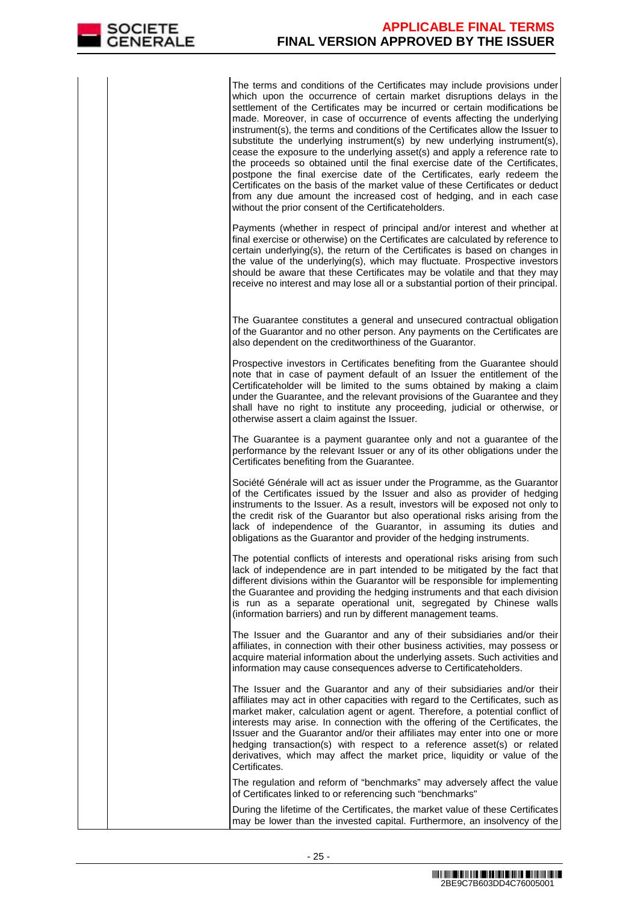The terms and conditions of the Certificates may include provisions under which upon the occurrence of certain market disruptions delays in the settlement of the Certificates may be incurred or certain modifications be made. Moreover, in case of occurrence of events affecting the underlying instrument(s), the terms and conditions of the Certificates allow the Issuer to substitute the underlying instrument(s) by new underlying instrument(s), cease the exposure to the underlying asset(s) and apply a reference rate to the proceeds so obtained until the final exercise date of the Certificates, postpone the final exercise date of the Certificates, early redeem the Certificates on the basis of the market value of these Certificates or deduct from any due amount the increased cost of hedging, and in each case without the prior consent of the Certificateholders.

Payments (whether in respect of principal and/or interest and whether at final exercise or otherwise) on the Certificates are calculated by reference to certain underlying(s), the return of the Certificates is based on changes in the value of the underlying(s), which may fluctuate. Prospective investors should be aware that these Certificates may be volatile and that they may receive no interest and may lose all or a substantial portion of their principal.

 The Guarantee constitutes a general and unsecured contractual obligation of the Guarantor and no other person. Any payments on the Certificates are also dependent on the creditworthiness of the Guarantor.

Prospective investors in Certificates benefiting from the Guarantee should note that in case of payment default of an Issuer the entitlement of the Certificateholder will be limited to the sums obtained by making a claim under the Guarantee, and the relevant provisions of the Guarantee and they shall have no right to institute any proceeding, judicial or otherwise, or otherwise assert a claim against the Issuer.

The Guarantee is a payment guarantee only and not a guarantee of the performance by the relevant Issuer or any of its other obligations under the Certificates benefiting from the Guarantee.

Société Générale will act as issuer under the Programme, as the Guarantor of the Certificates issued by the Issuer and also as provider of hedging instruments to the Issuer. As a result, investors will be exposed not only to the credit risk of the Guarantor but also operational risks arising from the lack of independence of the Guarantor, in assuming its duties and obligations as the Guarantor and provider of the hedging instruments.

The potential conflicts of interests and operational risks arising from such lack of independence are in part intended to be mitigated by the fact that different divisions within the Guarantor will be responsible for implementing the Guarantee and providing the hedging instruments and that each division is run as a separate operational unit, segregated by Chinese walls (information barriers) and run by different management teams.

The Issuer and the Guarantor and any of their subsidiaries and/or their affiliates, in connection with their other business activities, may possess or acquire material information about the underlying assets. Such activities and information may cause consequences adverse to Certificateholders.

The Issuer and the Guarantor and any of their subsidiaries and/or their affiliates may act in other capacities with regard to the Certificates, such as market maker, calculation agent or agent. Therefore, a potential conflict of interests may arise. In connection with the offering of the Certificates, the Issuer and the Guarantor and/or their affiliates may enter into one or more hedging transaction(s) with respect to a reference asset(s) or related derivatives, which may affect the market price, liquidity or value of the Certificates.

 The regulation and reform of "benchmarks" may adversely affect the value of Certificates linked to or referencing such "benchmarks"

 During the lifetime of the Certificates, the market value of these Certificates may be lower than the invested capital. Furthermore, an insolvency of the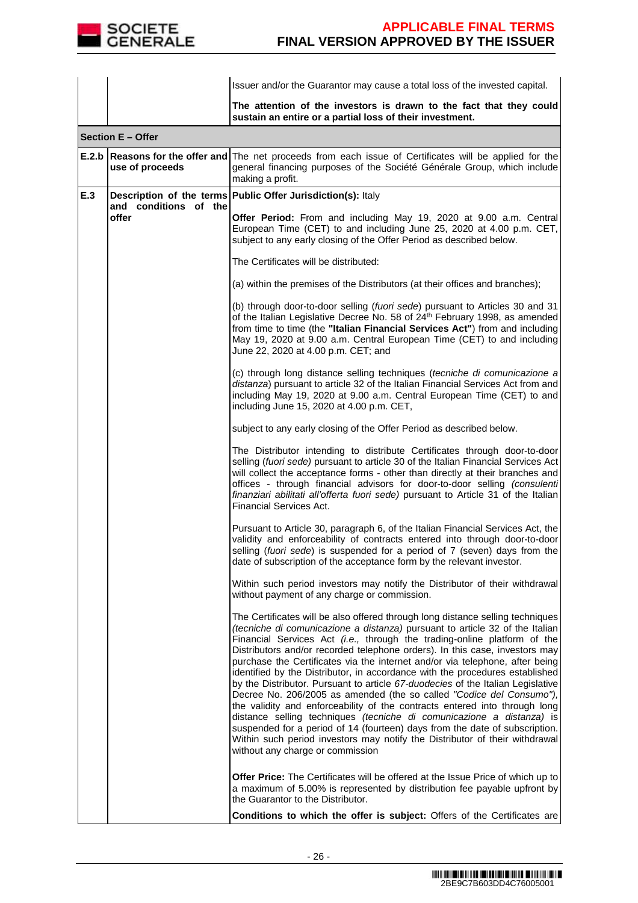

|     |                                | Issuer and/or the Guarantor may cause a total loss of the invested capital.                                                                                                                                                                                                                                                                                                                                                                                                                                                                                                                                                                                                                                                                                                                                                                                                                                                                                                                                           |  |  |  |
|-----|--------------------------------|-----------------------------------------------------------------------------------------------------------------------------------------------------------------------------------------------------------------------------------------------------------------------------------------------------------------------------------------------------------------------------------------------------------------------------------------------------------------------------------------------------------------------------------------------------------------------------------------------------------------------------------------------------------------------------------------------------------------------------------------------------------------------------------------------------------------------------------------------------------------------------------------------------------------------------------------------------------------------------------------------------------------------|--|--|--|
|     |                                | The attention of the investors is drawn to the fact that they could<br>sustain an entire or a partial loss of their investment.                                                                                                                                                                                                                                                                                                                                                                                                                                                                                                                                                                                                                                                                                                                                                                                                                                                                                       |  |  |  |
|     | Section E - Offer              |                                                                                                                                                                                                                                                                                                                                                                                                                                                                                                                                                                                                                                                                                                                                                                                                                                                                                                                                                                                                                       |  |  |  |
|     | use of proceeds                | <b>E.2.b Reasons for the offer and</b> The net proceeds from each issue of Certificates will be applied for the<br>general financing purposes of the Société Générale Group, which include<br>making a profit.                                                                                                                                                                                                                                                                                                                                                                                                                                                                                                                                                                                                                                                                                                                                                                                                        |  |  |  |
| E.3 |                                | Description of the terms Public Offer Jurisdiction(s): Italy                                                                                                                                                                                                                                                                                                                                                                                                                                                                                                                                                                                                                                                                                                                                                                                                                                                                                                                                                          |  |  |  |
|     | and conditions of the<br>offer | Offer Period: From and including May 19, 2020 at 9.00 a.m. Central<br>European Time (CET) to and including June 25, 2020 at 4.00 p.m. CET,<br>subject to any early closing of the Offer Period as described below.                                                                                                                                                                                                                                                                                                                                                                                                                                                                                                                                                                                                                                                                                                                                                                                                    |  |  |  |
|     |                                | The Certificates will be distributed:                                                                                                                                                                                                                                                                                                                                                                                                                                                                                                                                                                                                                                                                                                                                                                                                                                                                                                                                                                                 |  |  |  |
|     |                                | (a) within the premises of the Distributors (at their offices and branches);                                                                                                                                                                                                                                                                                                                                                                                                                                                                                                                                                                                                                                                                                                                                                                                                                                                                                                                                          |  |  |  |
|     |                                | (b) through door-to-door selling (fuori sede) pursuant to Articles 30 and 31<br>of the Italian Legislative Decree No. 58 of 24 <sup>th</sup> February 1998, as amended<br>from time to time (the "Italian Financial Services Act") from and including<br>May 19, 2020 at 9.00 a.m. Central European Time (CET) to and including<br>June 22, 2020 at 4.00 p.m. CET; and                                                                                                                                                                                                                                                                                                                                                                                                                                                                                                                                                                                                                                                |  |  |  |
|     |                                | (c) through long distance selling techniques (tecniche di comunicazione a<br>distanza) pursuant to article 32 of the Italian Financial Services Act from and<br>including May 19, 2020 at 9.00 a.m. Central European Time (CET) to and<br>including June 15, 2020 at 4.00 p.m. CET,                                                                                                                                                                                                                                                                                                                                                                                                                                                                                                                                                                                                                                                                                                                                   |  |  |  |
|     |                                | subject to any early closing of the Offer Period as described below.                                                                                                                                                                                                                                                                                                                                                                                                                                                                                                                                                                                                                                                                                                                                                                                                                                                                                                                                                  |  |  |  |
|     |                                | The Distributor intending to distribute Certificates through door-to-door<br>selling (fuori sede) pursuant to article 30 of the Italian Financial Services Act<br>will collect the acceptance forms - other than directly at their branches and<br>offices - through financial advisors for door-to-door selling (consulenti<br>finanziari abilitati all'offerta fuori sede) pursuant to Article 31 of the Italian<br>Financial Services Act.                                                                                                                                                                                                                                                                                                                                                                                                                                                                                                                                                                         |  |  |  |
|     |                                | Pursuant to Article 30, paragraph 6, of the Italian Financial Services Act, the<br>validity and enforceability of contracts entered into through door-to-door<br>selling (fuori sede) is suspended for a period of 7 (seven) days from the<br>date of subscription of the acceptance form by the relevant investor.                                                                                                                                                                                                                                                                                                                                                                                                                                                                                                                                                                                                                                                                                                   |  |  |  |
|     |                                | Within such period investors may notify the Distributor of their withdrawal<br>without payment of any charge or commission.                                                                                                                                                                                                                                                                                                                                                                                                                                                                                                                                                                                                                                                                                                                                                                                                                                                                                           |  |  |  |
|     |                                | The Certificates will be also offered through long distance selling techniques<br>(tecniche di comunicazione a distanza) pursuant to article 32 of the Italian<br>Financial Services Act <i>(i.e.</i> , through the trading-online platform of the<br>Distributors and/or recorded telephone orders). In this case, investors may<br>purchase the Certificates via the internet and/or via telephone, after being<br>identified by the Distributor, in accordance with the procedures established<br>by the Distributor. Pursuant to article 67-duodecies of the Italian Legislative<br>Decree No. 206/2005 as amended (the so called "Codice del Consumo"),<br>the validity and enforceability of the contracts entered into through long<br>distance selling techniques (tecniche di comunicazione a distanza) is<br>suspended for a period of 14 (fourteen) days from the date of subscription.<br>Within such period investors may notify the Distributor of their withdrawal<br>without any charge or commission |  |  |  |
|     |                                | <b>Offer Price:</b> The Certificates will be offered at the Issue Price of which up to<br>a maximum of 5.00% is represented by distribution fee payable upfront by<br>the Guarantor to the Distributor.                                                                                                                                                                                                                                                                                                                                                                                                                                                                                                                                                                                                                                                                                                                                                                                                               |  |  |  |
|     |                                | Conditions to which the offer is subject: Offers of the Certificates are                                                                                                                                                                                                                                                                                                                                                                                                                                                                                                                                                                                                                                                                                                                                                                                                                                                                                                                                              |  |  |  |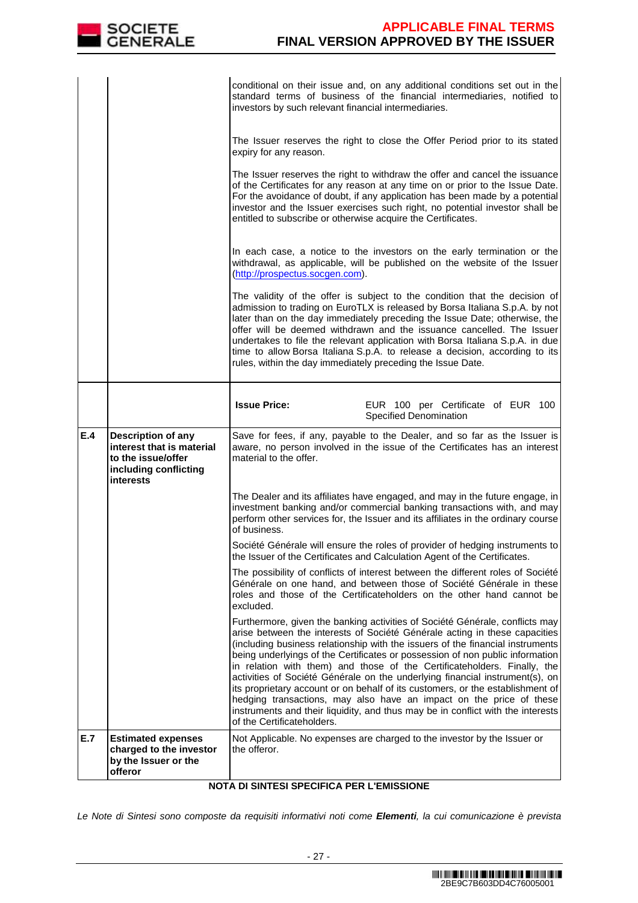

|     |                                                                       | conditional on their issue and, on any additional conditions set out in the<br>standard terms of business of the financial intermediaries, notified to<br>investors by such relevant financial intermediaries.                                                                                                                                                                                                                                                                                                                                                                                                                                                                                                                                                      |  |  |  |  |
|-----|-----------------------------------------------------------------------|---------------------------------------------------------------------------------------------------------------------------------------------------------------------------------------------------------------------------------------------------------------------------------------------------------------------------------------------------------------------------------------------------------------------------------------------------------------------------------------------------------------------------------------------------------------------------------------------------------------------------------------------------------------------------------------------------------------------------------------------------------------------|--|--|--|--|
|     |                                                                       | The Issuer reserves the right to close the Offer Period prior to its stated<br>expiry for any reason.                                                                                                                                                                                                                                                                                                                                                                                                                                                                                                                                                                                                                                                               |  |  |  |  |
|     |                                                                       | The Issuer reserves the right to withdraw the offer and cancel the issuance<br>of the Certificates for any reason at any time on or prior to the Issue Date.<br>For the avoidance of doubt, if any application has been made by a potential<br>investor and the Issuer exercises such right, no potential investor shall be<br>entitled to subscribe or otherwise acquire the Certificates.                                                                                                                                                                                                                                                                                                                                                                         |  |  |  |  |
|     |                                                                       | In each case, a notice to the investors on the early termination or the<br>withdrawal, as applicable, will be published on the website of the Issuer<br>(http://prospectus.socgen.com).                                                                                                                                                                                                                                                                                                                                                                                                                                                                                                                                                                             |  |  |  |  |
|     |                                                                       | The validity of the offer is subject to the condition that the decision of<br>admission to trading on EuroTLX is released by Borsa Italiana S.p.A. by not<br>later than on the day immediately preceding the Issue Date; otherwise, the<br>offer will be deemed withdrawn and the issuance cancelled. The Issuer<br>undertakes to file the relevant application with Borsa Italiana S.p.A. in due<br>time to allow Borsa Italiana S.p.A. to release a decision, according to its<br>rules, within the day immediately preceding the Issue Date.                                                                                                                                                                                                                     |  |  |  |  |
|     |                                                                       | <b>Issue Price:</b><br>EUR 100 per Certificate of EUR 100<br>Specified Denomination                                                                                                                                                                                                                                                                                                                                                                                                                                                                                                                                                                                                                                                                                 |  |  |  |  |
| E.4 | Description of any<br>interest that is material<br>to the issue/offer | Save for fees, if any, payable to the Dealer, and so far as the Issuer is<br>aware, no person involved in the issue of the Certificates has an interest<br>material to the offer.                                                                                                                                                                                                                                                                                                                                                                                                                                                                                                                                                                                   |  |  |  |  |
|     | including conflicting<br><b>interests</b>                             |                                                                                                                                                                                                                                                                                                                                                                                                                                                                                                                                                                                                                                                                                                                                                                     |  |  |  |  |
|     |                                                                       | The Dealer and its affiliates have engaged, and may in the future engage, in<br>investment banking and/or commercial banking transactions with, and may<br>perform other services for, the Issuer and its affiliates in the ordinary course<br>of business.                                                                                                                                                                                                                                                                                                                                                                                                                                                                                                         |  |  |  |  |
|     |                                                                       | Société Générale will ensure the roles of provider of hedging instruments to<br>the Issuer of the Certificates and Calculation Agent of the Certificates.                                                                                                                                                                                                                                                                                                                                                                                                                                                                                                                                                                                                           |  |  |  |  |
|     |                                                                       | The possibility of conflicts of interest between the different roles of Société<br>Générale on one hand, and between those of Société Générale in these<br>roles and those of the Certificateholders on the other hand cannot be<br>excluded.                                                                                                                                                                                                                                                                                                                                                                                                                                                                                                                       |  |  |  |  |
|     |                                                                       | Furthermore, given the banking activities of Société Générale, conflicts may<br>arise between the interests of Société Générale acting in these capacities<br>(including business relationship with the issuers of the financial instruments<br>being underlyings of the Certificates or possession of non public information<br>in relation with them) and those of the Certificateholders. Finally, the<br>activities of Société Générale on the underlying financial instrument(s), on<br>its proprietary account or on behalf of its customers, or the establishment of<br>hedging transactions, may also have an impact on the price of these<br>instruments and their liquidity, and thus may be in conflict with the interests<br>of the Certificateholders. |  |  |  |  |

# **NOTA DI SINTESI SPECIFICA PER L'EMISSIONE**

Le Note di Sintesi sono composte da requisiti informativi noti come **Elementi**, la cui comunicazione è prevista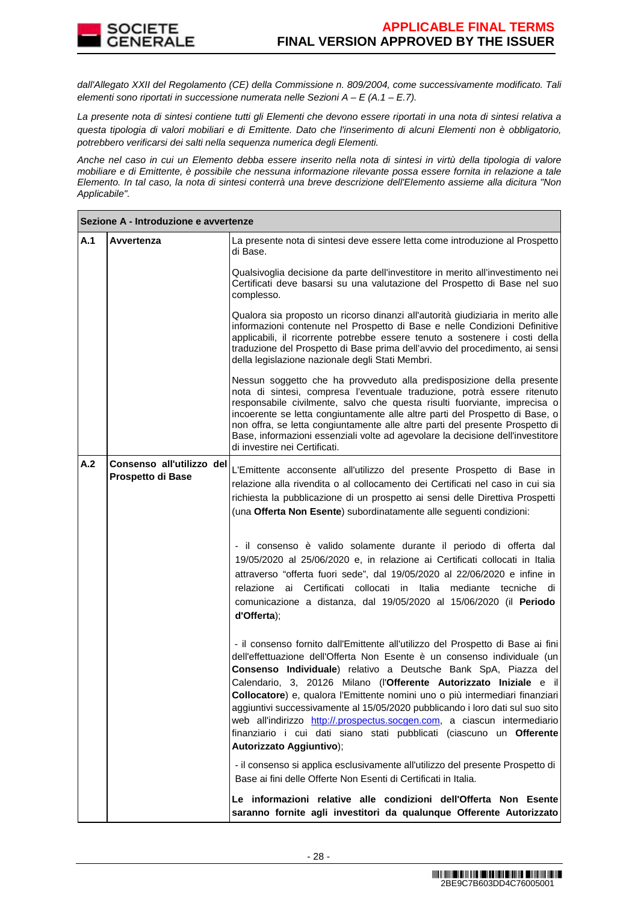dall'Allegato XXII del Regolamento (CE) della Commissione n. 809/2004, come successivamente modificato. Tali elementi sono riportati in successione numerata nelle Sezioni  $A - E(A.1 - E.7)$ .

La presente nota di sintesi contiene tutti gli Elementi che devono essere riportati in una nota di sintesi relativa a questa tipologia di valori mobiliari e di Emittente. Dato che l'inserimento di alcuni Elementi non è obbligatorio, potrebbero verificarsi dei salti nella sequenza numerica degli Elementi.

Anche nel caso in cui un Elemento debba essere inserito nella nota di sintesi in virtù della tipologia di valore mobiliare e di Emittente, è possibile che nessuna informazione rilevante possa essere fornita in relazione a tale Elemento. In tal caso, la nota di sintesi conterrà una breve descrizione dell'Elemento assieme alla dicitura "Non Applicabile".

|     | Sezione A - Introduzione e avvertenze          |                                                                                                                                                                                                                                                                                                                                                                                                                                                                                                                                                                                                                                                      |  |  |
|-----|------------------------------------------------|------------------------------------------------------------------------------------------------------------------------------------------------------------------------------------------------------------------------------------------------------------------------------------------------------------------------------------------------------------------------------------------------------------------------------------------------------------------------------------------------------------------------------------------------------------------------------------------------------------------------------------------------------|--|--|
| A.1 | Avvertenza                                     | La presente nota di sintesi deve essere letta come introduzione al Prospetto<br>di Base.                                                                                                                                                                                                                                                                                                                                                                                                                                                                                                                                                             |  |  |
|     |                                                | Qualsivoglia decisione da parte dell'investitore in merito all'investimento nei<br>Certificati deve basarsi su una valutazione del Prospetto di Base nel suo<br>complesso.                                                                                                                                                                                                                                                                                                                                                                                                                                                                           |  |  |
|     |                                                | Qualora sia proposto un ricorso dinanzi all'autorità giudiziaria in merito alle<br>informazioni contenute nel Prospetto di Base e nelle Condizioni Definitive<br>applicabili, il ricorrente potrebbe essere tenuto a sostenere i costi della<br>traduzione del Prospetto di Base prima dell'avvio del procedimento, ai sensi<br>della legislazione nazionale degli Stati Membri.                                                                                                                                                                                                                                                                     |  |  |
|     |                                                | Nessun soggetto che ha provveduto alla predisposizione della presente<br>nota di sintesi, compresa l'eventuale traduzione, potrà essere ritenuto<br>responsabile civilmente, salvo che questa risulti fuorviante, imprecisa o<br>incoerente se letta congiuntamente alle altre parti del Prospetto di Base, o<br>non offra, se letta congiuntamente alle altre parti del presente Prospetto di<br>Base, informazioni essenziali volte ad agevolare la decisione dell'investitore<br>di investire nei Certificati.                                                                                                                                    |  |  |
| A.2 | Consenso all'utilizzo del<br>Prospetto di Base | L'Emittente acconsente all'utilizzo del presente Prospetto di Base in<br>relazione alla rivendita o al collocamento dei Certificati nel caso in cui sia<br>richiesta la pubblicazione di un prospetto ai sensi delle Direttiva Prospetti<br>(una Offerta Non Esente) subordinatamente alle seguenti condizioni:                                                                                                                                                                                                                                                                                                                                      |  |  |
|     |                                                | - il consenso è valido solamente durante il periodo di offerta dal<br>19/05/2020 al 25/06/2020 e, in relazione ai Certificati collocati in Italia<br>attraverso "offerta fuori sede", dal 19/05/2020 al 22/06/2020 e infine in<br>ai Certificati collocati in Italia<br>relazione<br>mediante tecniche<br>di<br>comunicazione a distanza, dal 19/05/2020 al 15/06/2020 (il Periodo<br>d'Offerta);                                                                                                                                                                                                                                                    |  |  |
|     |                                                | - il consenso fornito dall'Emittente all'utilizzo del Prospetto di Base ai fini<br>dell'effettuazione dell'Offerta Non Esente è un consenso individuale (un<br>Consenso Individuale) relativo a Deutsche Bank SpA, Piazza del<br>Calendario, 3, 20126 Milano (l'Offerente Autorizzato Iniziale e il<br>Collocatore) e, qualora l'Emittente nomini uno o più intermediari finanziari<br>aggiuntivi successivamente al 15/05/2020 pubblicando i loro dati sul suo sito<br>web all'indirizzo http://.prospectus.socgen.com, a ciascun intermediario<br>finanziario i cui dati siano stati pubblicati (ciascuno un Offerente<br>Autorizzato Aggiuntivo); |  |  |
|     |                                                | - il consenso si applica esclusivamente all'utilizzo del presente Prospetto di<br>Base ai fini delle Offerte Non Esenti di Certificati in Italia.                                                                                                                                                                                                                                                                                                                                                                                                                                                                                                    |  |  |
|     |                                                | Le informazioni relative alle condizioni dell'Offerta Non Esente<br>saranno fornite agli investitori da qualunque Offerente Autorizzato                                                                                                                                                                                                                                                                                                                                                                                                                                                                                                              |  |  |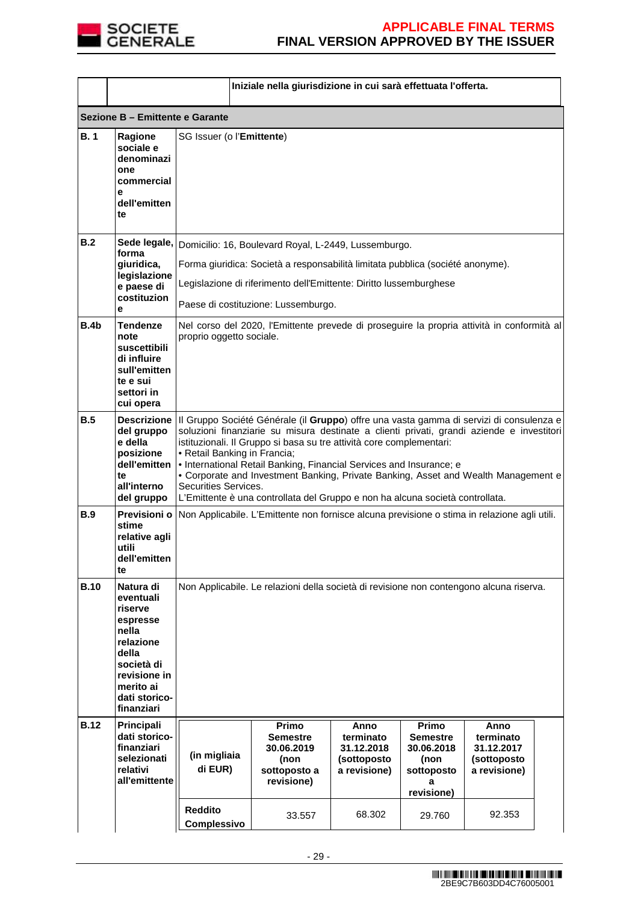

|             |                                                                                                                                                        |                                                      | Iniziale nella giurisdizione in cui sarà effettuata l'offerta.                                                                                                                                                                                                                                                                                                                                                                                                                                                           |                                                                |                                                                                 |                                                                |  |
|-------------|--------------------------------------------------------------------------------------------------------------------------------------------------------|------------------------------------------------------|--------------------------------------------------------------------------------------------------------------------------------------------------------------------------------------------------------------------------------------------------------------------------------------------------------------------------------------------------------------------------------------------------------------------------------------------------------------------------------------------------------------------------|----------------------------------------------------------------|---------------------------------------------------------------------------------|----------------------------------------------------------------|--|
|             | Sezione B - Emittente e Garante                                                                                                                        |                                                      |                                                                                                                                                                                                                                                                                                                                                                                                                                                                                                                          |                                                                |                                                                                 |                                                                |  |
| B.1         | Ragione<br>sociale e<br>denominazi<br>one<br>commercial<br>e<br>dell'emitten<br>te                                                                     | SG Issuer (o l'Emittente)                            |                                                                                                                                                                                                                                                                                                                                                                                                                                                                                                                          |                                                                |                                                                                 |                                                                |  |
| B.2         | Sede legale,<br>forma<br>giuridica,<br>legislazione<br>e paese di<br>costituzion<br>e                                                                  |                                                      | Domicilio: 16, Boulevard Royal, L-2449, Lussemburgo.<br>Forma giuridica: Società a responsabilità limitata pubblica (société anonyme).<br>Legislazione di riferimento dell'Emittente: Diritto lussemburghese<br>Paese di costituzione: Lussemburgo.                                                                                                                                                                                                                                                                      |                                                                |                                                                                 |                                                                |  |
| B.4b        | <b>Tendenze</b><br>note<br>suscettibili<br>di influire<br>sull'emitten<br>te e sui<br>settori in<br>cui opera                                          | proprio oggetto sociale.                             | Nel corso del 2020, l'Emittente prevede di proseguire la propria attività in conformità al                                                                                                                                                                                                                                                                                                                                                                                                                               |                                                                |                                                                                 |                                                                |  |
| B.5         | del gruppo<br>e della<br>posizione<br>dell'emitten<br>te<br>all'interno<br>del gruppo                                                                  | • Retail Banking in Francia;<br>Securities Services. | Descrizione   Il Gruppo Société Générale (il Gruppo) offre una vasta gamma di servizi di consulenza e<br>soluzioni finanziarie su misura destinate a clienti privati, grandi aziende e investitori<br>istituzionali. Il Gruppo si basa su tre attività core complementari:<br>• International Retail Banking, Financial Services and Insurance; e<br>• Corporate and Investment Banking, Private Banking, Asset and Wealth Management e<br>L'Emittente è una controllata del Gruppo e non ha alcuna società controllata. |                                                                |                                                                                 |                                                                |  |
| <b>B.9</b>  | Previsioni o<br>stime<br>relative agli<br>utili<br>dell'emitten<br>te                                                                                  |                                                      | Non Applicabile. L'Emittente non fornisce alcuna previsione o stima in relazione agli utili.                                                                                                                                                                                                                                                                                                                                                                                                                             |                                                                |                                                                                 |                                                                |  |
| <b>B.10</b> | Natura di<br>eventuali<br>riserve<br>espresse<br>nella<br>relazione<br>della<br>società di<br>revisione in<br>merito ai<br>dati storico-<br>finanziari |                                                      | Non Applicabile. Le relazioni della società di revisione non contengono alcuna riserva.                                                                                                                                                                                                                                                                                                                                                                                                                                  |                                                                |                                                                                 |                                                                |  |
| <b>B.12</b> | Principali<br>dati storico-<br>finanziari<br>selezionati<br>relativi<br>all'emittente                                                                  | (in migliaia<br>di EUR)                              | Primo<br><b>Semestre</b><br>30.06.2019<br>(non<br>sottoposto a<br>revisione)                                                                                                                                                                                                                                                                                                                                                                                                                                             | Anno<br>terminato<br>31.12.2018<br>(sottoposto<br>a revisione) | Primo<br><b>Semestre</b><br>30.06.2018<br>(non<br>sottoposto<br>я<br>revisione) | Anno<br>terminato<br>31.12.2017<br>(sottoposto<br>a revisione) |  |
|             |                                                                                                                                                        | <b>Reddito</b><br>Complessivo                        | 33.557                                                                                                                                                                                                                                                                                                                                                                                                                                                                                                                   | 68.302                                                         | 29.760                                                                          | 92.353                                                         |  |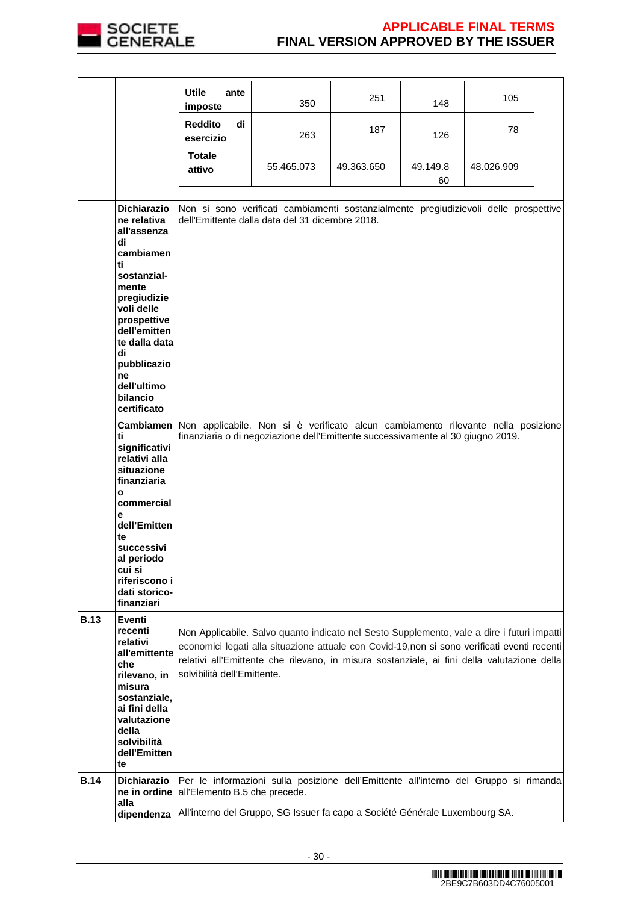

|             |                                                              | <b>Utile</b><br>ante<br>imposte   | 350                                                                                                                                     | 251        | 148            | 105        |  |
|-------------|--------------------------------------------------------------|-----------------------------------|-----------------------------------------------------------------------------------------------------------------------------------------|------------|----------------|------------|--|
|             |                                                              | <b>Reddito</b><br>di<br>esercizio | 263                                                                                                                                     | 187        | 126            | 78         |  |
|             |                                                              | <b>Totale</b><br>attivo           | 55.465.073                                                                                                                              | 49.363.650 | 49.149.8<br>60 | 48.026.909 |  |
|             |                                                              |                                   |                                                                                                                                         |            |                |            |  |
|             | Dichiarazio<br>ne relativa<br>all'assenza<br>di<br>cambiamen |                                   | Non si sono verificati cambiamenti sostanzialmente pregiudizievoli delle prospettive<br>dell'Emittente dalla data del 31 dicembre 2018. |            |                |            |  |
|             | ti                                                           |                                   |                                                                                                                                         |            |                |            |  |
|             | sostanzial-                                                  |                                   |                                                                                                                                         |            |                |            |  |
|             | mente                                                        |                                   |                                                                                                                                         |            |                |            |  |
|             | pregiudizie<br>voli delle                                    |                                   |                                                                                                                                         |            |                |            |  |
|             | prospettive                                                  |                                   |                                                                                                                                         |            |                |            |  |
|             | dell'emitten                                                 |                                   |                                                                                                                                         |            |                |            |  |
|             | te dalla data                                                |                                   |                                                                                                                                         |            |                |            |  |
|             | di<br>pubblicazio<br>ne                                      |                                   |                                                                                                                                         |            |                |            |  |
|             | dell'ultimo                                                  |                                   |                                                                                                                                         |            |                |            |  |
|             | bilancio                                                     |                                   |                                                                                                                                         |            |                |            |  |
|             | certificato                                                  |                                   |                                                                                                                                         |            |                |            |  |
|             | Cambiamen                                                    |                                   | Non applicabile. Non si è verificato alcun cambiamento rilevante nella posizione                                                        |            |                |            |  |
|             | ti<br>significativi                                          |                                   | finanziaria o di negoziazione dell'Emittente successivamente al 30 giugno 2019.                                                         |            |                |            |  |
|             | relativi alla                                                |                                   |                                                                                                                                         |            |                |            |  |
|             | situazione<br>finanziaria                                    |                                   |                                                                                                                                         |            |                |            |  |
|             | O<br>commercial                                              |                                   |                                                                                                                                         |            |                |            |  |
|             | e<br>dell'Emitten                                            |                                   |                                                                                                                                         |            |                |            |  |
|             | te<br>successivi                                             |                                   |                                                                                                                                         |            |                |            |  |
|             | al periodo                                                   |                                   |                                                                                                                                         |            |                |            |  |
|             | cui si<br>riferiscono i                                      |                                   |                                                                                                                                         |            |                |            |  |
|             | dati storico-                                                |                                   |                                                                                                                                         |            |                |            |  |
|             | finanziari                                                   |                                   |                                                                                                                                         |            |                |            |  |
| <b>B.13</b> | Eventi                                                       |                                   |                                                                                                                                         |            |                |            |  |
|             | recenti<br>relativi                                          |                                   | Non Applicabile. Salvo quanto indicato nel Sesto Supplemento, vale a dire i futuri impatti                                              |            |                |            |  |
|             | all'emittente                                                |                                   | economici legati alla situazione attuale con Covid-19,non si sono verificati eventi recenti                                             |            |                |            |  |
|             | che                                                          |                                   | relativi all'Emittente che rilevano, in misura sostanziale, ai fini della valutazione della                                             |            |                |            |  |
|             | rilevano, in                                                 | solvibilità dell'Emittente.       |                                                                                                                                         |            |                |            |  |
|             | misura<br>sostanziale,                                       |                                   |                                                                                                                                         |            |                |            |  |
|             | ai fini della                                                |                                   |                                                                                                                                         |            |                |            |  |
|             | valutazione                                                  |                                   |                                                                                                                                         |            |                |            |  |
|             | della                                                        |                                   |                                                                                                                                         |            |                |            |  |
|             | solvibilità<br>dell'Emitten                                  |                                   |                                                                                                                                         |            |                |            |  |
|             | te                                                           |                                   |                                                                                                                                         |            |                |            |  |
| <b>B.14</b> | <b>Dichiarazio</b>                                           |                                   | Per le informazioni sulla posizione dell'Emittente all'interno del Gruppo si rimanda                                                    |            |                |            |  |
|             | ne in ordine                                                 | all'Elemento B.5 che precede.     |                                                                                                                                         |            |                |            |  |
|             | alla                                                         |                                   |                                                                                                                                         |            |                |            |  |
|             | dipendenza                                                   |                                   | All'interno del Gruppo, SG Issuer fa capo a Société Générale Luxembourg SA.                                                             |            |                |            |  |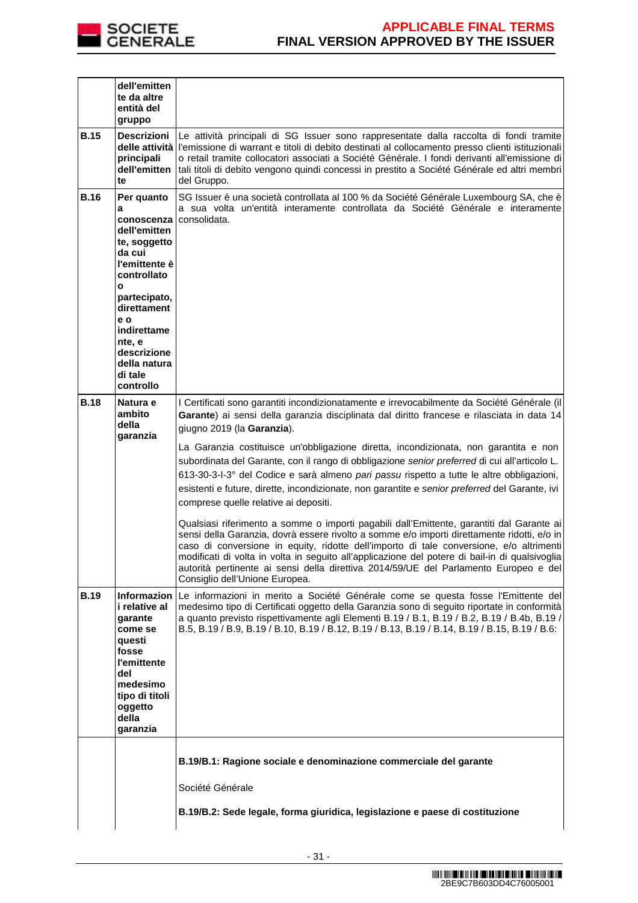

|             | dell'emitten<br>te da altre<br>entità del<br>gruppo                                                                                                                                                                                           |                                                                                                                                                                                                                                                                                                                                                                                                                                                                                                                                                                                                                                                                                                                                                                                                                                                                                                                                                                                                                                                                                                                                                                             |  |
|-------------|-----------------------------------------------------------------------------------------------------------------------------------------------------------------------------------------------------------------------------------------------|-----------------------------------------------------------------------------------------------------------------------------------------------------------------------------------------------------------------------------------------------------------------------------------------------------------------------------------------------------------------------------------------------------------------------------------------------------------------------------------------------------------------------------------------------------------------------------------------------------------------------------------------------------------------------------------------------------------------------------------------------------------------------------------------------------------------------------------------------------------------------------------------------------------------------------------------------------------------------------------------------------------------------------------------------------------------------------------------------------------------------------------------------------------------------------|--|
| <b>B.15</b> | Descrizioni<br>delle attività<br>principali<br>dell'emitten<br>te                                                                                                                                                                             | Le attività principali di SG Issuer sono rappresentate dalla raccolta di fondi tramite<br>l'emissione di warrant e titoli di debito destinati al collocamento presso clienti istituzionali<br>o retail tramite collocatori associati a Société Générale. I fondi derivanti all'emissione di<br>tali titoli di debito vengono quindi concessi in prestito a Société Générale ed altri membri<br>del Gruppo.                                                                                                                                                                                                                                                                                                                                                                                                                                                                                                                                                                                                                                                                                                                                                                  |  |
| <b>B.16</b> | Per quanto<br>a<br>conoscenza<br>dell'emitten<br>te, soggetto<br>da cui<br>l'emittente è<br>controllato<br>$\mathbf{o}$<br>partecipato,<br>direttament<br>e o<br>indirettame<br>nte, e<br>descrizione<br>della natura<br>di tale<br>controllo | SG Issuer è una società controllata al 100 % da Société Générale Luxembourg SA, che è<br>a sua volta un'entità interamente controllata da Société Générale e interamente<br>consolidata.                                                                                                                                                                                                                                                                                                                                                                                                                                                                                                                                                                                                                                                                                                                                                                                                                                                                                                                                                                                    |  |
| <b>B.18</b> | Natura e<br>ambito<br>della<br>garanzia                                                                                                                                                                                                       | I Certificati sono garantiti incondizionatamente e irrevocabilmente da Société Générale (il<br>Garante) ai sensi della garanzia disciplinata dal diritto francese e rilasciata in data 14<br>giugno 2019 (la Garanzia).<br>La Garanzia costituisce un'obbligazione diretta, incondizionata, non garantita e non<br>subordinata del Garante, con il rango di obbligazione senior preferred di cui all'articolo L.<br>613-30-3-I-3° del Codice e sarà almeno pari passu rispetto a tutte le altre obbligazioni,<br>esistenti e future, dirette, incondizionate, non garantite e senior preferred del Garante, ivi<br>comprese quelle relative ai depositi.<br>Qualsiasi riferimento a somme o importi pagabili dall'Emittente, garantiti dal Garante ai<br>sensi della Garanzia, dovrà essere rivolto a somme e/o importi direttamente ridotti, e/o in<br>caso di conversione in equity, ridotte dell'importo di tale conversione, e/o altrimenti<br>modificati di volta in volta in seguito all'applicazione del potere di bail-in di qualsivoglia<br>autorità pertinente ai sensi della direttiva 2014/59/UE del Parlamento Europeo e del<br>Consiglio dell'Unione Europea. |  |
| <b>B.19</b> | Informazion<br>i relative al<br>qarante<br>come se<br>questi<br>fosse<br>l'emittente<br>del<br>medesimo<br>tipo di titoli<br>oggetto<br>della<br>garanzia                                                                                     | Le informazioni in merito a Société Générale come se questa fosse l'Emittente del<br>medesimo tipo di Certificati oggetto della Garanzia sono di seguito riportate in conformità<br>a quanto previsto rispettivamente agli Elementi B.19 / B.1, B.19 / B.2, B.19 / B.4b, B.19 /<br>B.5, B.19 / B.9, B.19 / B.10, B.19 / B.12, B.19 / B.13, B.19 / B.14, B.19 / B.15, B.19 / B.6:                                                                                                                                                                                                                                                                                                                                                                                                                                                                                                                                                                                                                                                                                                                                                                                            |  |
|             |                                                                                                                                                                                                                                               | B.19/B.1: Ragione sociale e denominazione commerciale del garante<br>Société Générale<br>B.19/B.2: Sede legale, forma giuridica, legislazione e paese di costituzione                                                                                                                                                                                                                                                                                                                                                                                                                                                                                                                                                                                                                                                                                                                                                                                                                                                                                                                                                                                                       |  |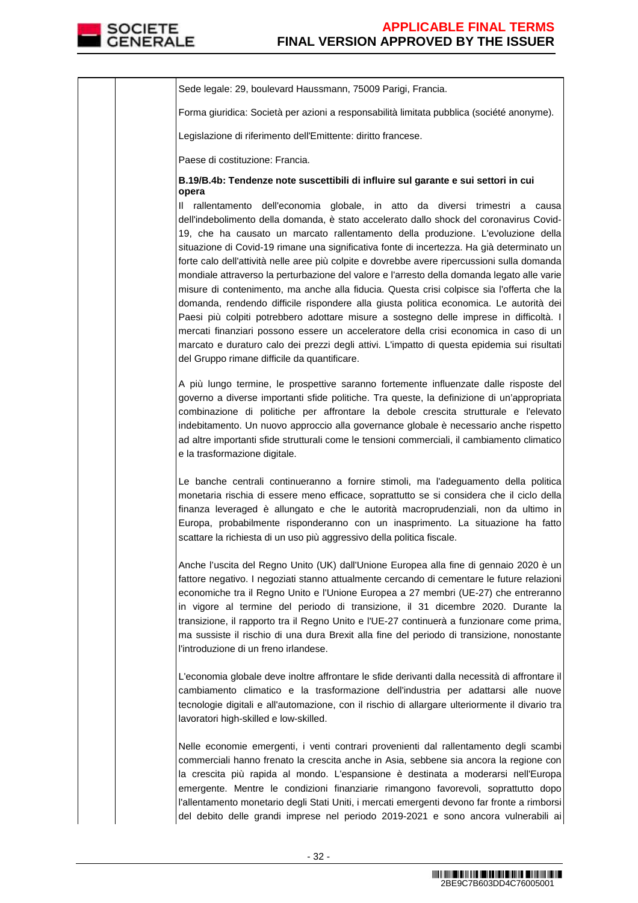

| Sede legale: 29, boulevard Haussmann, 75009 Parigi, Francia.                                                                                                                                                                                                                                                                                                                                                                                                                                                                                                                                                                                            |
|---------------------------------------------------------------------------------------------------------------------------------------------------------------------------------------------------------------------------------------------------------------------------------------------------------------------------------------------------------------------------------------------------------------------------------------------------------------------------------------------------------------------------------------------------------------------------------------------------------------------------------------------------------|
| Forma giuridica: Società per azioni a responsabilità limitata pubblica (société anonyme).                                                                                                                                                                                                                                                                                                                                                                                                                                                                                                                                                               |
| Legislazione di riferimento dell'Emittente: diritto francese.                                                                                                                                                                                                                                                                                                                                                                                                                                                                                                                                                                                           |
| Paese di costituzione: Francia.                                                                                                                                                                                                                                                                                                                                                                                                                                                                                                                                                                                                                         |
| B.19/B.4b: Tendenze note suscettibili di influire sul garante e sui settori in cui<br>opera<br>Il rallentamento dell'economia globale, in atto da diversi trimestri a causa<br>dell'indebolimento della domanda, è stato accelerato dallo shock del coronavirus Covid-<br>19, che ha causato un marcato rallentamento della produzione. L'evoluzione della<br>situazione di Covid-19 rimane una significativa fonte di incertezza. Ha già determinato un<br>forte calo dell'attività nelle aree più colpite e dovrebbe avere ripercussioni sulla domanda<br>mondiale attraverso la perturbazione del valore e l'arresto della domanda legato alle varie |
| misure di contenimento, ma anche alla fiducia. Questa crisi colpisce sia l'offerta che la<br>domanda, rendendo difficile rispondere alla giusta politica economica. Le autorità dei<br>Paesi più colpiti potrebbero adottare misure a sostegno delle imprese in difficoltà. I<br>mercati finanziari possono essere un acceleratore della crisi economica in caso di un<br>marcato e duraturo calo dei prezzi degli attivi. L'impatto di questa epidemia sui risultati<br>del Gruppo rimane difficile da quantificare.                                                                                                                                   |
| A più lungo termine, le prospettive saranno fortemente influenzate dalle risposte del<br>governo a diverse importanti sfide politiche. Tra queste, la definizione di un'appropriata<br>combinazione di politiche per affrontare la debole crescita strutturale e l'elevato<br>indebitamento. Un nuovo approccio alla governance globale è necessario anche rispetto<br>ad altre importanti sfide strutturali come le tensioni commerciali, il cambiamento climatico<br>e la trasformazione digitale.                                                                                                                                                    |
| Le banche centrali continueranno a fornire stimoli, ma l'adeguamento della politica<br>monetaria rischia di essere meno efficace, soprattutto se si considera che il ciclo della<br>finanza leveraged è allungato e che le autorità macroprudenziali, non da ultimo in<br>Europa, probabilmente risponderanno con un inasprimento. La situazione ha fatto<br>scattare la richiesta di un uso più aggressivo della politica fiscale.                                                                                                                                                                                                                     |
| Anche l'uscita del Regno Unito (UK) dall'Unione Europea alla fine di gennaio 2020 è un<br>fattore negativo. I negoziati stanno attualmente cercando di cementare le future relazioni<br>economiche tra il Regno Unito e l'Unione Europea a 27 membri (UE-27) che entreranno<br>in vigore al termine del periodo di transizione, il 31 dicembre 2020. Durante la<br>transizione, il rapporto tra il Regno Unito e l'UE-27 continuerà a funzionare come prima,<br>ma sussiste il rischio di una dura Brexit alla fine del periodo di transizione, nonostante<br>l'introduzione di un freno irlandese.                                                     |
| L'economia globale deve inoltre affrontare le sfide derivanti dalla necessità di affrontare il<br>cambiamento climatico e la trasformazione dell'industria per adattarsi alle nuove<br>tecnologie digitali e all'automazione, con il rischio di allargare ulteriormente il divario tra<br>lavoratori high-skilled e low-skilled.                                                                                                                                                                                                                                                                                                                        |
| Nelle economie emergenti, i venti contrari provenienti dal rallentamento degli scambi<br>commerciali hanno frenato la crescita anche in Asia, sebbene sia ancora la regione con<br>la crescita più rapida al mondo. L'espansione è destinata a moderarsi nell'Europa<br>emergente. Mentre le condizioni finanziarie rimangono favorevoli, soprattutto dopo<br>l'allentamento monetario degli Stati Uniti, i mercati emergenti devono far fronte a rimborsi<br>del debito delle grandi imprese nel periodo 2019-2021 e sono ancora vulnerabili ai                                                                                                        |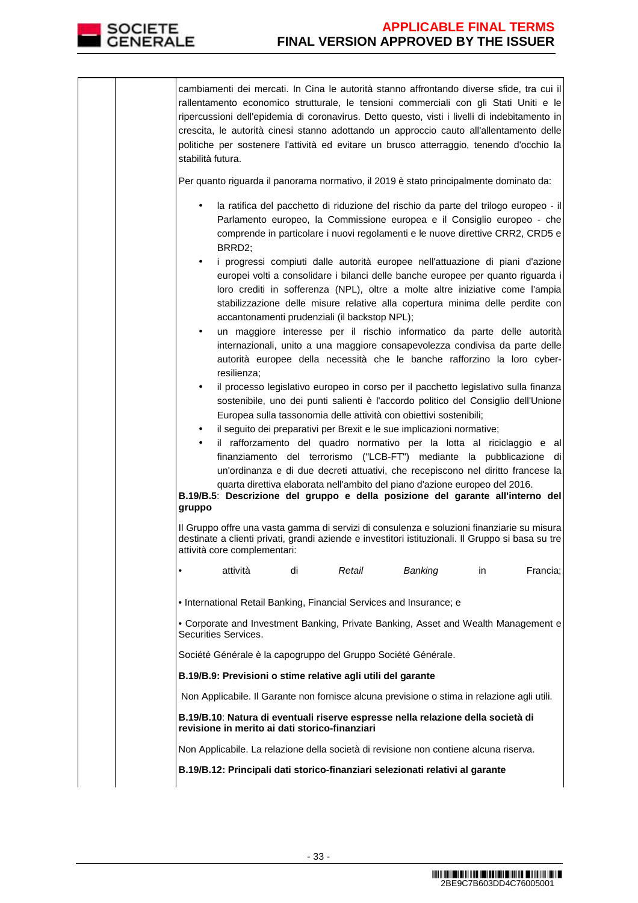

cambiamenti dei mercati. In Cina le autorità stanno affrontando diverse sfide, tra cui il rallentamento economico strutturale, le tensioni commerciali con gli Stati Uniti e le ripercussioni dell'epidemia di coronavirus. Detto questo, visti i livelli di indebitamento in crescita, le autorità cinesi stanno adottando un approccio cauto all'allentamento delle politiche per sostenere l'attività ed evitare un brusco atterraggio, tenendo d'occhio la stabilità futura. Per quanto riguarda il panorama normativo, il 2019 è stato principalmente dominato da: • la ratifica del pacchetto di riduzione del rischio da parte del trilogo europeo - il Parlamento europeo, la Commissione europea e il Consiglio europeo - che comprende in particolare i nuovi regolamenti e le nuove direttive CRR2, CRD5 e BRRD2; • i progressi compiuti dalle autorità europee nell'attuazione di piani d'azione europei volti a consolidare i bilanci delle banche europee per quanto riguarda i loro crediti in sofferenza (NPL), oltre a molte altre iniziative come l'ampia stabilizzazione delle misure relative alla copertura minima delle perdite con accantonamenti prudenziali (il backstop NPL); • un maggiore interesse per il rischio informatico da parte delle autorità internazionali, unito a una maggiore consapevolezza condivisa da parte delle autorità europee della necessità che le banche rafforzino la loro cyberresilienza; • il processo legislativo europeo in corso per il pacchetto legislativo sulla finanza sostenibile, uno dei punti salienti è l'accordo politico del Consiglio dell'Unione Europea sulla tassonomia delle attività con obiettivi sostenibili; • il seguito dei preparativi per Brexit e le sue implicazioni normative; • il rafforzamento del quadro normativo per la lotta al riciclaggio e al finanziamento del terrorismo ("LCB-FT") mediante la pubblicazione di un'ordinanza e di due decreti attuativi, che recepiscono nel diritto francese la quarta direttiva elaborata nell'ambito del piano d'azione europeo del 2016. **B.19/B.5**: **Descrizione del gruppo e della posizione del garante all'interno del gruppo** Il Gruppo offre una vasta gamma di servizi di consulenza e soluzioni finanziarie su misura destinate a clienti privati, grandi aziende e investitori istituzionali. Il Gruppo si basa su tre attività core complementari: • attività di Retail Banking in Francia; • International Retail Banking, Financial Services and Insurance; e • Corporate and Investment Banking, Private Banking, Asset and Wealth Management e Securities Services. Société Générale è la capogruppo del Gruppo Société Générale. **B.19/B.9: Previsioni o stime relative agli utili del garante**  Non Applicabile. Il Garante non fornisce alcuna previsione o stima in relazione agli utili. **B.19/B.10**: **Natura di eventuali riserve espresse nella relazione della società di revisione in merito ai dati storico-finanziari** Non Applicabile. La relazione della società di revisione non contiene alcuna riserva. **B.19/B.12: Principali dati storico-finanziari selezionati relativi al garante**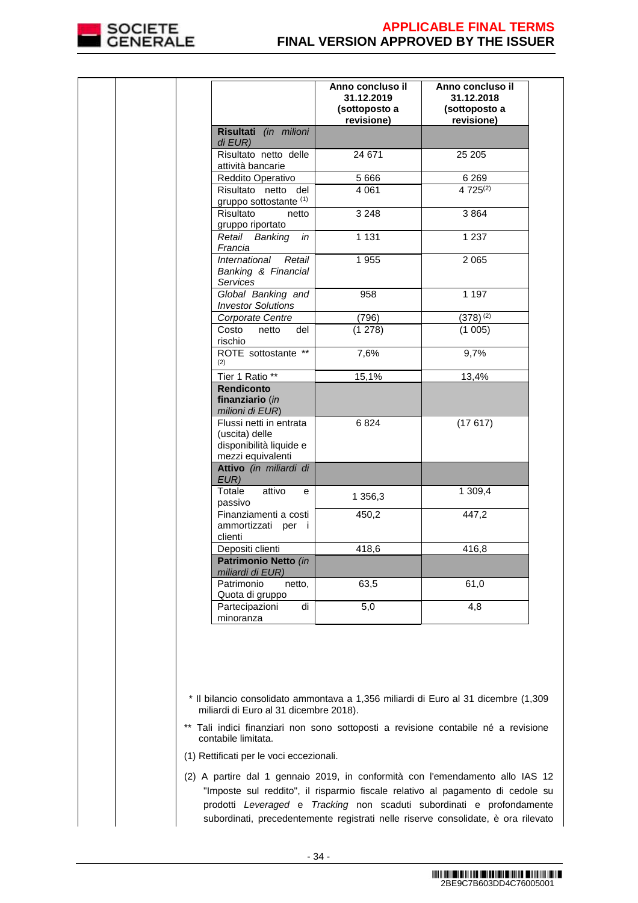

|                                                                                           | Anno concluso il<br>31.12.2019<br>(sottoposto a<br>revisione) | Anno concluso il<br>31.12.2018<br>(sottoposto a<br>revisione) |
|-------------------------------------------------------------------------------------------|---------------------------------------------------------------|---------------------------------------------------------------|
| Risultati (in milioni<br>di EUR)                                                          |                                                               |                                                               |
| Risultato netto delle<br>attività bancarie                                                | 24 671                                                        | 25 205                                                        |
| Reddito Operativo                                                                         | 5 6 6 6                                                       | 6 2 6 9                                                       |
| Risultato netto del<br>gruppo sottostante (1)                                             | 4 0 61                                                        | 4 725(2)                                                      |
| Risultato<br>netto<br>gruppo riportato                                                    | 3 2 4 8                                                       | 3864                                                          |
| Retail Banking<br>in<br>Francia                                                           | 1 1 3 1                                                       | 1 2 3 7                                                       |
| International<br>Retail<br>Banking & Financial<br><b>Services</b>                         | 1 9 5 5                                                       | 2 0 6 5                                                       |
| Global Banking and<br><b>Investor Solutions</b>                                           | 958                                                           | 1 1 9 7                                                       |
| Corporate Centre                                                                          | (796)                                                         | $(378)^{(2)}$                                                 |
| Costo<br>del<br>netto<br>rischio                                                          | (1 278)                                                       | (1005)                                                        |
| ROTE sottostante **<br>(2)                                                                | 7,6%                                                          | 9,7%                                                          |
| Tier 1 Ratio **                                                                           | 15,1%                                                         | 13,4%                                                         |
| <b>Rendiconto</b><br>finanziario (in<br>milioni di EUR)                                   |                                                               |                                                               |
| Flussi netti in entrata<br>(uscita) delle<br>disponibilità liquide e<br>mezzi equivalenti | 6824                                                          | (17617)                                                       |
| Attivo (in miliardi di<br>EUR)                                                            |                                                               |                                                               |
| Totale<br>attivo<br>е<br>passivo                                                          | 1 356,3                                                       | 1 309,4                                                       |
| Finanziamenti a costi<br>ammortizzati per i<br>clienti                                    | 450,2                                                         | 447,2                                                         |
| Depositi clienti                                                                          | 418,6                                                         | 416,8                                                         |
| Patrimonio Netto (in<br>miliardi di EUR)                                                  |                                                               |                                                               |
| Patrimonio<br>netto,<br>Quota di gruppo                                                   | 63,5                                                          | 61,0                                                          |
| Partecipazioni<br>di<br>minoranza                                                         | 5,0                                                           | 4,8                                                           |

- (1) Rettificati per le voci eccezionali.
- (2) A partire dal 1 gennaio 2019, in conformità con l'emendamento allo IAS 12 "Imposte sul reddito", il risparmio fiscale relativo al pagamento di cedole su prodotti Leveraged e Tracking non scaduti subordinati e profondamente subordinati, precedentemente registrati nelle riserve consolidate, è ora rilevato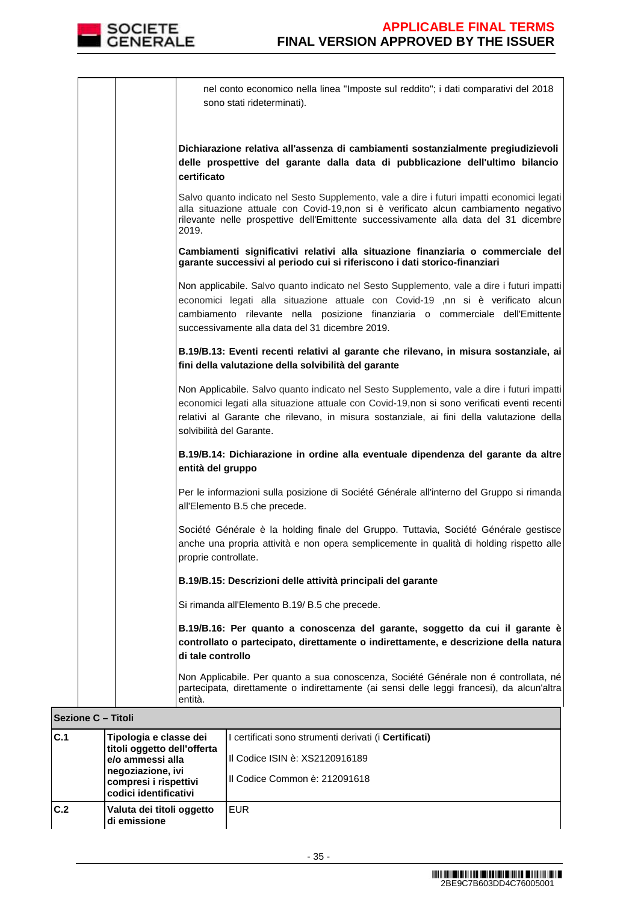

| nel conto economico nella linea "Imposte sul reddito"; i dati comparativi del 2018<br>sono stati rideterminati).                                                                                                                                                                                                   |  |
|--------------------------------------------------------------------------------------------------------------------------------------------------------------------------------------------------------------------------------------------------------------------------------------------------------------------|--|
| Dichiarazione relativa all'assenza di cambiamenti sostanzialmente pregiudizievoli<br>delle prospettive del garante dalla data di pubblicazione dell'ultimo bilancio<br>certificato                                                                                                                                 |  |
| Salvo quanto indicato nel Sesto Supplemento, vale a dire i futuri impatti economici legati<br>alla situazione attuale con Covid-19,non si è verificato alcun cambiamento negativo<br>rilevante nelle prospettive dell'Emittente successivamente alla data del 31 dicembre<br>2019.                                 |  |
| Cambiamenti significativi relativi alla situazione finanziaria o commerciale del<br>garante successivi al periodo cui si riferiscono i dati storico-finanziari                                                                                                                                                     |  |
| Non applicabile. Salvo quanto indicato nel Sesto Supplemento, vale a dire i futuri impatti<br>economici legati alla situazione attuale con Covid-19 ,nn si è verificato alcun<br>cambiamento rilevante nella posizione finanziaria o commerciale dell'Emittente<br>successivamente alla data del 31 dicembre 2019. |  |
| B.19/B.13: Eventi recenti relativi al garante che rilevano, in misura sostanziale, ai<br>fini della valutazione della solvibilità del garante                                                                                                                                                                      |  |
| Non Applicabile. Salvo quanto indicato nel Sesto Supplemento, vale a dire i futuri impatti<br>economici legati alla situazione attuale con Covid-19,non si sono verificati eventi recenti<br>relativi al Garante che rilevano, in misura sostanziale, ai fini della valutazione della<br>solvibilità del Garante.  |  |
| B.19/B.14: Dichiarazione in ordine alla eventuale dipendenza del garante da altre<br>entità del gruppo                                                                                                                                                                                                             |  |
| Per le informazioni sulla posizione di Société Générale all'interno del Gruppo si rimanda<br>all'Elemento B.5 che precede.                                                                                                                                                                                         |  |
| Société Générale è la holding finale del Gruppo. Tuttavia, Société Générale gestisce<br>anche una propria attività e non opera semplicemente in qualità di holding rispetto alle<br>proprie controllate.                                                                                                           |  |
| B.19/B.15: Descrizioni delle attività principali del garante                                                                                                                                                                                                                                                       |  |
| Si rimanda all'Elemento B.19/ B.5 che precede.                                                                                                                                                                                                                                                                     |  |
| B.19/B.16: Per quanto a conoscenza del garante, soggetto da cui il garante è<br>controllato o partecipato, direttamente o indirettamente, e descrizione della natura<br>di tale controllo                                                                                                                          |  |
| Non Applicabile. Per quanto a sua conoscenza, Société Générale non é controllata, né<br>partecipata, direttamente o indirettamente (ai sensi delle leggi francesi), da alcun'altra<br>entità.                                                                                                                      |  |

|     | <b>Sezione C – Titoli</b> |                                                                                                                                                  |  |                                                                                                                                   |
|-----|---------------------------|--------------------------------------------------------------------------------------------------------------------------------------------------|--|-----------------------------------------------------------------------------------------------------------------------------------|
| C.1 |                           | Tipologia e classe dei<br>titoli oggetto dell'offerta<br>e/o ammessi alla<br>negoziazione, ivi<br>compresi i rispettivi<br>codici identificativi |  | l certificati sono strumenti derivati (i <b>Certificati)</b><br>III Codice ISIN è: XS2120916189<br>III Codice Common è: 212091618 |
| C.2 |                           | Valuta dei titoli oggetto<br>di emissione                                                                                                        |  | <b>EUR</b>                                                                                                                        |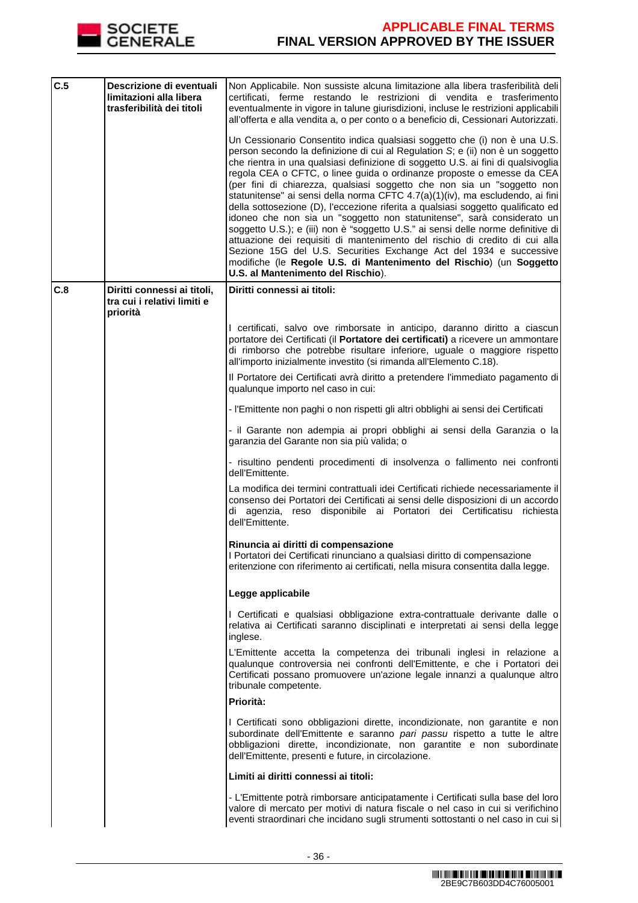

| C.5 | Descrizione di eventuali<br>limitazioni alla libera<br>trasferibilità dei titoli | Non Applicabile. Non sussiste alcuna limitazione alla libera trasferibilità deli<br>certificati, ferme restando le restrizioni di vendita e trasferimento<br>eventualmente in vigore in talune giurisdizioni, incluse le restrizioni applicabili<br>all'offerta e alla vendita a, o per conto o a beneficio di, Cessionari Autorizzati.                                                                                                                                                                                                                                                                                                                                                                                                                                                                                                                                                                                                                                                                    |
|-----|----------------------------------------------------------------------------------|------------------------------------------------------------------------------------------------------------------------------------------------------------------------------------------------------------------------------------------------------------------------------------------------------------------------------------------------------------------------------------------------------------------------------------------------------------------------------------------------------------------------------------------------------------------------------------------------------------------------------------------------------------------------------------------------------------------------------------------------------------------------------------------------------------------------------------------------------------------------------------------------------------------------------------------------------------------------------------------------------------|
|     |                                                                                  | Un Cessionario Consentito indica qualsiasi soggetto che (i) non è una U.S.<br>person secondo la definizione di cui al Regulation S; e (ii) non è un soggetto<br>che rientra in una qualsiasi definizione di soggetto U.S. ai fini di qualsivoglia<br>regola CEA o CFTC, o linee guida o ordinanze proposte o emesse da CEA<br>(per fini di chiarezza, qualsiasi soggetto che non sia un "soggetto non<br>statunitense" ai sensi della norma CFTC 4.7(a)(1)(iv), ma escludendo, ai fini<br>della sottosezione (D), l'eccezione riferita a qualsiasi soggetto qualificato ed<br>idoneo che non sia un "soggetto non statunitense", sarà considerato un<br>soggetto U.S.); e (iii) non è "soggetto U.S." ai sensi delle norme definitive di<br>attuazione dei requisiti di mantenimento del rischio di credito di cui alla<br>Sezione 15G del U.S. Securities Exchange Act del 1934 e successive<br>modifiche (le Regole U.S. di Mantenimento del Rischio) (un Soggetto<br>U.S. al Mantenimento del Rischio). |
| C.8 | Diritti connessi ai titoli,<br>tra cui i relativi limiti e<br>priorità           | Diritti connessi ai titoli:                                                                                                                                                                                                                                                                                                                                                                                                                                                                                                                                                                                                                                                                                                                                                                                                                                                                                                                                                                                |
|     |                                                                                  | I certificati, salvo ove rimborsate in anticipo, daranno diritto a ciascun<br>portatore dei Certificati (il Portatore dei certificati) a ricevere un ammontare<br>di rimborso che potrebbe risultare inferiore, uguale o maggiore rispetto<br>all'importo inizialmente investito (si rimanda all'Elemento C.18).                                                                                                                                                                                                                                                                                                                                                                                                                                                                                                                                                                                                                                                                                           |
|     |                                                                                  | Il Portatore dei Certificati avrà diritto a pretendere l'immediato pagamento di<br>qualunque importo nel caso in cui:                                                                                                                                                                                                                                                                                                                                                                                                                                                                                                                                                                                                                                                                                                                                                                                                                                                                                      |
|     |                                                                                  | - l'Emittente non paghi o non rispetti gli altri obblighi ai sensi dei Certificati                                                                                                                                                                                                                                                                                                                                                                                                                                                                                                                                                                                                                                                                                                                                                                                                                                                                                                                         |
|     |                                                                                  | - il Garante non adempia ai propri obblighi ai sensi della Garanzia o la<br>garanzia del Garante non sia più valida; o                                                                                                                                                                                                                                                                                                                                                                                                                                                                                                                                                                                                                                                                                                                                                                                                                                                                                     |
|     |                                                                                  | - risultino pendenti procedimenti di insolvenza o fallimento nei confronti<br>dell'Emittente.                                                                                                                                                                                                                                                                                                                                                                                                                                                                                                                                                                                                                                                                                                                                                                                                                                                                                                              |
|     |                                                                                  | La modifica dei termini contrattuali idei Certificati richiede necessariamente il<br>consenso dei Portatori dei Certificati ai sensi delle disposizioni di un accordo<br>di agenzia, reso disponibile ai Portatori dei Certificatisu richiesta<br>dell'Emittente.                                                                                                                                                                                                                                                                                                                                                                                                                                                                                                                                                                                                                                                                                                                                          |
|     |                                                                                  | Rinuncia ai diritti di compensazione<br>I Portatori dei Certificati rinunciano a qualsiasi diritto di compensazione<br>eritenzione con riferimento ai certificati, nella misura consentita dalla legge.                                                                                                                                                                                                                                                                                                                                                                                                                                                                                                                                                                                                                                                                                                                                                                                                    |
|     |                                                                                  | Legge applicabile                                                                                                                                                                                                                                                                                                                                                                                                                                                                                                                                                                                                                                                                                                                                                                                                                                                                                                                                                                                          |
|     |                                                                                  | I Certificati e qualsiasi obbligazione extra-contrattuale derivante dalle o<br>relativa ai Certificati saranno disciplinati e interpretati ai sensi della legge<br>inglese.                                                                                                                                                                                                                                                                                                                                                                                                                                                                                                                                                                                                                                                                                                                                                                                                                                |
|     |                                                                                  | L'Emittente accetta la competenza dei tribunali inglesi in relazione a<br>qualunque controversia nei confronti dell'Emittente, e che i Portatori dei<br>Certificati possano promuovere un'azione legale innanzi a qualunque altro<br>tribunale competente.                                                                                                                                                                                                                                                                                                                                                                                                                                                                                                                                                                                                                                                                                                                                                 |
|     |                                                                                  | Priorità:                                                                                                                                                                                                                                                                                                                                                                                                                                                                                                                                                                                                                                                                                                                                                                                                                                                                                                                                                                                                  |
|     |                                                                                  | I Certificati sono obbligazioni dirette, incondizionate, non garantite e non<br>subordinate dell'Emittente e saranno pari passu rispetto a tutte le altre<br>obbligazioni dirette, incondizionate, non garantite e non subordinate<br>dell'Emittente, presenti e future, in circolazione.                                                                                                                                                                                                                                                                                                                                                                                                                                                                                                                                                                                                                                                                                                                  |
|     |                                                                                  | Limiti ai diritti connessi ai titoli:                                                                                                                                                                                                                                                                                                                                                                                                                                                                                                                                                                                                                                                                                                                                                                                                                                                                                                                                                                      |
|     |                                                                                  | - L'Emittente potrà rimborsare anticipatamente i Certificati sulla base del loro<br>valore di mercato per motivi di natura fiscale o nel caso in cui si verifichino<br>eventi straordinari che incidano sugli strumenti sottostanti o nel caso in cui si                                                                                                                                                                                                                                                                                                                                                                                                                                                                                                                                                                                                                                                                                                                                                   |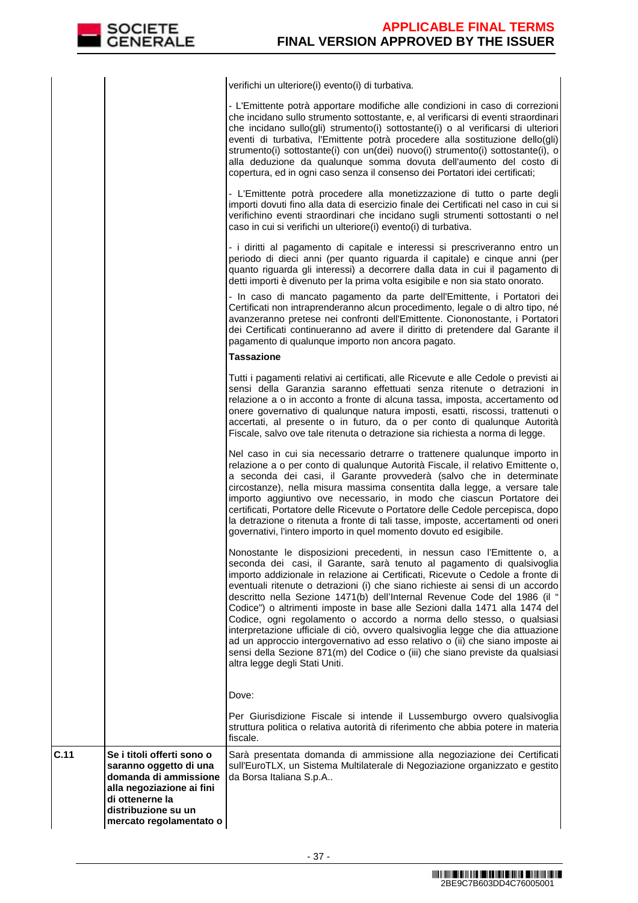**C.11** 

verifichi un ulteriore(i) evento(i) di turbativa.

|      |                                                                                                                               | - L'Emittente potrà apportare modifiche alle condizioni in caso di correzioni<br>che incidano sullo strumento sottostante, e, al verificarsi di eventi straordinari<br>che incidano sullo(gli) strumento(i) sottostante(i) o al verificarsi di ulteriori<br>eventi di turbativa, l'Emittente potrà procedere alla sostituzione dello(gli)<br>strumento(i) sottostante(i) con un(dei) nuovo(i) strumento(i) sottostante(i), o<br>alla deduzione da qualunque somma dovuta dell'aumento del costo di<br>copertura, ed in ogni caso senza il consenso dei Portatori idei certificati;                                                                                                                                                                                                                                                             |
|------|-------------------------------------------------------------------------------------------------------------------------------|------------------------------------------------------------------------------------------------------------------------------------------------------------------------------------------------------------------------------------------------------------------------------------------------------------------------------------------------------------------------------------------------------------------------------------------------------------------------------------------------------------------------------------------------------------------------------------------------------------------------------------------------------------------------------------------------------------------------------------------------------------------------------------------------------------------------------------------------|
|      |                                                                                                                               | - L'Emittente potrà procedere alla monetizzazione di tutto o parte degli<br>importi dovuti fino alla data di esercizio finale dei Certificati nel caso in cui si<br>verifichino eventi straordinari che incidano sugli strumenti sottostanti o nel<br>caso in cui si verifichi un ulteriore(i) evento(i) di turbativa.                                                                                                                                                                                                                                                                                                                                                                                                                                                                                                                         |
|      |                                                                                                                               | - i diritti al pagamento di capitale e interessi si prescriveranno entro un<br>periodo di dieci anni (per quanto riguarda il capitale) e cinque anni (per<br>quanto riguarda gli interessi) a decorrere dalla data in cui il pagamento di<br>detti importi è divenuto per la prima volta esigibile e non sia stato onorato.                                                                                                                                                                                                                                                                                                                                                                                                                                                                                                                    |
|      |                                                                                                                               | - In caso di mancato pagamento da parte dell'Emittente, i Portatori dei<br>Certificati non intraprenderanno alcun procedimento, legale o di altro tipo, né<br>avanzeranno pretese nei confronti dell'Emittente. Ciononostante, i Portatori<br>dei Certificati continueranno ad avere il diritto di pretendere dal Garante il<br>pagamento di qualunque importo non ancora pagato.                                                                                                                                                                                                                                                                                                                                                                                                                                                              |
|      |                                                                                                                               | <b>Tassazione</b>                                                                                                                                                                                                                                                                                                                                                                                                                                                                                                                                                                                                                                                                                                                                                                                                                              |
|      |                                                                                                                               | Tutti i pagamenti relativi ai certificati, alle Ricevute e alle Cedole o previsti ai<br>sensi della Garanzia saranno effettuati senza ritenute o detrazioni in<br>relazione a o in acconto a fronte di alcuna tassa, imposta, accertamento od<br>onere governativo di qualunque natura imposti, esatti, riscossi, trattenuti o<br>accertati, al presente o in futuro, da o per conto di qualunque Autorità<br>Fiscale, salvo ove tale ritenuta o detrazione sia richiesta a norma di legge.                                                                                                                                                                                                                                                                                                                                                    |
|      |                                                                                                                               | Nel caso in cui sia necessario detrarre o trattenere qualunque importo in<br>relazione a o per conto di qualunque Autorità Fiscale, il relativo Emittente o,<br>a seconda dei casi, il Garante provvederà (salvo che in determinate<br>circostanze), nella misura massima consentita dalla legge, a versare tale<br>importo aggiuntivo ove necessario, in modo che ciascun Portatore dei<br>certificati, Portatore delle Ricevute o Portatore delle Cedole percepisca, dopo<br>la detrazione o ritenuta a fronte di tali tasse, imposte, accertamenti od oneri<br>governativi, l'intero importo in quel momento dovuto ed esigibile.                                                                                                                                                                                                           |
|      |                                                                                                                               | Nonostante le disposizioni precedenti, in nessun caso l'Emittente o, a<br>seconda dei casi, il Garante, sarà tenuto al pagamento di qualsivoglia<br>importo addizionale in relazione ai Certificati, Ricevute o Cedole a fronte di<br>eventuali ritenute o detrazioni (i) che siano richieste ai sensi di un accordo<br>descritto nella Sezione 1471(b) dell'Internal Revenue Code del 1986 (il "<br>Codice") o altrimenti imposte in base alle Sezioni dalla 1471 alla 1474 del<br>Codice, ogni regolamento o accordo a norma dello stesso, o qualsiasi<br>interpretazione ufficiale di ciò, ovvero qualsivoglia legge che dia attuazione<br>ad un approccio intergovernativo ad esso relativo o (ii) che siano imposte ai<br>sensi della Sezione 871(m) del Codice o (iii) che siano previste da qualsiasi<br>altra legge degli Stati Uniti. |
|      |                                                                                                                               | Dove:                                                                                                                                                                                                                                                                                                                                                                                                                                                                                                                                                                                                                                                                                                                                                                                                                                          |
|      |                                                                                                                               | Per Giurisdizione Fiscale si intende il Lussemburgo ovvero qualsivoglia<br>struttura politica o relativa autorità di riferimento che abbia potere in materia<br>fiscale.                                                                                                                                                                                                                                                                                                                                                                                                                                                                                                                                                                                                                                                                       |
| C.11 | Se i titoli offerti sono o<br>saranno oggetto di una<br>domanda di ammissione<br>alla negoziazione ai fini<br>di ottenerne la | Sarà presentata domanda di ammissione alla negoziazione dei Certificati<br>sull'EuroTLX, un Sistema Multilaterale di Negoziazione organizzato e gestito<br>da Borsa Italiana S.p.A                                                                                                                                                                                                                                                                                                                                                                                                                                                                                                                                                                                                                                                             |
|      | distribuzione su un<br>mercato regolamentato o                                                                                |                                                                                                                                                                                                                                                                                                                                                                                                                                                                                                                                                                                                                                                                                                                                                                                                                                                |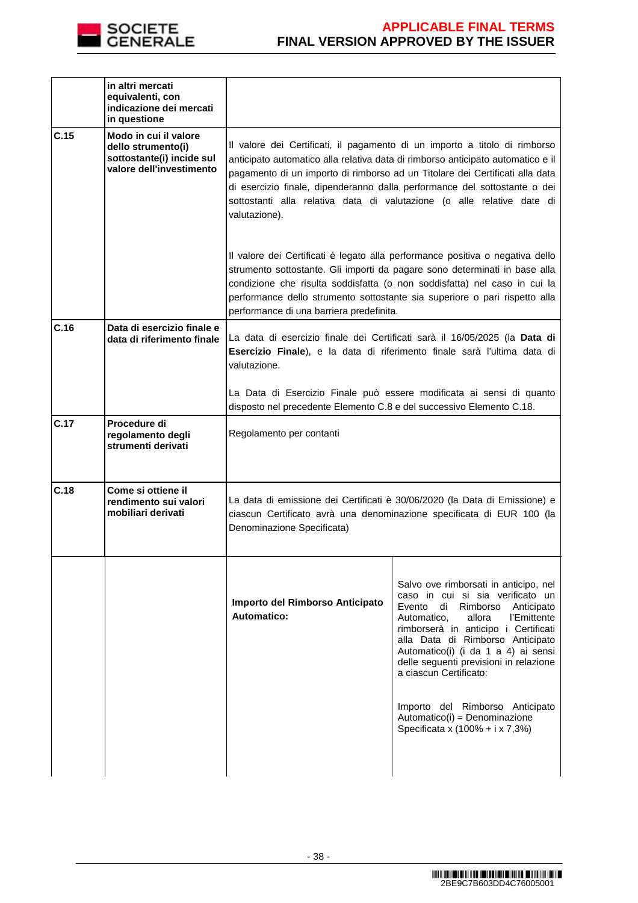

|      | in altri mercati<br>equivalenti, con<br>indicazione dei mercati<br>in questione                      |                                                                      |                                                                                                                                                                                                                                                                                                                                                                                                      |
|------|------------------------------------------------------------------------------------------------------|----------------------------------------------------------------------|------------------------------------------------------------------------------------------------------------------------------------------------------------------------------------------------------------------------------------------------------------------------------------------------------------------------------------------------------------------------------------------------------|
| C.15 | Modo in cui il valore<br>dello strumento(i)<br>sottostante(i) incide sul<br>valore dell'investimento | valutazione).                                                        | Il valore dei Certificati, il pagamento di un importo a titolo di rimborso<br>anticipato automatico alla relativa data di rimborso anticipato automatico e il<br>pagamento di un importo di rimborso ad un Titolare dei Certificati alla data<br>di esercizio finale, dipenderanno dalla performance del sottostante o dei<br>sottostanti alla relativa data di valutazione (o alle relative date di |
|      |                                                                                                      | performance di una barriera predefinita.                             | Il valore dei Certificati è legato alla performance positiva o negativa dello<br>strumento sottostante. Gli importi da pagare sono determinati in base alla<br>condizione che risulta soddisfatta (o non soddisfatta) nel caso in cui la<br>performance dello strumento sottostante sia superiore o pari rispetto alla                                                                               |
| C.16 | Data di esercizio finale e<br>data di riferimento finale                                             | valutazione.                                                         | La data di esercizio finale dei Certificati sarà il 16/05/2025 (la Data di<br>Esercizio Finale), e la data di riferimento finale sarà l'ultima data di                                                                                                                                                                                                                                               |
|      |                                                                                                      | disposto nel precedente Elemento C.8 e del successivo Elemento C.18. | La Data di Esercizio Finale può essere modificata ai sensi di quanto                                                                                                                                                                                                                                                                                                                                 |
| C.17 | Procedure di<br>regolamento degli<br>strumenti derivati                                              | Regolamento per contanti                                             |                                                                                                                                                                                                                                                                                                                                                                                                      |
| C.18 | Come si ottiene il<br>rendimento sui valori<br>mobiliari derivati                                    | Denominazione Specificata)                                           | La data di emissione dei Certificati è 30/06/2020 (la Data di Emissione) e<br>ciascun Certificato avrà una denominazione specificata di EUR 100 (la                                                                                                                                                                                                                                                  |
|      |                                                                                                      | Importo del Rimborso Anticipato<br>Automatico:                       | Salvo ove rimborsati in anticipo, nel<br>caso in cui si sia verificato un<br>Evento di Rimborso Anticipato<br>l'Emittente<br>Automatico.<br>allora<br>rimborserà in anticipo i Certificati<br>alla Data di Rimborso Anticipato<br>Automatico(i) (i da 1 a 4) ai sensi<br>delle seguenti previsioni in relazione<br>a ciascun Certificato:<br>Importo del Rimborso Anticipato                         |
|      |                                                                                                      |                                                                      | Automatico(i) = Denominazione<br>Specificata x (100% + i x 7,3%)                                                                                                                                                                                                                                                                                                                                     |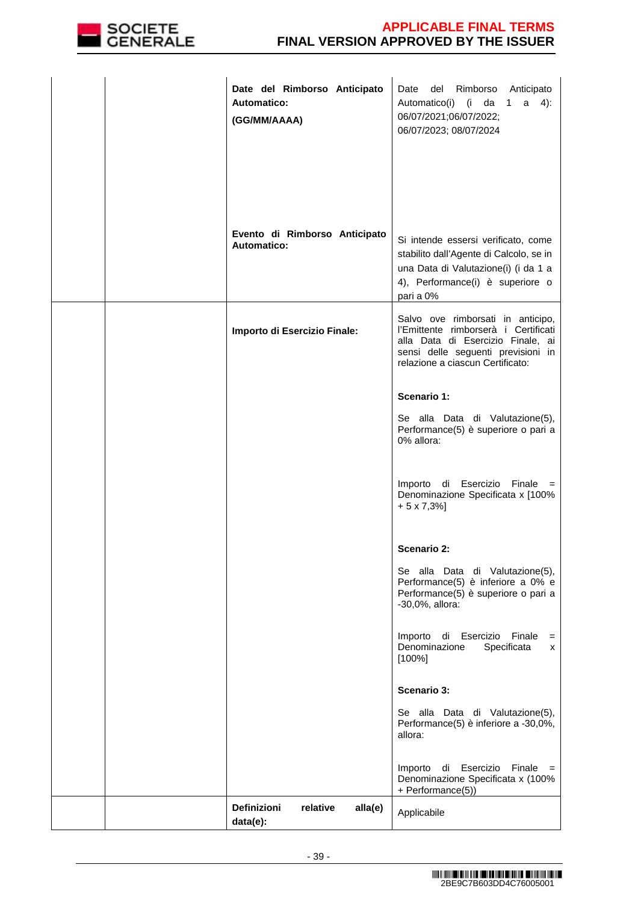

|  | Date del Rimborso Anticipato<br><b>Automatico:</b><br>(GG/MM/AAAA) | del<br>Rimborso Anticipato<br>Date<br>Automatico(i) (i da 1<br>$a \quad 4)$ :<br>06/07/2021;06/07/2022;<br>06/07/2023; 08/07/2024                                                        |
|--|--------------------------------------------------------------------|------------------------------------------------------------------------------------------------------------------------------------------------------------------------------------------|
|  | Evento di Rimborso Anticipato<br><b>Automatico:</b>                | Si intende essersi verificato, come<br>stabilito dall'Agente di Calcolo, se in<br>una Data di Valutazione(i) (i da 1 a<br>4), Performance(i) è superiore o<br>pari a 0%                  |
|  | Importo di Esercizio Finale:                                       | Salvo ove rimborsati in anticipo,<br>l'Emittente rimborserà i Certificati<br>alla Data di Esercizio Finale, ai<br>sensi delle seguenti previsioni in<br>relazione a ciascun Certificato: |
|  |                                                                    | Scenario 1:<br>Se alla Data di Valutazione(5),<br>Performance(5) è superiore o pari a<br>0% allora:                                                                                      |
|  |                                                                    | Importo di Esercizio Finale =<br>Denominazione Specificata x [100%<br>$+5 \times 7,3\%$ ]                                                                                                |
|  |                                                                    | Scenario 2:                                                                                                                                                                              |
|  |                                                                    | Se alla Data di Valutazione(5),<br>Performance(5) è inferiore a 0% e<br>Performance(5) è superiore o pari a<br>-30,0%, allora:                                                           |
|  |                                                                    | Esercizio<br>Finale<br>Importo<br>di<br>$=$<br>Specificata<br>Denominazione<br>x<br>[100%]                                                                                               |
|  |                                                                    | Scenario 3:                                                                                                                                                                              |
|  |                                                                    | Se alla Data di Valutazione(5),<br>Performance(5) è inferiore a -30,0%,<br>allora:                                                                                                       |
|  |                                                                    | Esercizio<br>Finale<br>Importo<br>di<br>$=$<br>Denominazione Specificata x (100%<br>+ Performance(5))                                                                                    |
|  | <b>Definizioni</b><br>relative<br>alla(e)<br>data(e):              | Applicabile                                                                                                                                                                              |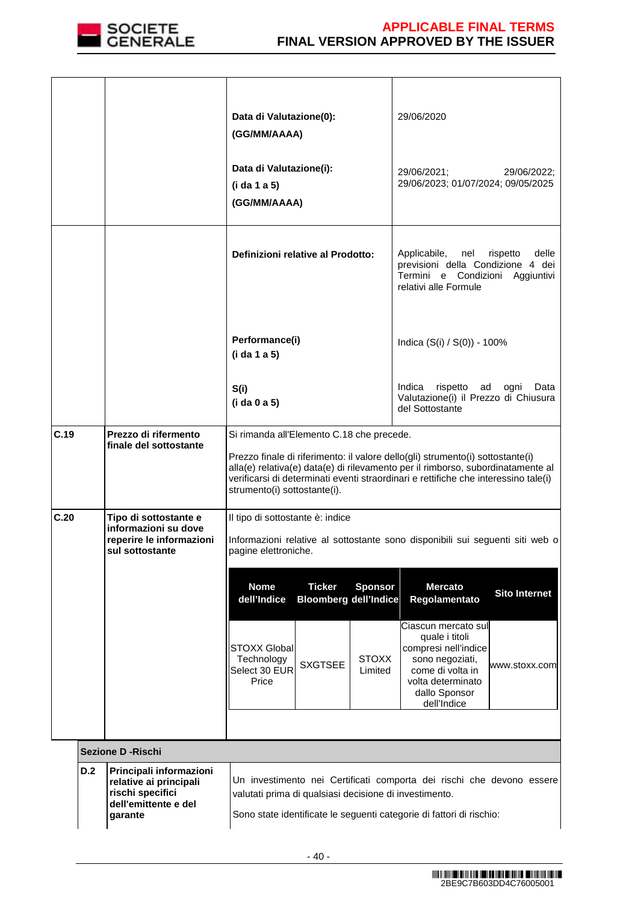

|      |     |                                                                                                          | Data di Valutazione(0):<br>(GG/MM/AAAA)<br>Data di Valutazione(i):<br>(i da 1 a 5)<br>(GG/MM/AAAA)                                                                                                                                                 | 29/06/2020<br>29/06/2021;<br>29/06/2022;<br>29/06/2023; 01/07/2024; 09/05/2025                                                                                             |
|------|-----|----------------------------------------------------------------------------------------------------------|----------------------------------------------------------------------------------------------------------------------------------------------------------------------------------------------------------------------------------------------------|----------------------------------------------------------------------------------------------------------------------------------------------------------------------------|
|      |     |                                                                                                          | Definizioni relative al Prodotto:                                                                                                                                                                                                                  | rispetto<br>delle<br>Applicabile, nel<br>previsioni della Condizione 4 dei<br>Termini e Condizioni Aggiuntivi<br>relativi alle Formule                                     |
|      |     |                                                                                                          | Performance(i)<br>(i da 1 a 5)                                                                                                                                                                                                                     | Indica (S(i) / S(0)) - 100%                                                                                                                                                |
|      |     |                                                                                                          | S(i)<br>(i da 0 a 5)                                                                                                                                                                                                                               | Indica<br>rispetto<br>ad ogni<br>Data<br>Valutazione(i) il Prezzo di Chiusura<br>del Sottostante                                                                           |
| C.19 |     | Prezzo di rifermento<br>finale del sottostante                                                           | Si rimanda all'Elemento C.18 che precede.<br>Prezzo finale di riferimento: il valore dello(gli) strumento(i) sottostante(i)<br>verificarsi di determinati eventi straordinari e rettifiche che interessino tale(i)<br>strumento(i) sottostante(i). | alla(e) relativa(e) data(e) di rilevamento per il rimborso, subordinatamente al                                                                                            |
| C.20 |     | Tipo di sottostante e<br>informazioni su dove<br>reperire le informazioni<br>sul sottostante             | Il tipo di sottostante è: indice<br>pagine elettroniche.                                                                                                                                                                                           | Informazioni relative al sottostante sono disponibili sui seguenti siti web o                                                                                              |
|      |     |                                                                                                          | <b>Nome</b><br><b>Ticker</b><br><b>Sponsor</b><br>dell'Indice<br><b>Bloomberg dell'Indice</b>                                                                                                                                                      | <b>Mercato</b><br><b>Sito Internet</b><br>Regolamentato                                                                                                                    |
|      |     |                                                                                                          | <b>STOXX Global</b><br><b>STOXX</b><br>Technology<br><b>SXGTSEE</b><br>Select 30 EUR<br>Limited<br>Price                                                                                                                                           | Ciascun mercato sul<br>quale i titoli<br>compresi nell'indice<br>sono negoziati,<br>www.stoxx.com<br>come di volta in<br>volta determinato<br>dallo Sponsor<br>dell'Indice |
|      |     |                                                                                                          |                                                                                                                                                                                                                                                    |                                                                                                                                                                            |
|      |     | <b>Sezione D - Rischi</b>                                                                                |                                                                                                                                                                                                                                                    |                                                                                                                                                                            |
|      | D.2 | Principali informazioni<br>relative ai principali<br>rischi specifici<br>dell'emittente e del<br>garante | valutati prima di qualsiasi decisione di investimento.<br>Sono state identificate le seguenti categorie di fattori di rischio:                                                                                                                     | Un investimento nei Certificati comporta dei rischi che devono essere                                                                                                      |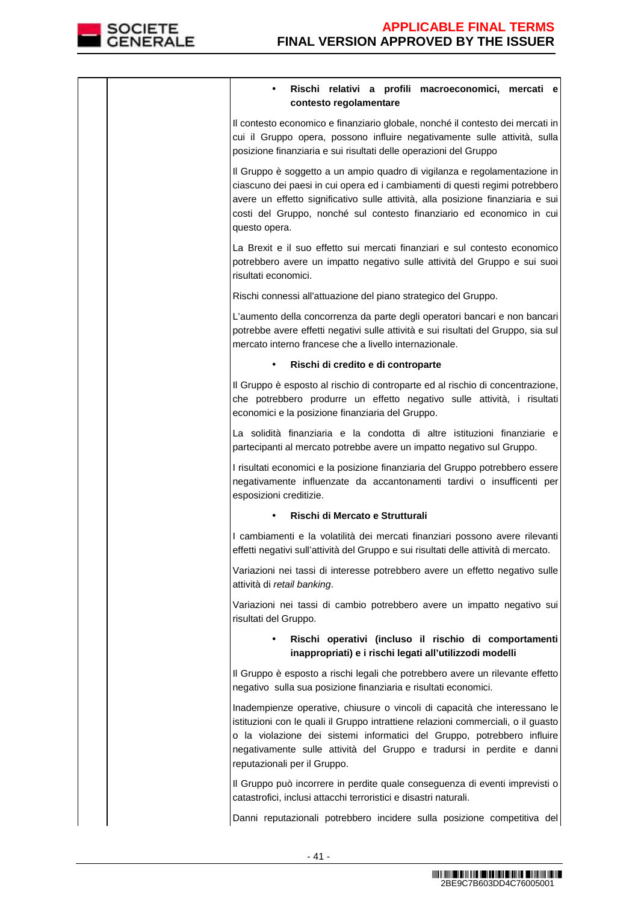

| Rischi relativi a profili macroeconomici, mercati e<br>contesto regolamentare                                                                                                                                                                                                                                                                      |
|----------------------------------------------------------------------------------------------------------------------------------------------------------------------------------------------------------------------------------------------------------------------------------------------------------------------------------------------------|
| Il contesto economico e finanziario globale, nonché il contesto dei mercati in<br>cui il Gruppo opera, possono influire negativamente sulle attività, sulla<br>posizione finanziaria e sui risultati delle operazioni del Gruppo                                                                                                                   |
| Il Gruppo è soggetto a un ampio quadro di vigilanza e regolamentazione in<br>ciascuno dei paesi in cui opera ed i cambiamenti di questi regimi potrebbero<br>avere un effetto significativo sulle attività, alla posizione finanziaria e sui<br>costi del Gruppo, nonché sul contesto finanziario ed economico in cui<br>questo opera.             |
| La Brexit e il suo effetto sui mercati finanziari e sul contesto economico<br>potrebbero avere un impatto negativo sulle attività del Gruppo e sui suoi<br>risultati economici.                                                                                                                                                                    |
| Rischi connessi all'attuazione del piano strategico del Gruppo.                                                                                                                                                                                                                                                                                    |
| L'aumento della concorrenza da parte degli operatori bancari e non bancari<br>potrebbe avere effetti negativi sulle attività e sui risultati del Gruppo, sia sul<br>mercato interno francese che a livello internazionale.                                                                                                                         |
| Rischi di credito e di controparte<br>$\bullet$                                                                                                                                                                                                                                                                                                    |
| Il Gruppo è esposto al rischio di controparte ed al rischio di concentrazione,<br>che potrebbero produrre un effetto negativo sulle attività, i risultati<br>economici e la posizione finanziaria del Gruppo.                                                                                                                                      |
| La solidità finanziaria e la condotta di altre istituzioni finanziarie e<br>partecipanti al mercato potrebbe avere un impatto negativo sul Gruppo.                                                                                                                                                                                                 |
| I risultati economici e la posizione finanziaria del Gruppo potrebbero essere<br>negativamente influenzate da accantonamenti tardivi o insufficenti per<br>esposizioni creditizie.                                                                                                                                                                 |
| Rischi di Mercato e Strutturali                                                                                                                                                                                                                                                                                                                    |
| I cambiamenti e la volatilità dei mercati finanziari possono avere rilevanti<br>effetti negativi sull'attività del Gruppo e sui risultati delle attività di mercato.                                                                                                                                                                               |
| Variazioni nei tassi di interesse potrebbero avere un effetto negativo sulle<br>attività di retail banking.                                                                                                                                                                                                                                        |
| Variazioni nei tassi di cambio potrebbero avere un impatto negativo sui<br>risultati del Gruppo.                                                                                                                                                                                                                                                   |
| Rischi operativi (incluso il rischio di comportamenti<br>inappropriati) e i rischi legati all'utilizzodi modelli                                                                                                                                                                                                                                   |
| Il Gruppo è esposto a rischi legali che potrebbero avere un rilevante effetto<br>negativo sulla sua posizione finanziaria e risultati economici.                                                                                                                                                                                                   |
| Inadempienze operative, chiusure o vincoli di capacità che interessano le<br>istituzioni con le quali il Gruppo intrattiene relazioni commerciali, o il guasto<br>o la violazione dei sistemi informatici del Gruppo, potrebbero influire<br>negativamente sulle attività del Gruppo e tradursi in perdite e danni<br>reputazionali per il Gruppo. |
| Il Gruppo può incorrere in perdite quale conseguenza di eventi imprevisti o<br>catastrofici, inclusi attacchi terroristici e disastri naturali.                                                                                                                                                                                                    |
| Danni reputazionali potrebbero incidere sulla posizione competitiva del                                                                                                                                                                                                                                                                            |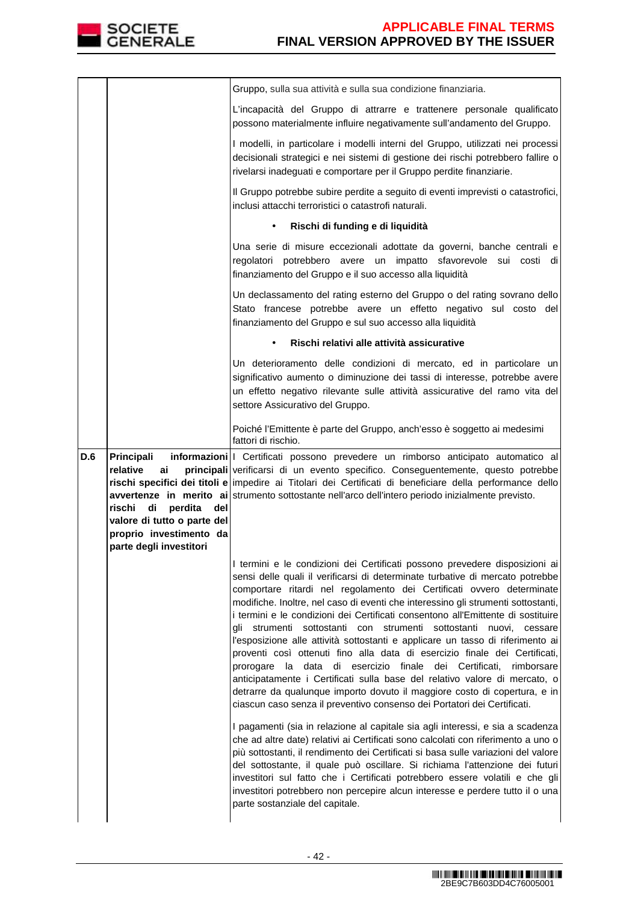

|     |                                                                                                                     | Gruppo, sulla sua attività e sulla sua condizione finanziaria.                                                                                                                                                                                                       |
|-----|---------------------------------------------------------------------------------------------------------------------|----------------------------------------------------------------------------------------------------------------------------------------------------------------------------------------------------------------------------------------------------------------------|
|     |                                                                                                                     | L'incapacità del Gruppo di attrarre e trattenere personale qualificato<br>possono materialmente influire negativamente sull'andamento del Gruppo.                                                                                                                    |
|     |                                                                                                                     | I modelli, in particolare i modelli interni del Gruppo, utilizzati nei processi<br>decisionali strategici e nei sistemi di gestione dei rischi potrebbero fallire o<br>rivelarsi inadeguati e comportare per il Gruppo perdite finanziarie.                          |
|     |                                                                                                                     | Il Gruppo potrebbe subire perdite a seguito di eventi imprevisti o catastrofici,<br>inclusi attacchi terroristici o catastrofi naturali.                                                                                                                             |
|     |                                                                                                                     | Rischi di funding e di liquidità<br>$\bullet$                                                                                                                                                                                                                        |
|     |                                                                                                                     | Una serie di misure eccezionali adottate da governi, banche centrali e<br>regolatori potrebbero avere un impatto sfavorevole sui costi di<br>finanziamento del Gruppo e il suo accesso alla liquidità                                                                |
|     |                                                                                                                     | Un declassamento del rating esterno del Gruppo o del rating sovrano dello<br>Stato francese potrebbe avere un effetto negativo sul costo del<br>finanziamento del Gruppo e sul suo accesso alla liquidità                                                            |
|     |                                                                                                                     | Rischi relativi alle attività assicurative                                                                                                                                                                                                                           |
|     |                                                                                                                     | Un deterioramento delle condizioni di mercato, ed in particolare un<br>significativo aumento o diminuzione dei tassi di interesse, potrebbe avere<br>un effetto negativo rilevante sulle attività assicurative del ramo vita del<br>settore Assicurativo del Gruppo. |
|     |                                                                                                                     | Poiché l'Emittente è parte del Gruppo, anch'esso è soggetto ai medesimi<br>fattori di rischio.                                                                                                                                                                       |
| D.6 | Principali<br>relative<br>ai                                                                                        | informazioni   Certificati possono prevedere un rimborso anticipato automatico al<br>principali verificarsi di un evento specifico. Conseguentemente, questo potrebbe                                                                                                |
|     | rischi<br>di<br>perdita<br>del<br>valore di tutto o parte del<br>proprio investimento da<br>parte degli investitori | rischi specifici dei titoli e impedire ai Titolari dei Certificati di beneficiare della performance dello<br>avvertenze in merito ai strumento sottostante nell'arco dell'intero periodo inizialmente previsto.                                                      |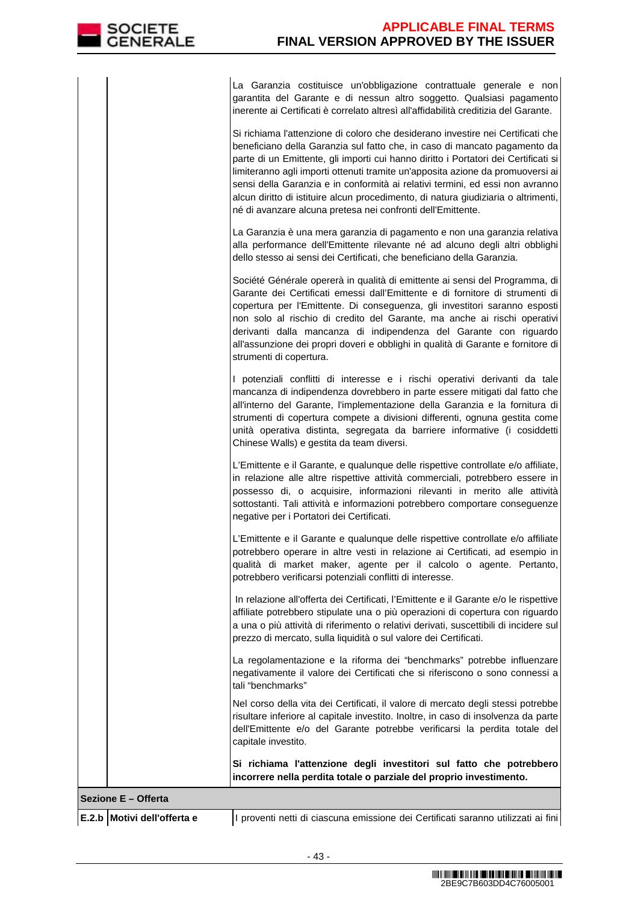La Garanzia costituisce un'obbligazione contrattuale generale e non garantita del Garante e di nessun altro soggetto. Qualsiasi pagamento inerente ai Certificati è correlato altresì all'affidabilità creditizia del Garante.

Si richiama l'attenzione di coloro che desiderano investire nei Certificati che beneficiano della Garanzia sul fatto che, in caso di mancato pagamento da parte di un Emittente, gli importi cui hanno diritto i Portatori dei Certificati si limiteranno agli importi ottenuti tramite un'apposita azione da promuoversi ai sensi della Garanzia e in conformità ai relativi termini, ed essi non avranno alcun diritto di istituire alcun procedimento, di natura giudiziaria o altrimenti, né di avanzare alcuna pretesa nei confronti dell'Emittente.

La Garanzia è una mera garanzia di pagamento e non una garanzia relativa alla performance dell'Emittente rilevante né ad alcuno degli altri obblighi dello stesso ai sensi dei Certificati, che beneficiano della Garanzia.

Société Générale opererà in qualità di emittente ai sensi del Programma, di Garante dei Certificati emessi dall'Emittente e di fornitore di strumenti di copertura per l'Emittente. Di conseguenza, gli investitori saranno esposti non solo al rischio di credito del Garante, ma anche ai rischi operativi derivanti dalla mancanza di indipendenza del Garante con riguardo all'assunzione dei propri doveri e obblighi in qualità di Garante e fornitore di strumenti di copertura.

I potenziali conflitti di interesse e i rischi operativi derivanti da tale mancanza di indipendenza dovrebbero in parte essere mitigati dal fatto che all'interno del Garante, l'implementazione della Garanzia e la fornitura di strumenti di copertura compete a divisioni differenti, ognuna gestita come unità operativa distinta, segregata da barriere informative (i cosiddetti Chinese Walls) e gestita da team diversi.

L'Emittente e il Garante, e qualunque delle rispettive controllate e/o affiliate, in relazione alle altre rispettive attività commerciali, potrebbero essere in possesso di, o acquisire, informazioni rilevanti in merito alle attività sottostanti. Tali attività e informazioni potrebbero comportare conseguenze negative per i Portatori dei Certificati.

L'Emittente e il Garante e qualunque delle rispettive controllate e/o affiliate potrebbero operare in altre vesti in relazione ai Certificati, ad esempio in qualità di market maker, agente per il calcolo o agente. Pertanto, potrebbero verificarsi potenziali conflitti di interesse.

 In relazione all'offerta dei Certificati, l'Emittente e il Garante e/o le rispettive affiliate potrebbero stipulate una o più operazioni di copertura con riguardo a una o più attività di riferimento o relativi derivati, suscettibili di incidere sul prezzo di mercato, sulla liquidità o sul valore dei Certificati.

La regolamentazione e la riforma dei "benchmarks" potrebbe influenzare negativamente il valore dei Certificati che si riferiscono o sono connessi a tali "benchmarks"

 Nel corso della vita dei Certificati, il valore di mercato degli stessi potrebbe risultare inferiore al capitale investito. Inoltre, in caso di insolvenza da parte dell'Emittente e/o del Garante potrebbe verificarsi la perdita totale del capitale investito.

**Si richiama l'attenzione degli investitori sul fatto che potrebbero incorrere nella perdita totale o parziale del proprio investimento.**

# **Sezione E – Offerta**

**E.2.b Motivi dell'offerta e** I proventi netti di ciascuna emissione dei Certificati saranno utilizzati ai fini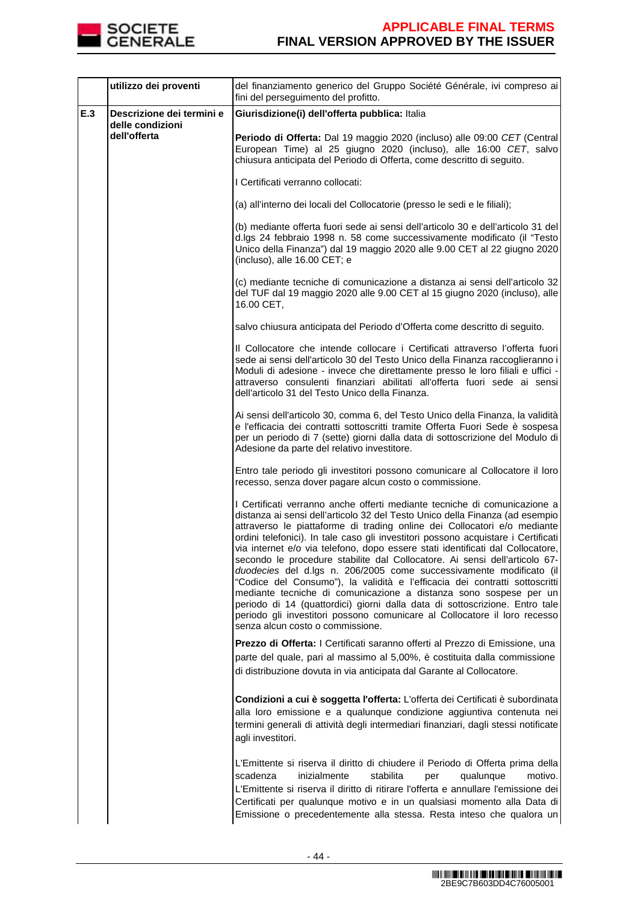

|     | utilizzo dei proventi                                         | del finanziamento generico del Gruppo Société Générale, ivi compreso ai<br>fini del perseguimento del profitto.                                                                                                                                                                                                                                                                                                                                                                                                                                                                                                                                                                                                                                                                                                                                                                                                       |
|-----|---------------------------------------------------------------|-----------------------------------------------------------------------------------------------------------------------------------------------------------------------------------------------------------------------------------------------------------------------------------------------------------------------------------------------------------------------------------------------------------------------------------------------------------------------------------------------------------------------------------------------------------------------------------------------------------------------------------------------------------------------------------------------------------------------------------------------------------------------------------------------------------------------------------------------------------------------------------------------------------------------|
| E.3 | Descrizione dei termini e<br>delle condizioni<br>dell'offerta | Giurisdizione(i) dell'offerta pubblica: Italia                                                                                                                                                                                                                                                                                                                                                                                                                                                                                                                                                                                                                                                                                                                                                                                                                                                                        |
|     |                                                               | Periodo di Offerta: Dal 19 maggio 2020 (incluso) alle 09:00 CET (Central<br>European Time) al 25 giugno 2020 (incluso), alle 16:00 CET, salvo<br>chiusura anticipata del Periodo di Offerta, come descritto di seguito.                                                                                                                                                                                                                                                                                                                                                                                                                                                                                                                                                                                                                                                                                               |
|     |                                                               | I Certificati verranno collocati:                                                                                                                                                                                                                                                                                                                                                                                                                                                                                                                                                                                                                                                                                                                                                                                                                                                                                     |
|     |                                                               | (a) all'interno dei locali del Collocatorie (presso le sedi e le filiali);                                                                                                                                                                                                                                                                                                                                                                                                                                                                                                                                                                                                                                                                                                                                                                                                                                            |
|     |                                                               | (b) mediante offerta fuori sede ai sensi dell'articolo 30 e dell'articolo 31 del<br>d.lgs 24 febbraio 1998 n. 58 come successivamente modificato (il "Testo<br>Unico della Finanza") dal 19 maggio 2020 alle 9.00 CET al 22 giugno 2020<br>(incluso), alle 16.00 CET; e                                                                                                                                                                                                                                                                                                                                                                                                                                                                                                                                                                                                                                               |
|     |                                                               | (c) mediante tecniche di comunicazione a distanza ai sensi dell'articolo 32<br>del TUF dal 19 maggio 2020 alle 9.00 CET al 15 giugno 2020 (incluso), alle<br>16.00 CET,                                                                                                                                                                                                                                                                                                                                                                                                                                                                                                                                                                                                                                                                                                                                               |
|     |                                                               | salvo chiusura anticipata del Periodo d'Offerta come descritto di seguito.                                                                                                                                                                                                                                                                                                                                                                                                                                                                                                                                                                                                                                                                                                                                                                                                                                            |
|     |                                                               | Il Collocatore che intende collocare i Certificati attraverso l'offerta fuori<br>sede ai sensi dell'articolo 30 del Testo Unico della Finanza raccoglieranno i<br>Moduli di adesione - invece che direttamente presso le loro filiali e uffici -<br>attraverso consulenti finanziari abilitati all'offerta fuori sede ai sensi<br>dell'articolo 31 del Testo Unico della Finanza.                                                                                                                                                                                                                                                                                                                                                                                                                                                                                                                                     |
|     |                                                               | Ai sensi dell'articolo 30, comma 6, del Testo Unico della Finanza, la validità<br>e l'efficacia dei contratti sottoscritti tramite Offerta Fuori Sede è sospesa<br>per un periodo di 7 (sette) giorni dalla data di sottoscrizione del Modulo di<br>Adesione da parte del relativo investitore.                                                                                                                                                                                                                                                                                                                                                                                                                                                                                                                                                                                                                       |
|     |                                                               | Entro tale periodo gli investitori possono comunicare al Collocatore il loro<br>recesso, senza dover pagare alcun costo o commissione.                                                                                                                                                                                                                                                                                                                                                                                                                                                                                                                                                                                                                                                                                                                                                                                |
|     |                                                               | I Certificati verranno anche offerti mediante tecniche di comunicazione a<br>distanza ai sensi dell'articolo 32 del Testo Unico della Finanza (ad esempio<br>attraverso le piattaforme di trading online dei Collocatori e/o mediante<br>ordini telefonici). In tale caso gli investitori possono acquistare i Certificati<br>via internet e/o via telefono, dopo essere stati identificati dal Collocatore,<br>secondo le procedure stabilite dal Collocatore. Ai sensi dell'articolo 67-<br>duodecies del d.lgs n. 206/2005 come successivamente modificato (il<br>"Codice del Consumo"), la validità e l'efficacia dei contratti sottoscritti<br>mediante tecniche di comunicazione a distanza sono sospese per un<br>periodo di 14 (quattordici) giorni dalla data di sottoscrizione. Entro tale<br>periodo gli investitori possono comunicare al Collocatore il loro recesso<br>senza alcun costo o commissione. |
|     |                                                               | Prezzo di Offerta: I Certificati saranno offerti al Prezzo di Emissione, una<br>parte del quale, pari al massimo al 5,00%, è costituita dalla commissione<br>di distribuzione dovuta in via anticipata dal Garante al Collocatore.                                                                                                                                                                                                                                                                                                                                                                                                                                                                                                                                                                                                                                                                                    |
|     |                                                               | Condizioni a cui è soggetta l'offerta: L'offerta dei Certificati è subordinata<br>alla loro emissione e a qualunque condizione aggiuntiva contenuta nei<br>termini generali di attività degli intermediari finanziari, dagli stessi notificate<br>agli investitori.                                                                                                                                                                                                                                                                                                                                                                                                                                                                                                                                                                                                                                                   |
|     |                                                               | L'Emittente si riserva il diritto di chiudere il Periodo di Offerta prima della<br>scadenza<br>inizialmente<br>stabilita<br>qualunque<br>motivo.<br>per<br>L'Emittente si riserva il diritto di ritirare l'offerta e annullare l'emissione dei<br>Certificati per qualunque motivo e in un qualsiasi momento alla Data di<br>Emissione o precedentemente alla stessa. Resta inteso che qualora un                                                                                                                                                                                                                                                                                                                                                                                                                                                                                                                     |